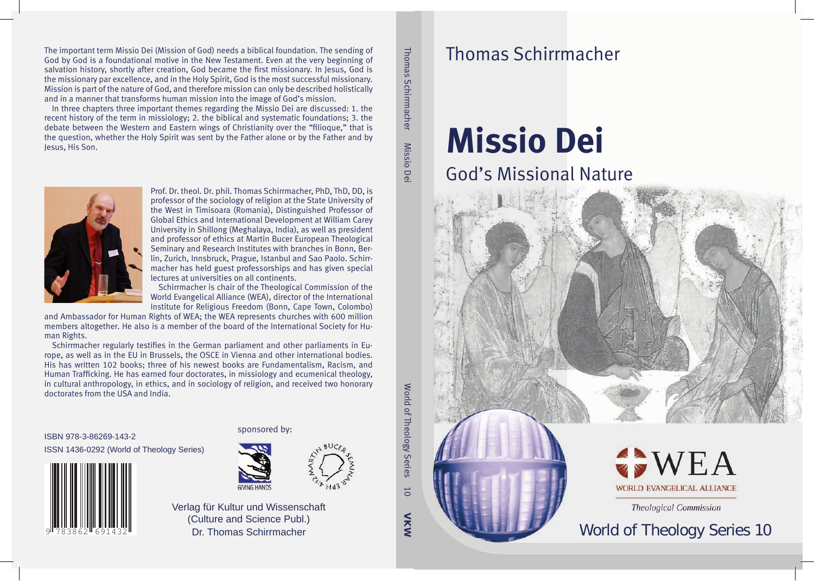The important term Missio Dei (Mission of God) needs a biblical foundation. The sending of God by God is a foundational motive in the New Testament. Even at the very beginning of salvation history, shortly after creation, God became the first missionary. In Jesus, God is the missionary par excellence, and in the Holy Spirit, God is the most successful missionary. Mission is part of the nature of God, and therefore mission can only be described holistically and in a manner that transforms human mission into the image of God's mission.

In three chapters three important themes regarding the Missio Dei are discussed: 1. the recent history of the term in missiology; 2. the biblical and systematic foundations; 3. the debate between the Western and Eastern wings of Christianity over the "filioque," that is the question, whether the Holy Spirit was sent by the Father alone or by the Father and by Jesus, His Son.

Thomas Schirrmacher Thomas Schirrmacher Missio Dei Missio De

VKW

 $\overline{0}$ 

World of Theology Series 10

World of Theology Series



Prof. Dr. theol. Dr. phil. Thomas Schirrmacher, PhD, ThD, DD, is professor of the sociology of religion at the State University of the West in Timisoara (Romania), Distinguished Professor of Global Ethics and International Development at William Carey University in Shillong (Meghalaya, India), as well as president and professor of ethics at Martin Bucer European Theological Seminary and Research Institutes with branches in Bonn, Berlin, Zurich, Innsbruck, Prague, Istanbul and Sao Paolo. Schirrmacher has held guest professorships and has given special lectures at universities on all continents.

Schirrmacher is chair of the Theological Commission of the World Evangelical Alliance (WEA), director of the International Institute for Religious Freedom (Bonn, Cape Town, Colombo)

and Ambassador for Human Rights of WEA; the WEA represents churches with 600 million members altogether. He also is a member of the board of the International Society for Human Rights.

Schirrmacher regularly testifies in the German parliament and other parliaments in Europe, as well as in the EU in Brussels, the OSCE in Vienna and other international bodies. His has written 102 books; three of his newest books are Fundamentalism, Racism, and Human Trafficking. He has earned four doctorates, in missiology and ecumenical theology, in cultural anthropology, in ethics, and in sociology of religion, and received two honorary doctorates from the USA and India.

ISBN 978-3-86269-143-2 ISSN 1436-0292 (World of Theology Series)  $\frac{1}{2}$ 







Verlag für Kultur und Wissenschaft (Culture and Science Publ.) Dr. Thomas Schirrmacher

# Thomas Schirrmacher

# **Missio Dei** God's Missional Nature





VEA **WORLD EVANGELICAL ALLIANCE** 

**Theological Commission** 

# World of Theology Series 10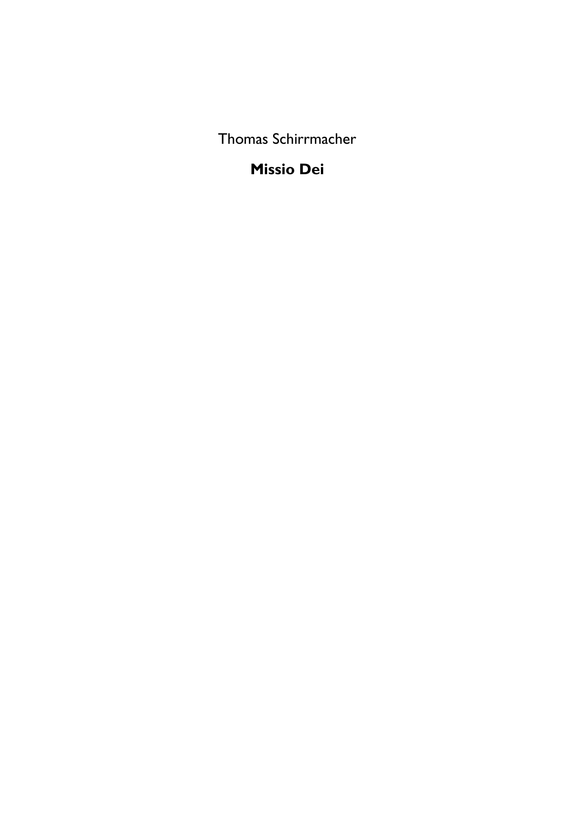Thomas Schirrmacher

#### **Missio Dei**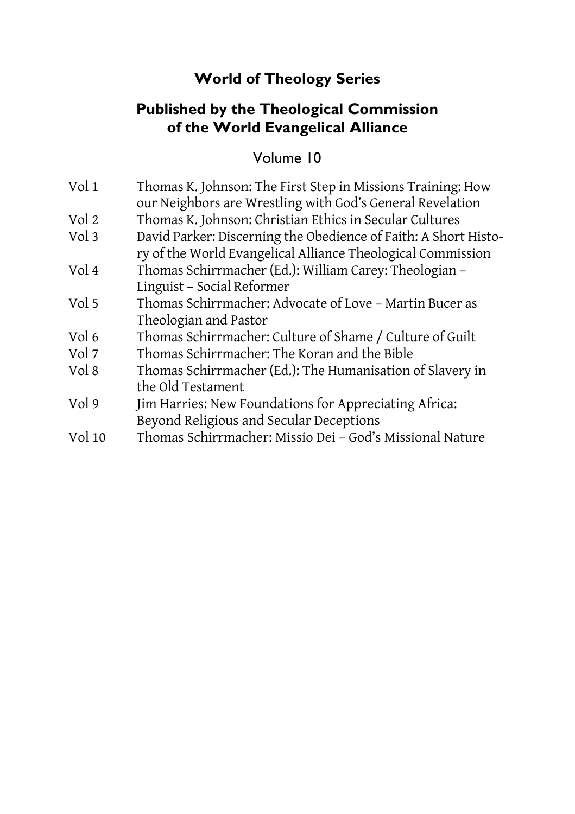#### **World of Theology Series**

#### **Published by the Theological Commission of the World Evangelical Alliance**

#### Volume 10

| Vol 1  | Thomas K. Johnson: The First Step in Missions Training: How<br>our Neighbors are Wrestling with God's General Revelation       |
|--------|--------------------------------------------------------------------------------------------------------------------------------|
| Vol 2  | Thomas K. Johnson: Christian Ethics in Secular Cultures                                                                        |
| Vol 3  | David Parker: Discerning the Obedience of Faith: A Short Histo-<br>ry of the World Evangelical Alliance Theological Commission |
| Vol 4  | Thomas Schirrmacher (Ed.): William Carey: Theologian -<br>Linguist - Social Reformer                                           |
| Vol 5  | Thomas Schirrmacher: Advocate of Love - Martin Bucer as<br>Theologian and Pastor                                               |
| Vol 6  | Thomas Schirrmacher: Culture of Shame / Culture of Guilt                                                                       |
| Vol 7  | Thomas Schirrmacher: The Koran and the Bible                                                                                   |
| Vol 8  | Thomas Schirrmacher (Ed.): The Humanisation of Slavery in<br>the Old Testament                                                 |
| Vol 9  | Jim Harries: New Foundations for Appreciating Africa:<br>Beyond Religious and Secular Deceptions                               |
| Vol 10 | Thomas Schirrmacher: Missio Dei - God's Missional Nature                                                                       |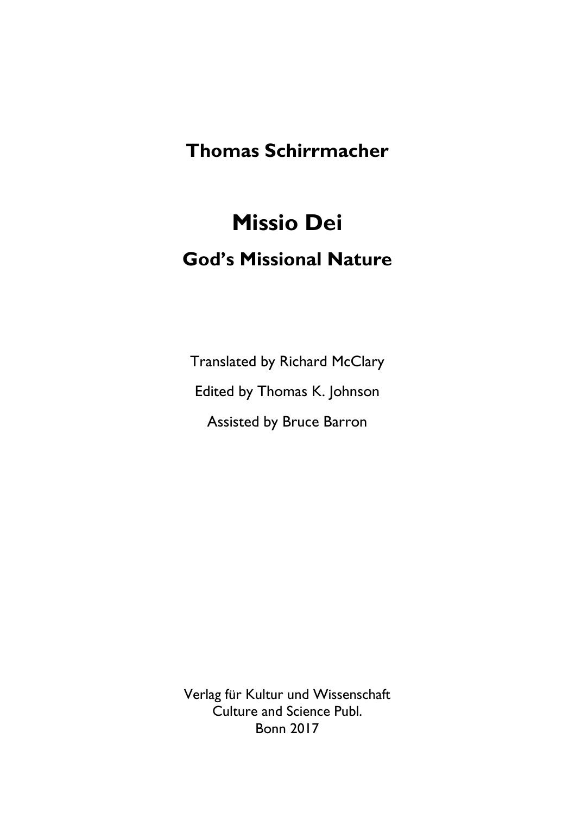#### **Thomas Schirrmacher**

# **Missio Dei God's Missional Nature**

Translated by Richard McClary Edited by Thomas K. Johnson Assisted by Bruce Barron

Verlag für Kultur und Wissenschaft Culture and Science Publ. Bonn 2017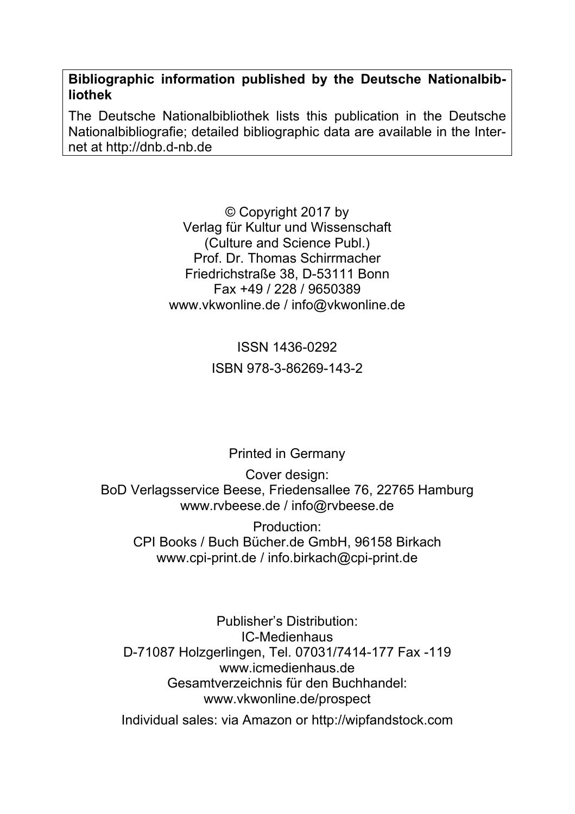**Bibliographic information published by the Deutsche Nationalbibliothek** 

The Deutsche Nationalbibliothek lists this publication in the Deutsche Nationalbibliografie; detailed bibliographic data are available in the Internet at http://dnb.d-nb.de

> © Copyright 2017 by Verlag für Kultur und Wissenschaft (Culture and Science Publ.) Prof. Dr. Thomas Schirrmacher Friedrichstraße 38, D-53111 Bonn Fax +49 / 228 / 9650389 www.vkwonline.de / info@vkwonline.de

> > ISSN 1436-0292 ISBN 978-3-86269-143-2

> > > Printed in Germany

Cover design: BoD Verlagsservice Beese, Friedensallee 76, 22765 Hamburg www.rvbeese.de / info@rvbeese.de

Production: CPI Books / Buch Bücher.de GmbH, 96158 Birkach www.cpi-print.de / info.birkach@cpi-print.de

Publisher's Distribution: IC-Medienhaus D-71087 Holzgerlingen, Tel. 07031/7414-177 Fax -119 www.icmedienhaus.de Gesamtverzeichnis für den Buchhandel: www.vkwonline.de/prospect

Individual sales: via Amazon or http://wipfandstock.com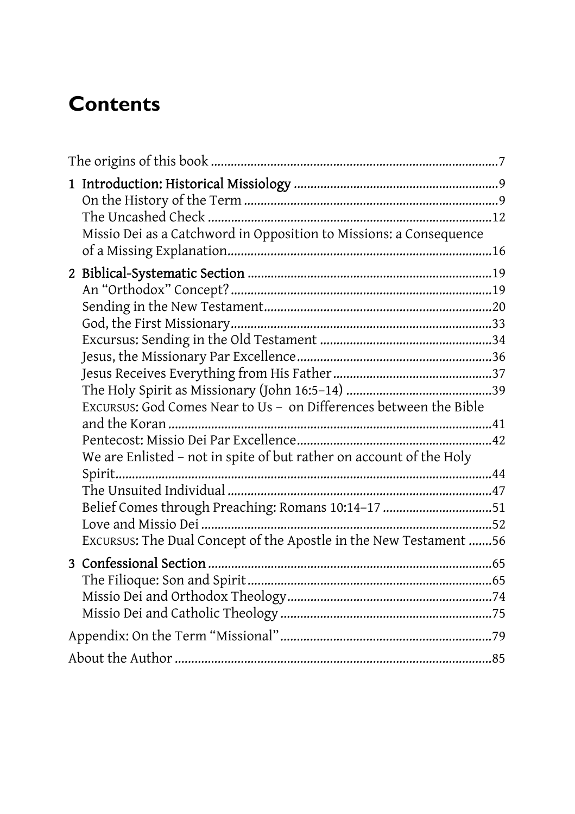# **Contents**

| Missio Dei as a Catchword in Opposition to Missions: a Consequence  |  |
|---------------------------------------------------------------------|--|
|                                                                     |  |
|                                                                     |  |
|                                                                     |  |
|                                                                     |  |
|                                                                     |  |
|                                                                     |  |
|                                                                     |  |
|                                                                     |  |
|                                                                     |  |
| EXCURSUS: God Comes Near to Us - on Differences between the Bible   |  |
|                                                                     |  |
| We are Enlisted - not in spite of but rather on account of the Holy |  |
| Spirit                                                              |  |
|                                                                     |  |
| Belief Comes through Preaching: Romans 10:14-17 51                  |  |
|                                                                     |  |
| Excursus: The Dual Concept of the Apostle in the New Testament 56   |  |
|                                                                     |  |
|                                                                     |  |
|                                                                     |  |
|                                                                     |  |
|                                                                     |  |
|                                                                     |  |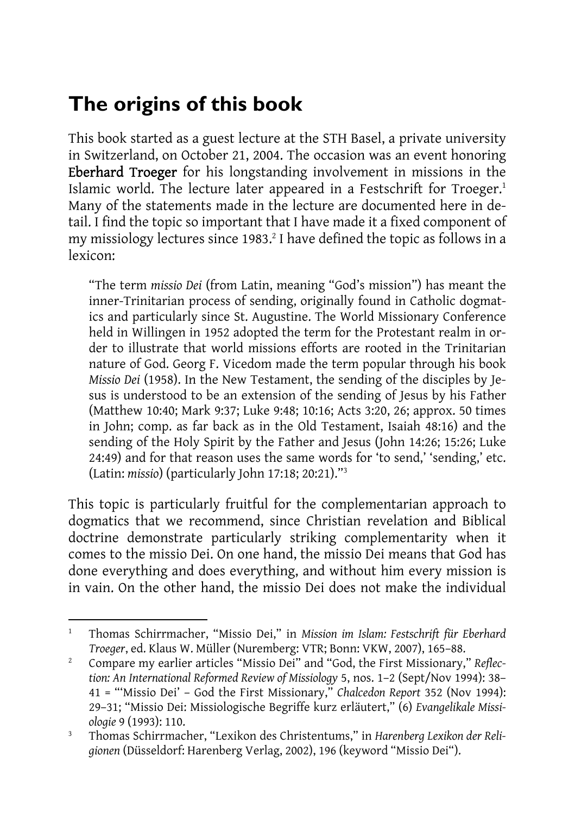# **The origins of this book**

This book started as a guest lecture at the STH Basel, a private university in Switzerland, on October 21, 2004. The occasion was an event honoring Eberhard Troeger for his longstanding involvement in missions in the Islamic world. The lecture later appeared in a Festschrift for Troeger.<sup>1</sup> Many of the statements made in the lecture are documented here in detail. I find the topic so important that I have made it a fixed component of my missiology lectures since 1983. $2$  I have defined the topic as follows in a lexicon:

"The term *missio Dei* (from Latin, meaning "God's mission") has meant the inner-Trinitarian process of sending, originally found in Catholic dogmatics and particularly since St. Augustine. The World Missionary Conference held in Willingen in 1952 adopted the term for the Protestant realm in order to illustrate that world missions efforts are rooted in the Trinitarian nature of God. Georg F. Vicedom made the term popular through his book *Missio Dei* (1958). In the New Testament, the sending of the disciples by Jesus is understood to be an extension of the sending of Jesus by his Father (Matthew 10:40; Mark 9:37; Luke 9:48; 10:16; Acts 3:20, 26; approx. 50 times in John; comp. as far back as in the Old Testament, Isaiah 48:16) and the sending of the Holy Spirit by the Father and Jesus (John 14:26; 15:26; Luke 24:49) and for that reason uses the same words for 'to send,' 'sending,' etc. (Latin: *missio*) (particularly John 17:18; 20:21)."3

This topic is particularly fruitful for the complementarian approach to dogmatics that we recommend, since Christian revelation and Biblical doctrine demonstrate particularly striking complementarity when it comes to the missio Dei. On one hand, the missio Dei means that God has done everything and does everything, and without him every mission is in vain. On the other hand, the missio Dei does not make the individual

 $\overline{a}$ 1 Thomas Schirrmacher, "Missio Dei," in *Mission im Islam: Festschrift für Eberhard Troeger*, ed. Klaus W. Müller (Nuremberg: VTR; Bonn: VKW, 2007), 165–88.<br><sup>2</sup> Compare my earlier articles "Missio Dei" and "Cod, the First Missionary"

Compare my earlier articles "Missio Dei" and "God, the First Missionary," *Reflection: An International Reformed Review of Missiology* 5, nos. 1–2 (Sept/Nov 1994): 38– 41 = "'Missio Dei' – God the First Missionary," *Chalcedon Report* 352 (Nov 1994): 29–31; "Missio Dei: Missiologische Begriffe kurz erläutert," (6) *Evangelikale Missiologie* 9 (1993): 110.<br><sup>3</sup> Thomas Schirmac

Thomas Schirrmacher, "Lexikon des Christentums," in *Harenberg Lexikon der Religionen* (Düsseldorf: Harenberg Verlag, 2002), 196 (keyword "Missio Dei").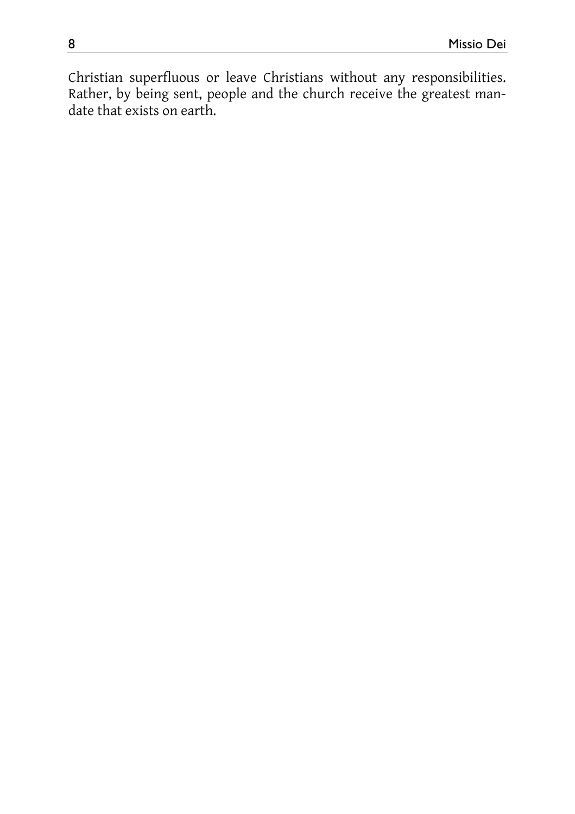Christian superfluous or leave Christians without any responsibilities. Rather, by being sent, people and the church receive the greatest mandate that exists on earth.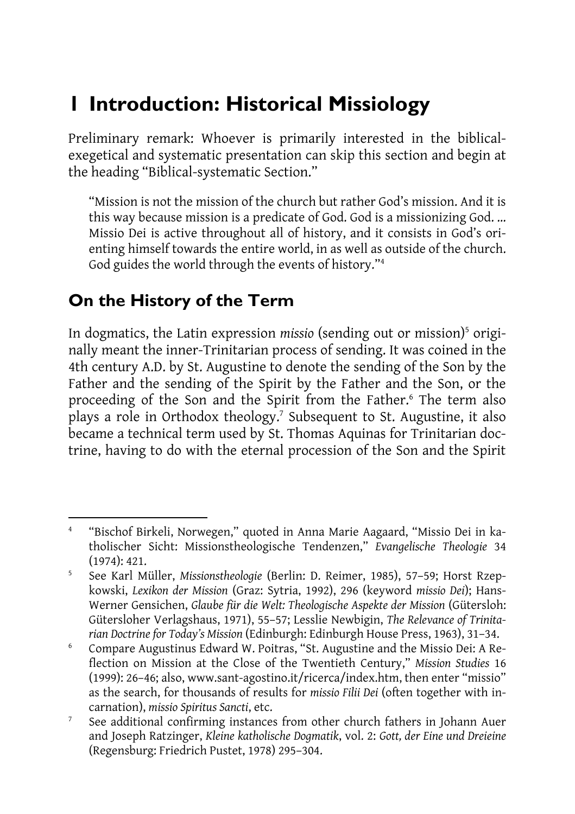### **1 Introduction: Historical Missiology**

Preliminary remark: Whoever is primarily interested in the biblicalexegetical and systematic presentation can skip this section and begin at the heading "Biblical-systematic Section."

"Mission is not the mission of the church but rather God's mission. And it is this way because mission is a predicate of God. God is a missionizing God. … Missio Dei is active throughout all of history, and it consists in God's orienting himself towards the entire world, in as well as outside of the church. God guides the world through the events of history."4

#### **On the History of the Term**

In dogmatics, the Latin expression *missio* (sending out or mission)<sup>5</sup> originally meant the inner-Trinitarian process of sending. It was coined in the 4th century A.D. by St. Augustine to denote the sending of the Son by the Father and the sending of the Spirit by the Father and the Son, or the proceeding of the Son and the Spirit from the Father.<sup>6</sup> The term also plays a role in Orthodox theology.<sup>7</sup> Subsequent to St. Augustine, it also became a technical term used by St. Thomas Aquinas for Trinitarian doctrine, having to do with the eternal procession of the Son and the Spirit

 $\overline{a}$ 4 "Bischof Birkeli, Norwegen," quoted in Anna Marie Aagaard, "Missio Dei in katholischer Sicht: Missionstheologische Tendenzen," *Evangelische Theologie* 34  $(1974): 421.$ 

See Karl Müller, *Missionstheologie* (Berlin: D. Reimer, 1985), 57–59; Horst Rzepkowski, *Lexikon der Mission* (Graz: Sytria, 1992), 296 (keyword *missio Dei*); Hans-Werner Gensichen, *Glaube für die Welt: Theologische Aspekte der Mission* (Gütersloh: Gütersloher Verlagshaus, 1971), 55–57; Lesslie Newbigin, *The Relevance of Trinitarian Doctrine for Today's Mission* (Edinburgh: Edinburgh House Press, 1963), 31–34. 6

Compare Augustinus Edward W. Poitras, "St. Augustine and the Missio Dei: A Reflection on Mission at the Close of the Twentieth Century," *Mission Studies* 16 (1999): 26–46; also, www.sant-agostino.it/ricerca/index.htm, then enter "missio" as the search, for thousands of results for *missio Filii Dei* (often together with incarnation), *missio Spiritus Sancti*, etc. 7

See additional confirming instances from other church fathers in Johann Auer and Joseph Ratzinger, *Kleine katholische Dogmatik*, vol. 2: *Gott, der Eine und Dreieine*  (Regensburg: Friedrich Pustet, 1978) 295–304.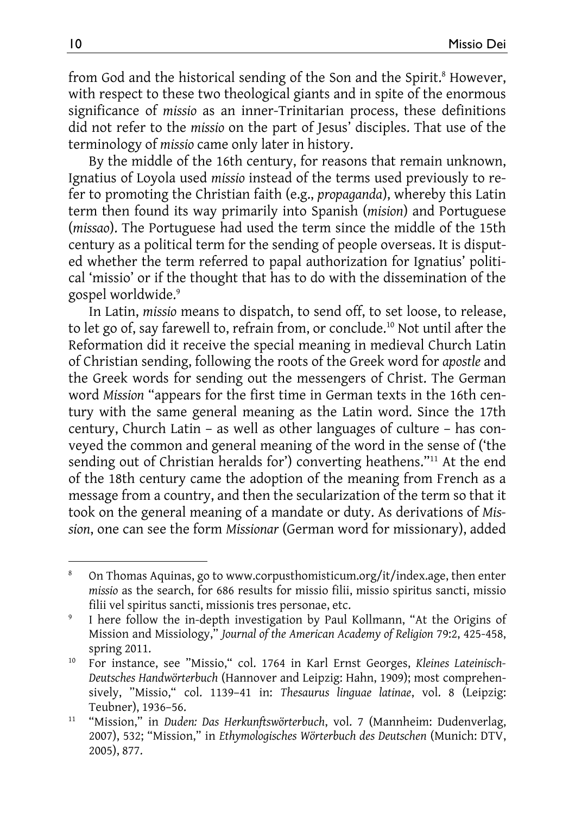from God and the historical sending of the Son and the Spirit.<sup>8</sup> However, with respect to these two theological giants and in spite of the enormous significance of *missio* as an inner-Trinitarian process, these definitions did not refer to the *missio* on the part of Jesus' disciples. That use of the terminology of *missio* came only later in history.

By the middle of the 16th century, for reasons that remain unknown, Ignatius of Loyola used *missio* instead of the terms used previously to refer to promoting the Christian faith (e.g., *propaganda*), whereby this Latin term then found its way primarily into Spanish (*mision*) and Portuguese (*missao*). The Portuguese had used the term since the middle of the 15th century as a political term for the sending of people overseas. It is disputed whether the term referred to papal authorization for Ignatius' political 'missio' or if the thought that has to do with the dissemination of the gospel worldwide.9

In Latin, *missio* means to dispatch, to send off, to set loose, to release, to let go of, say farewell to, refrain from, or conclude.<sup>10</sup> Not until after the Reformation did it receive the special meaning in medieval Church Latin of Christian sending, following the roots of the Greek word for *apostle* and the Greek words for sending out the messengers of Christ. The German word *Mission* "appears for the first time in German texts in the 16th century with the same general meaning as the Latin word. Since the 17th century, Church Latin – as well as other languages of culture – has conveyed the common and general meaning of the word in the sense of ('the sending out of Christian heralds for') converting heathens."<sup>11</sup> At the end of the 18th century came the adoption of the meaning from French as a message from a country, and then the secularization of the term so that it took on the general meaning of a mandate or duty. As derivations of *Mission*, one can see the form *Missionar* (German word for missionary), added

l

<sup>8</sup> On Thomas Aquinas, go to www.corpusthomisticum.org/it/index.age, then enter *missio* as the search, for 686 results for missio filii, missio spiritus sancti, missio filii vel spiritus sancti, missionis tres personae, etc. 9

I here follow the in-depth investigation by Paul Kollmann, "At the Origins of Mission and Missiology," *Journal of the American Academy of Religion* 79:2, 425-458,

spring 2011. 10 For instance, see "Missio," col. 1764 in Karl Ernst Georges, *Kleines Lateinisch-Deutsches Handwörterbuch* (Hannover and Leipzig: Hahn, 1909); most comprehensively, "Missio," col. 1139–41 in: *Thesaurus linguae latinae*, vol. 8 (Leipzig: Teubner), 1936–56. 11 "Mission," in *Duden: Das Herkunftswörterbuch*, vol. 7 (Mannheim: Dudenverlag,

<sup>2007), 532; &</sup>quot;Mission," in *Ethymologisches Wörterbuch des Deutschen* (Munich: DTV, 2005), 877.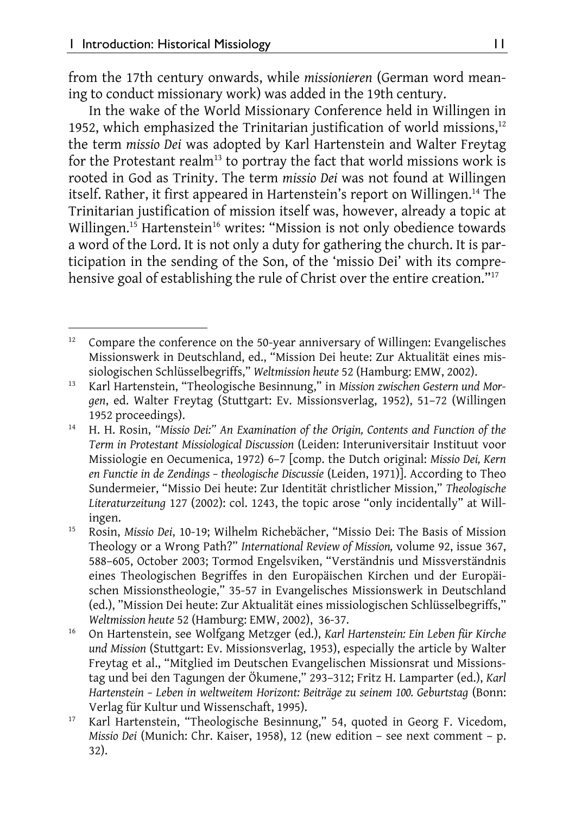from the 17th century onwards, while *missionieren* (German word meaning to conduct missionary work) was added in the 19th century.

In the wake of the World Missionary Conference held in Willingen in 1952, which emphasized the Trinitarian justification of world missions,<sup>12</sup> the term *missio Dei* was adopted by Karl Hartenstein and Walter Freytag for the Protestant realm<sup>13</sup> to portray the fact that world missions work is rooted in God as Trinity. The term *missio Dei* was not found at Willingen itself. Rather, it first appeared in Hartenstein's report on Willingen.14 The Trinitarian justification of mission itself was, however, already a topic at Willingen.<sup>15</sup> Hartenstein<sup>16</sup> writes: "Mission is not only obedience towards a word of the Lord. It is not only a duty for gathering the church. It is participation in the sending of the Son, of the 'missio Dei' with its comprehensive goal of establishing the rule of Christ over the entire creation."<sup>17</sup>

l <sup>12</sup> Compare the conference on the 50-year anniversary of Willingen: Evangelisches Missionswerk in Deutschland, ed., "Mission Dei heute: Zur Aktualität eines mis-

siologischen Schlüsselbegriffs," *Weltmission heute* 52 (Hamburg: EMW, 2002). 13 Karl Hartenstein, "Theologische Besinnung," in *Mission zwischen Gestern und Morgen*, ed. Walter Freytag (Stuttgart: Ev. Missionsverlag, 1952), 51–72 (Willingen

<sup>1952</sup> proceedings). 14 H. H. Rosin, *"Missio Dei:" An Examination of the Origin, Contents and Function of the Term in Protestant Missiological Discussion* (Leiden: Interuniversitair Instituut voor Missiologie en Oecumenica, 1972) 6–7 [comp. the Dutch original: *Missio Dei, Kern en Functie in de Zendings – theologische Discussie* (Leiden, 1971)]. According to Theo Sundermeier, "Missio Dei heute: Zur Identität christlicher Mission," *Theologische Literaturzeitung* 127 (2002): col. 1243, the topic arose "only incidentally" at Will-

ingen. 15 Rosin, *Missio Dei*, 10-19; Wilhelm Richebächer, "Missio Dei: The Basis of Mission Theology or a Wrong Path?" *International Review of Mission,* volume 92, issue 367, 588–605, October 2003; Tormod Engelsviken, "Verständnis und Missverständnis eines Theologischen Begriffes in den Europäischen Kirchen und der Europäischen Missionstheologie," 35-57 in Evangelisches Missionswerk in Deutschland (ed.), "Mission Dei heute: Zur Aktualität eines missiologischen Schlüsselbegriffs," *Weltmission heute* 52 (Hamburg: EMW, 2002), 36-37.<br><sup>16</sup> On Hartenstein, see Wolfgang Metzger (ed.), *Karl Hartenstein: Ein Leben für Kirche* 

*und Mission* (Stuttgart: Ev. Missionsverlag, 1953), especially the article by Walter Freytag et al., "Mitglied im Deutschen Evangelischen Missionsrat und Missionstag und bei den Tagungen der Ökumene," 293–312; Fritz H. Lamparter (ed.), *Karl Hartenstein – Leben in weltweitem Horizont: Beiträge zu seinem 100. Geburtstag* (Bonn: Verlag für Kultur und Wissenschaft, 1995). 17 Karl Hartenstein, "Theologische Besinnung," 54, quoted in Georg F. Vicedom,

*Missio Dei* (Munich: Chr. Kaiser, 1958), 12 (new edition – see next comment – p. 32).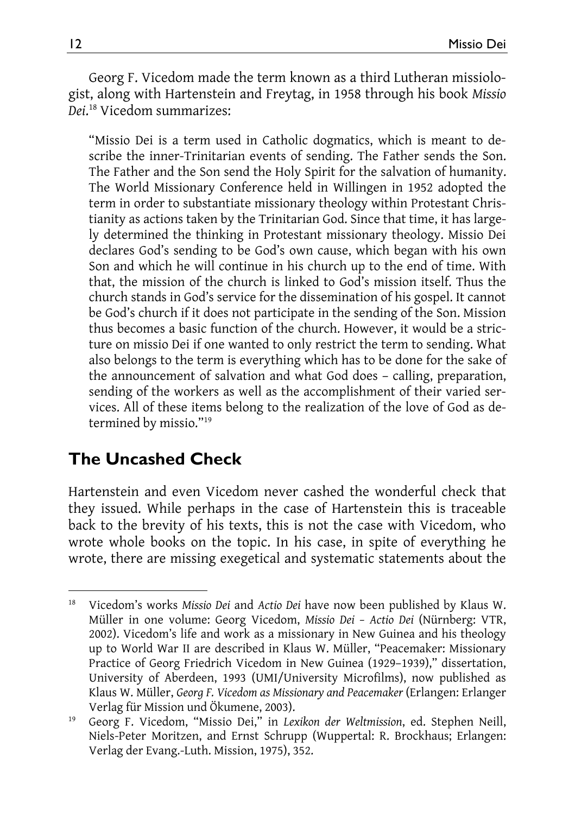Georg F. Vicedom made the term known as a third Lutheran missiologist, along with Hartenstein and Freytag, in 1958 through his book *Missio Dei*. 18 Vicedom summarizes:

"Missio Dei is a term used in Catholic dogmatics, which is meant to describe the inner-Trinitarian events of sending. The Father sends the Son. The Father and the Son send the Holy Spirit for the salvation of humanity. The World Missionary Conference held in Willingen in 1952 adopted the term in order to substantiate missionary theology within Protestant Christianity as actions taken by the Trinitarian God. Since that time, it has largely determined the thinking in Protestant missionary theology. Missio Dei declares God's sending to be God's own cause, which began with his own Son and which he will continue in his church up to the end of time. With that, the mission of the church is linked to God's mission itself. Thus the church stands in God's service for the dissemination of his gospel. It cannot be God's church if it does not participate in the sending of the Son. Mission thus becomes a basic function of the church. However, it would be a stricture on missio Dei if one wanted to only restrict the term to sending. What also belongs to the term is everything which has to be done for the sake of the announcement of salvation and what God does – calling, preparation, sending of the workers as well as the accomplishment of their varied services. All of these items belong to the realization of the love of God as determined by missio."19

#### **The Uncashed Check**

Hartenstein and even Vicedom never cashed the wonderful check that they issued. While perhaps in the case of Hartenstein this is traceable back to the brevity of his texts, this is not the case with Vicedom, who wrote whole books on the topic. In his case, in spite of everything he wrote, there are missing exegetical and systematic statements about the

 $\overline{a}$ 18 Vicedom's works *Missio Dei* and *Actio Dei* have now been published by Klaus W. Müller in one volume: Georg Vicedom, *Missio Dei – Actio Dei* (Nürnberg: VTR, 2002). Vicedom's life and work as a missionary in New Guinea and his theology up to World War II are described in Klaus W. Müller, "Peacemaker: Missionary Practice of Georg Friedrich Vicedom in New Guinea (1929–1939)," dissertation, University of Aberdeen, 1993 (UMI/University Microfilms), now published as Klaus W. Müller, *Georg F. Vicedom as Missionary and Peacemaker* (Erlangen: Erlanger

Verlag für Mission und Ökumene, 2003). 19 Georg F. Vicedom, "Missio Dei," in *Lexikon der Weltmission*, ed. Stephen Neill, Niels-Peter Moritzen, and Ernst Schrupp (Wuppertal: R. Brockhaus; Erlangen: Verlag der Evang.-Luth. Mission, 1975), 352.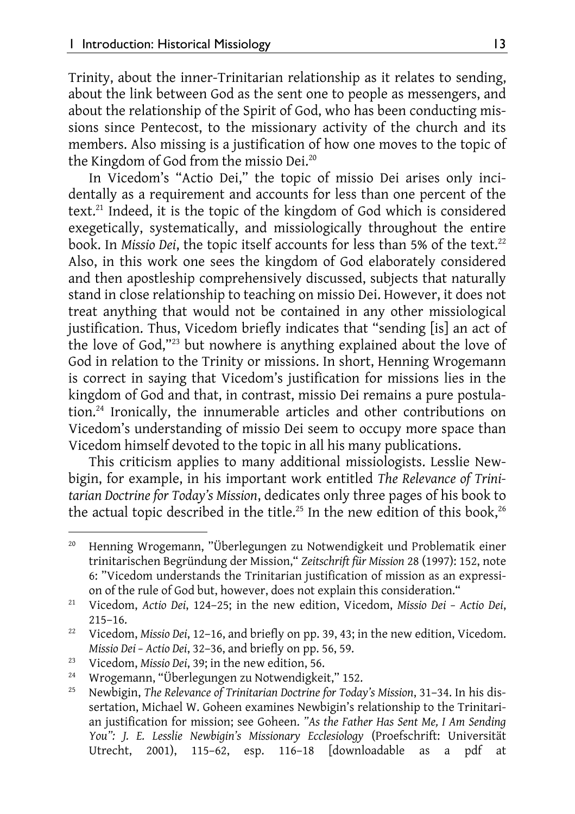Trinity, about the inner-Trinitarian relationship as it relates to sending, about the link between God as the sent one to people as messengers, and about the relationship of the Spirit of God, who has been conducting missions since Pentecost, to the missionary activity of the church and its members. Also missing is a justification of how one moves to the topic of the Kingdom of God from the missio Dei.<sup>20</sup>

In Vicedom's "Actio Dei," the topic of missio Dei arises only incidentally as a requirement and accounts for less than one percent of the text.<sup>21</sup> Indeed, it is the topic of the kingdom of God which is considered exegetically, systematically, and missiologically throughout the entire book. In Missio Dei, the topic itself accounts for less than 5% of the text.<sup>22</sup> Also, in this work one sees the kingdom of God elaborately considered and then apostleship comprehensively discussed, subjects that naturally stand in close relationship to teaching on missio Dei. However, it does not treat anything that would not be contained in any other missiological justification. Thus, Vicedom briefly indicates that "sending [is] an act of the love of God,"23 but nowhere is anything explained about the love of God in relation to the Trinity or missions. In short, Henning Wrogemann is correct in saying that Vicedom's justification for missions lies in the kingdom of God and that, in contrast, missio Dei remains a pure postulation.24 Ironically, the innumerable articles and other contributions on Vicedom's understanding of missio Dei seem to occupy more space than Vicedom himself devoted to the topic in all his many publications.

This criticism applies to many additional missiologists. Lesslie Newbigin, for example, in his important work entitled *The Relevance of Trinitarian Doctrine for Today's Mission*, dedicates only three pages of his book to the actual topic described in the title.<sup>25</sup> In the new edition of this book,<sup>26</sup>

l

<sup>&</sup>lt;sup>20</sup> Henning Wrogemann, "Überlegungen zu Notwendigkeit und Problematik einer trinitarischen Begründung der Mission," *Zeitschrift für Mission* 28 (1997): 152, note 6: "Vicedom understands the Trinitarian justification of mission as an expression of the rule of God but, however, does not explain this consideration." 21 Vicedom, *Actio Dei*, 124–25; in the new edition, Vicedom, *Missio Dei – Actio Dei*,

<sup>215–16. 22</sup> Vicedom, *Missio Dei*, 12–16, and briefly on pp. 39, 43; in the new edition, Vicedom.

*Missio Dei – Actio Dei*, 32–36, and briefly on pp. 56, 59.<br><sup>23</sup> Vicedom, *Missio Dei*, 39; in the new edition, 56.<br><sup>24</sup> Wrogemann, "Überlegungen zu Notwendigkeit," 152.<br><sup>25</sup> Naukigin, The Polywaye of Trinitarian Postrine

<sup>25</sup> Newbigin, *The Relevance of Trinitarian Doctrine for Today's Mission*, 31–34. In his dissertation, Michael W. Goheen examines Newbigin's relationship to the Trinitarian justification for mission; see Goheen. *"As the Father Has Sent Me, I Am Sending You": J. E. Lesslie Newbigin's Missionary Ecclesiology* (Proefschrift: Universität Utrecht, 2001), 115–62, esp. 116–18 [downloadable as a pdf at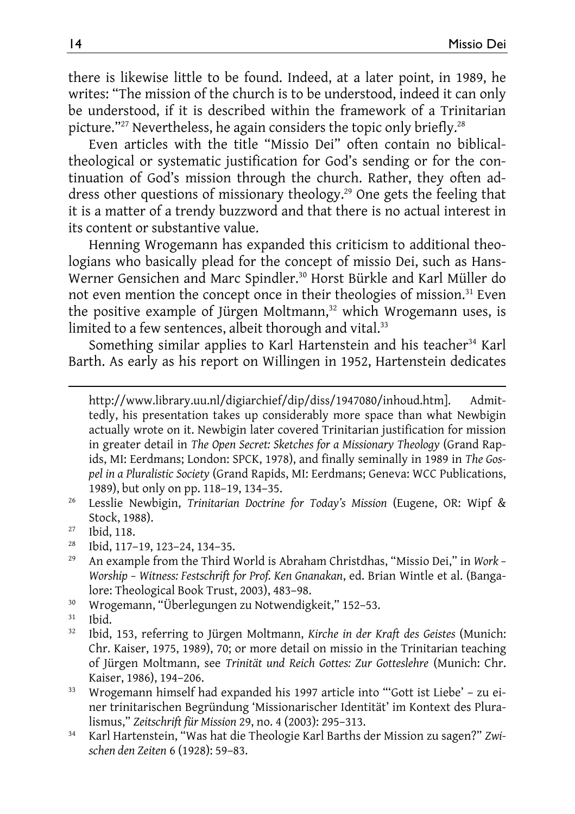there is likewise little to be found. Indeed, at a later point, in 1989, he writes: "The mission of the church is to be understood, indeed it can only be understood, if it is described within the framework of a Trinitarian picture."<sup>27</sup> Nevertheless, he again considers the topic only briefly.<sup>28</sup>

Even articles with the title "Missio Dei" often contain no biblicaltheological or systematic justification for God's sending or for the continuation of God's mission through the church. Rather, they often address other questions of missionary theology.<sup>29</sup> One gets the feeling that it is a matter of a trendy buzzword and that there is no actual interest in its content or substantive value.

Henning Wrogemann has expanded this criticism to additional theologians who basically plead for the concept of missio Dei, such as Hans-Werner Gensichen and Marc Spindler.30 Horst Bürkle and Karl Müller do not even mention the concept once in their theologies of mission.<sup>31</sup> Even the positive example of Jürgen Moltmann,<sup>32</sup> which Wrogemann uses, is limited to a few sentences, albeit thorough and vital.<sup>33</sup>

Something similar applies to Karl Hartenstein and his teacher<sup>34</sup> Karl Barth. As early as his report on Willingen in 1952, Hartenstein dedicates

http://www.library.uu.nl/digiarchief/dip/diss/1947080/inhoud.htm]. Admittedly, his presentation takes up considerably more space than what Newbigin actually wrote on it. Newbigin later covered Trinitarian justification for mission in greater detail in *The Open Secret: Sketches for a Missionary Theology* (Grand Rapids, MI: Eerdmans; London: SPCK, 1978), and finally seminally in 1989 in *The Gospel in a Pluralistic Society* (Grand Rapids, MI: Eerdmans; Geneva: WCC Publications, 1989), but only on pp. 118–19, 134–35. 26 Lesslie Newbigin, *Trinitarian Doctrine for Today's Mission* (Eugene, OR: Wipf &

- Stock, 1988).<br><sup>27</sup> Ibid, 118.
- 

 $\overline{a}$ 

- <sup>28</sup> Ibid, 117–19, 123–24, 134–35.<br><sup>29</sup> An example from the Third I.
- 29 An example from the Third World is Abraham Christdhas, "Missio Dei," in *Work Worship – Witness: Festschrift for Prof. Ken Gnanakan*, ed. Brian Wintle et al. (Bangalore: Theological Book Trust, 2003), 483–98. 30 Wrogemann, "Überlegungen zu Notwendigkeit," 152–53.
- 
- $31$  Ibid.<br> $32$  Ibid.
- 32 Ibid, 153, referring to Jürgen Moltmann, *Kirche in der Kraft des Geistes* (Munich: Chr. Kaiser, 1975, 1989), 70; or more detail on missio in the Trinitarian teaching of Jürgen Moltmann, see *Trinität und Reich Gottes: Zur Gotteslehre* (Munich: Chr. Kaiser, 1986), 194–206.<br><sup>33</sup> Wrogemann himself had expanded his 1997 article into "'Gott ist Liebe' – zu ei-
- ner trinitarischen Begründung 'Missionarischer Identität' im Kontext des Pluralismus," *Zeitschrift für Mission* 29, no. 4 (2003): 295–313. 34 Karl Hartenstein, "Was hat die Theologie Karl Barths der Mission zu sagen?" *Zwi-*
- *schen den Zeiten* 6 (1928): 59–83.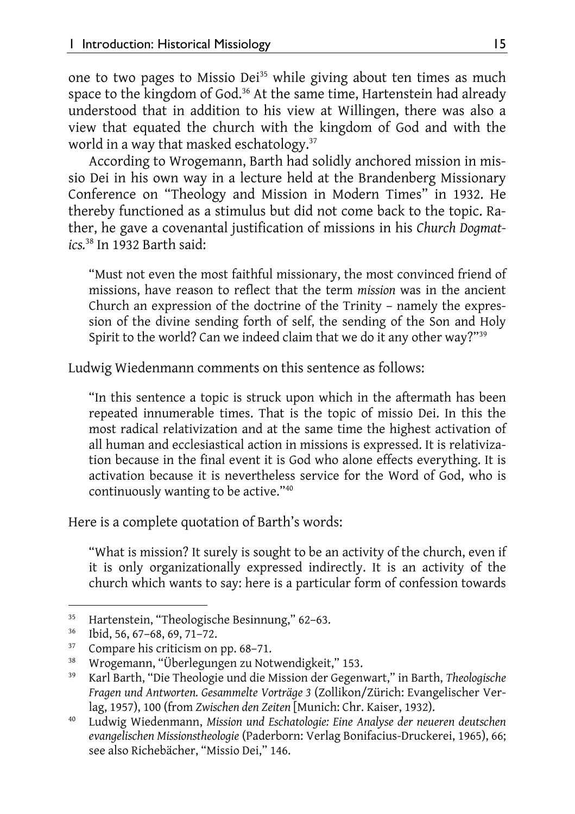one to two pages to Missio Dei<sup>35</sup> while giving about ten times as much space to the kingdom of God.<sup>36</sup> At the same time, Hartenstein had already understood that in addition to his view at Willingen, there was also a view that equated the church with the kingdom of God and with the world in a way that masked eschatology.<sup>37</sup>

According to Wrogemann, Barth had solidly anchored mission in missio Dei in his own way in a lecture held at the Brandenberg Missionary Conference on "Theology and Mission in Modern Times" in 1932. He thereby functioned as a stimulus but did not come back to the topic. Rather, he gave a covenantal justification of missions in his *Church Dogmatics.*38 In 1932 Barth said:

"Must not even the most faithful missionary, the most convinced friend of missions, have reason to reflect that the term *mission* was in the ancient Church an expression of the doctrine of the Trinity – namely the expression of the divine sending forth of self, the sending of the Son and Holy Spirit to the world? Can we indeed claim that we do it any other way?"39

Ludwig Wiedenmann comments on this sentence as follows:

"In this sentence a topic is struck upon which in the aftermath has been repeated innumerable times. That is the topic of missio Dei. In this the most radical relativization and at the same time the highest activation of all human and ecclesiastical action in missions is expressed. It is relativization because in the final event it is God who alone effects everything. It is activation because it is nevertheless service for the Word of God, who is continuously wanting to be active."40

Here is a complete quotation of Barth's words:

"What is mission? It surely is sought to be an activity of the church, even if it is only organizationally expressed indirectly. It is an activity of the church which wants to say: here is a particular form of confession towards

 $\overline{\phantom{a}}$ 

<sup>&</sup>lt;sup>35</sup> Hartenstein, "Theologische Besinnung," 62–63.<br><sup>36</sup> Ibid, 56, 67–68, 69, 71–72.<br><sup>37</sup> Campana bis aritician on pp. 68–71.

Compare his criticism on pp. 68–71.

<sup>38</sup> Wrogemann, "Überlegungen zu Notwendigkeit," 153.

<sup>39</sup> Karl Barth, "Die Theologie und die Mission der Gegenwart," in Barth, *Theologische Fragen und Antworten. Gesammelte Vorträge 3* (Zollikon/Zürich: Evangelischer Ver-

lag, 1957), 100 (from *Zwischen den Zeiten* [Munich: Chr. Kaiser, 1932). 40 Ludwig Wiedenmann, *Mission und Eschatologie: Eine Analyse der neueren deutschen evangelischen Missionstheologie* (Paderborn: Verlag Bonifacius-Druckerei, 1965), 66; see also Richebächer, "Missio Dei," 146.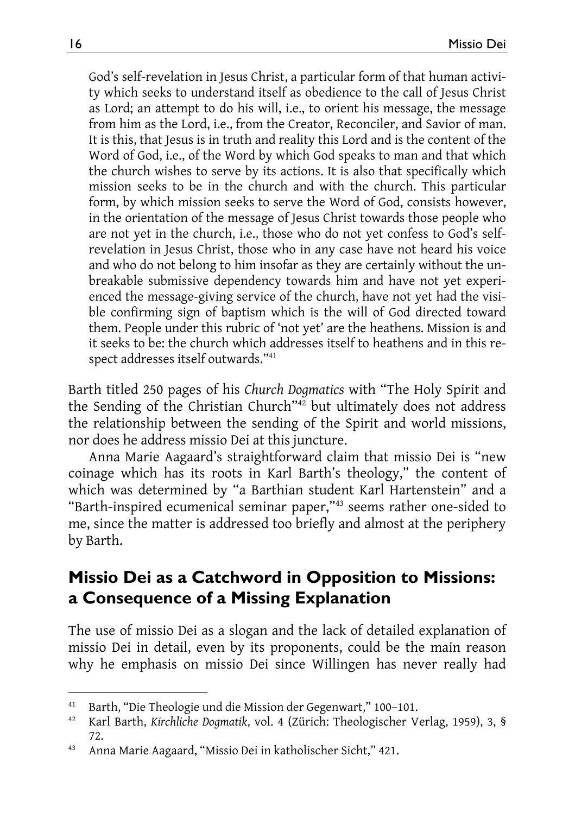God's self-revelation in Jesus Christ, a particular form of that human activity which seeks to understand itself as obedience to the call of Jesus Christ as Lord; an attempt to do his will, i.e., to orient his message, the message from him as the Lord, i.e., from the Creator, Reconciler, and Savior of man. It is this, that Jesus is in truth and reality this Lord and is the content of the Word of God, i.e., of the Word by which God speaks to man and that which the church wishes to serve by its actions. It is also that specifically which mission seeks to be in the church and with the church. This particular form, by which mission seeks to serve the Word of God, consists however, in the orientation of the message of Jesus Christ towards those people who are not yet in the church, i.e., those who do not yet confess to God's selfrevelation in Jesus Christ, those who in any case have not heard his voice and who do not belong to him insofar as they are certainly without the unbreakable submissive dependency towards him and have not yet experienced the message-giving service of the church, have not yet had the visible confirming sign of baptism which is the will of God directed toward them. People under this rubric of 'not yet' are the heathens. Mission is and it seeks to be: the church which addresses itself to heathens and in this respect addresses itself outwards."41

Barth titled 250 pages of his *Church Dogmatics* with "The Holy Spirit and the Sending of the Christian Church<sup>"42</sup> but ultimately does not address the relationship between the sending of the Spirit and world missions, nor does he address missio Dei at this juncture.

Anna Marie Aagaard's straightforward claim that missio Dei is "new coinage which has its roots in Karl Barth's theology," the content of which was determined by "a Barthian student Karl Hartenstein" and a "Barth-inspired ecumenical seminar paper,"43 seems rather one-sided to me, since the matter is addressed too briefly and almost at the periphery by Barth.

#### **Missio Dei as a Catchword in Opposition to Missions: a Consequence of a Missing Explanation**

The use of missio Dei as a slogan and the lack of detailed explanation of missio Dei in detail, even by its proponents, could be the main reason why he emphasis on missio Dei since Willingen has never really had

 $\overline{a}$ 

<sup>41</sup> Barth, "Die Theologie und die Mission der Gegenwart," 100–101.

<sup>42</sup> Karl Barth, *Kirchliche Dogmatik*, vol. 4 (Zürich: Theologischer Verlag, 1959), 3, §

<sup>72. 43</sup> Anna Marie Aagaard, "Missio Dei in katholischer Sicht," 421.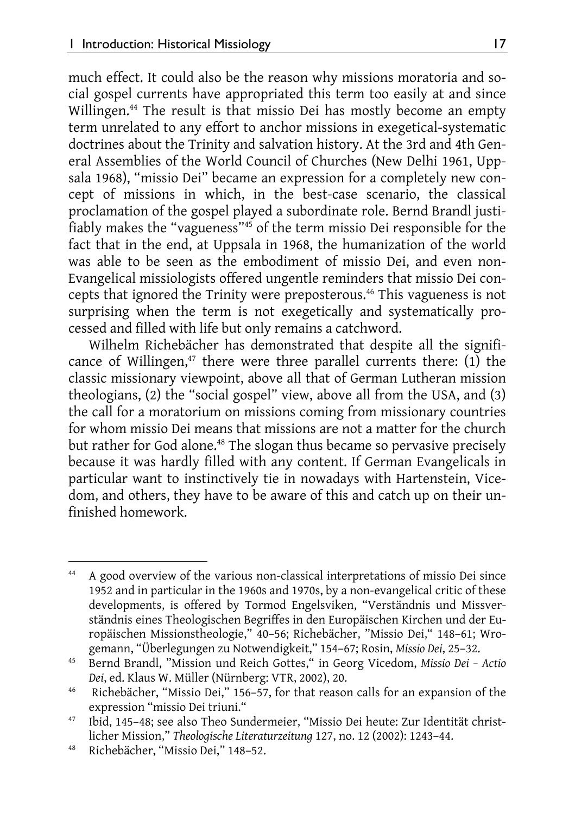much effect. It could also be the reason why missions moratoria and social gospel currents have appropriated this term too easily at and since Willingen.<sup>44</sup> The result is that missio Dei has mostly become an empty term unrelated to any effort to anchor missions in exegetical-systematic doctrines about the Trinity and salvation history. At the 3rd and 4th General Assemblies of the World Council of Churches (New Delhi 1961, Uppsala 1968), "missio Dei" became an expression for a completely new concept of missions in which, in the best-case scenario, the classical proclamation of the gospel played a subordinate role. Bernd Brandl justifiably makes the "vagueness"45 of the term missio Dei responsible for the fact that in the end, at Uppsala in 1968, the humanization of the world was able to be seen as the embodiment of missio Dei, and even non-Evangelical missiologists offered ungentle reminders that missio Dei concepts that ignored the Trinity were preposterous.46 This vagueness is not surprising when the term is not exegetically and systematically processed and filled with life but only remains a catchword.

Wilhelm Richebächer has demonstrated that despite all the significance of Willingen, $47$  there were three parallel currents there: (1) the classic missionary viewpoint, above all that of German Lutheran mission theologians, (2) the "social gospel" view, above all from the USA, and (3) the call for a moratorium on missions coming from missionary countries for whom missio Dei means that missions are not a matter for the church but rather for God alone.<sup>48</sup> The slogan thus became so pervasive precisely because it was hardly filled with any content. If German Evangelicals in particular want to instinctively tie in nowadays with Hartenstein, Vicedom, and others, they have to be aware of this and catch up on their unfinished homework.

l

<sup>44</sup> A good overview of the various non-classical interpretations of missio Dei since 1952 and in particular in the 1960s and 1970s, by a non-evangelical critic of these developments, is offered by Tormod Engelsviken, "Verständnis und Missverständnis eines Theologischen Begriffes in den Europäischen Kirchen und der Europäischen Missionstheologie," 40–56; Richebächer, "Missio Dei," 148–61; Wro-

<sup>&</sup>lt;sup>45</sup> Bernd Brandl, "Mission und Reich Gottes," in Georg Vicedom, *Missio Dei* - *Actio Dei*, ed. Klaus W. Müller (Nürnberg: VTR, 2002), 20.

<sup>&</sup>lt;sup>46</sup> Richebächer, "Missio Dei," 156–57, for that reason calls for an expansion of the expression "missio Dei triuni." 47 Ibid, 145–48; see also Theo Sundermeier, "Missio Dei heute: Zur Identität christ-

licher Mission," *Theologische Literaturzeitung* 127, no. 12 (2002): 1243–44. 48 Richebächer, "Missio Dei," 148–52.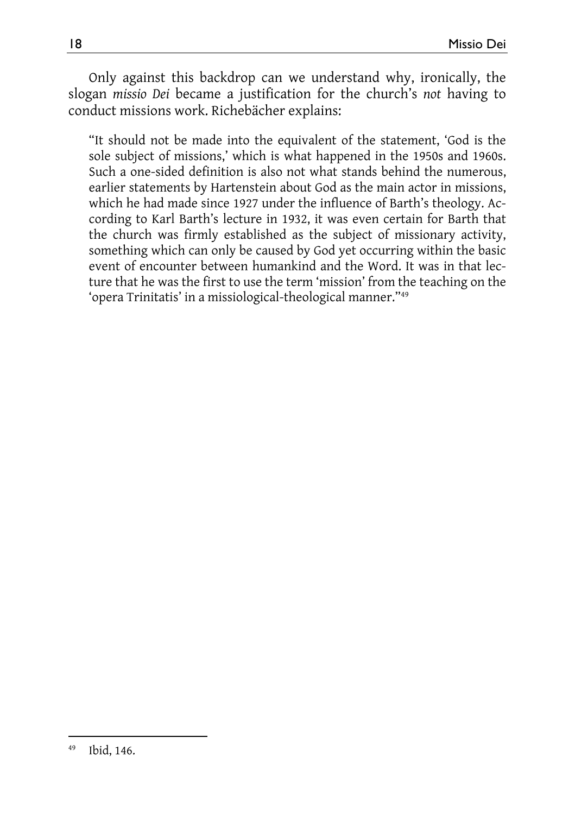Only against this backdrop can we understand why, ironically, the slogan *missio Dei* became a justification for the church's *not* having to conduct missions work. Richebächer explains:

"It should not be made into the equivalent of the statement, 'God is the sole subject of missions,' which is what happened in the 1950s and 1960s. Such a one-sided definition is also not what stands behind the numerous, earlier statements by Hartenstein about God as the main actor in missions, which he had made since 1927 under the influence of Barth's theology. According to Karl Barth's lecture in 1932, it was even certain for Barth that the church was firmly established as the subject of missionary activity, something which can only be caused by God yet occurring within the basic event of encounter between humankind and the Word. It was in that lecture that he was the first to use the term 'mission' from the teaching on the 'opera Trinitatis' in a missiological-theological manner."49

l 49 Ibid, 146.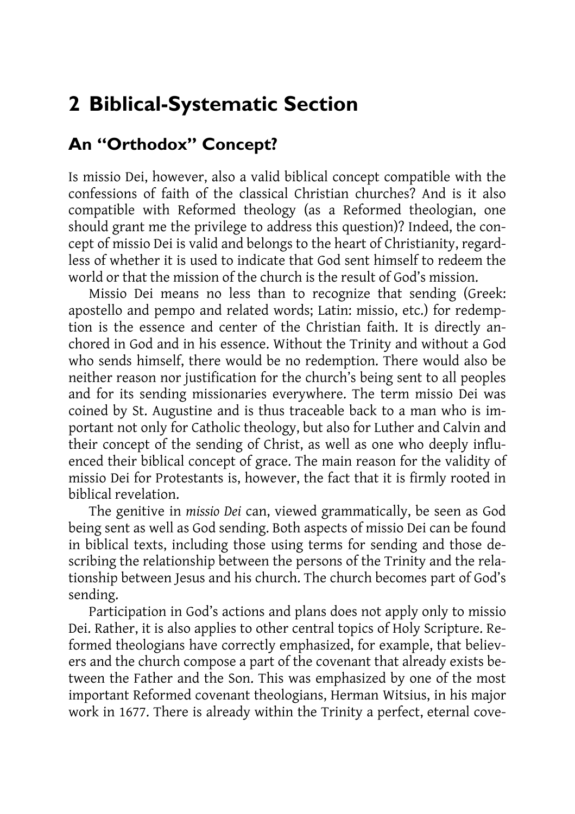### **2 Biblical-Systematic Section**

#### **An "Orthodox" Concept?**

Is missio Dei, however, also a valid biblical concept compatible with the confessions of faith of the classical Christian churches? And is it also compatible with Reformed theology (as a Reformed theologian, one should grant me the privilege to address this question)? Indeed, the concept of missio Dei is valid and belongs to the heart of Christianity, regardless of whether it is used to indicate that God sent himself to redeem the world or that the mission of the church is the result of God's mission.

Missio Dei means no less than to recognize that sending (Greek: apostello and pempo and related words; Latin: missio, etc.) for redemption is the essence and center of the Christian faith. It is directly anchored in God and in his essence. Without the Trinity and without a God who sends himself, there would be no redemption. There would also be neither reason nor justification for the church's being sent to all peoples and for its sending missionaries everywhere. The term missio Dei was coined by St. Augustine and is thus traceable back to a man who is important not only for Catholic theology, but also for Luther and Calvin and their concept of the sending of Christ, as well as one who deeply influenced their biblical concept of grace. The main reason for the validity of missio Dei for Protestants is, however, the fact that it is firmly rooted in biblical revelation.

The genitive in *missio Dei* can, viewed grammatically, be seen as God being sent as well as God sending. Both aspects of missio Dei can be found in biblical texts, including those using terms for sending and those describing the relationship between the persons of the Trinity and the relationship between Jesus and his church. The church becomes part of God's sending.

Participation in God's actions and plans does not apply only to missio Dei. Rather, it is also applies to other central topics of Holy Scripture. Reformed theologians have correctly emphasized, for example, that believers and the church compose a part of the covenant that already exists between the Father and the Son. This was emphasized by one of the most important Reformed covenant theologians, Herman Witsius, in his major work in 1677. There is already within the Trinity a perfect, eternal cove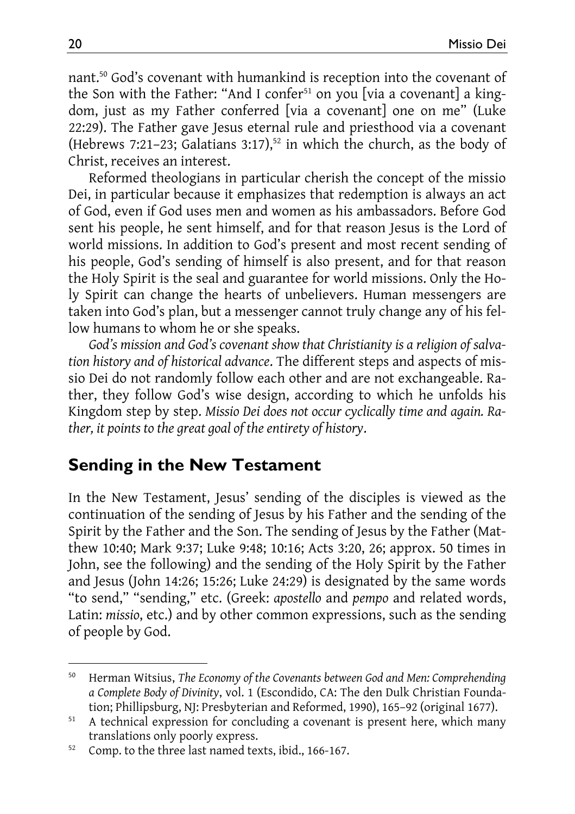nant.50 God's covenant with humankind is reception into the covenant of the Son with the Father: "And I confer<sup>51</sup> on you [via a covenant] a kingdom, just as my Father conferred [via a covenant] one on me" (Luke 22:29). The Father gave Jesus eternal rule and priesthood via a covenant (Hebrews 7:21-23; Galatians 3:17),<sup>52</sup> in which the church, as the body of Christ, receives an interest.

Reformed theologians in particular cherish the concept of the missio Dei, in particular because it emphasizes that redemption is always an act of God, even if God uses men and women as his ambassadors. Before God sent his people, he sent himself, and for that reason Jesus is the Lord of world missions. In addition to God's present and most recent sending of his people, God's sending of himself is also present, and for that reason the Holy Spirit is the seal and guarantee for world missions. Only the Holy Spirit can change the hearts of unbelievers. Human messengers are taken into God's plan, but a messenger cannot truly change any of his fellow humans to whom he or she speaks.

*God's mission and God's covenant show that Christianity is a religion of salvation history and of historical advance*. The different steps and aspects of missio Dei do not randomly follow each other and are not exchangeable. Rather, they follow God's wise design, according to which he unfolds his Kingdom step by step. *Missio Dei does not occur cyclically time and again. Rather, it points to the great goal of the entirety of history*.

#### **Sending in the New Testament**

In the New Testament, Jesus' sending of the disciples is viewed as the continuation of the sending of Jesus by his Father and the sending of the Spirit by the Father and the Son. The sending of Jesus by the Father (Matthew 10:40; Mark 9:37; Luke 9:48; 10:16; Acts 3:20, 26; approx. 50 times in John, see the following) and the sending of the Holy Spirit by the Father and Jesus (John 14:26; 15:26; Luke 24:29) is designated by the same words "to send," "sending," etc. (Greek: *apostello* and *pempo* and related words, Latin: *missio*, etc.) and by other common expressions, such as the sending of people by God.

l

<sup>50</sup> Herman Witsius, *The Economy of the Covenants between God and Men: Comprehending a Complete Body of Divinity*, vol. 1 (Escondido, CA: The den Dulk Christian Founda-

tion; Phillipsburg, NJ: Presbyterian and Reformed, 1990), 165–92 (original 1677).<br><sup>51</sup> A technical expression for concluding a covenant is present here, which many translations only poorly express.<br><sup>52</sup> Comp. to the three last named texts, ibid., 166-167.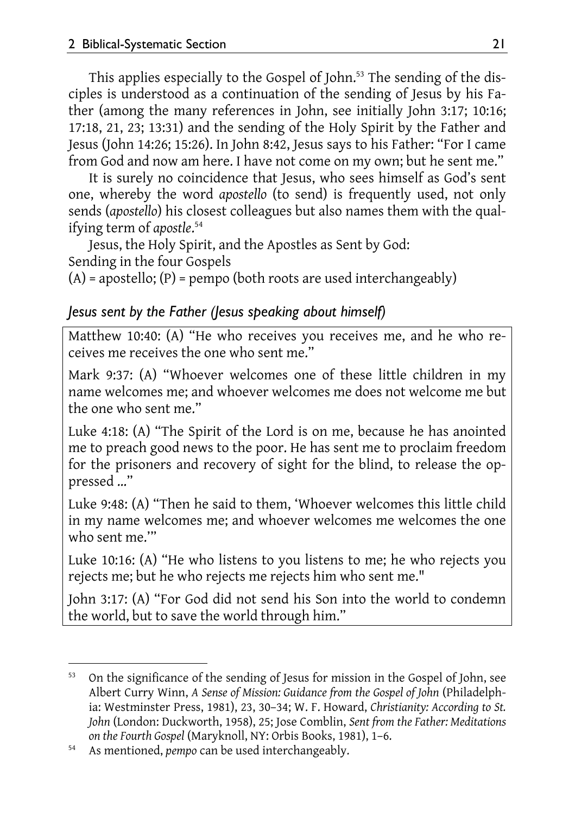This applies especially to the Gospel of John.<sup>53</sup> The sending of the disciples is understood as a continuation of the sending of Jesus by his Father (among the many references in John, see initially John 3:17; 10:16; 17:18, 21, 23; 13:31) and the sending of the Holy Spirit by the Father and Jesus (John 14:26; 15:26). In John 8:42, Jesus says to his Father: "For I came from God and now am here. I have not come on my own; but he sent me."

It is surely no coincidence that Jesus, who sees himself as God's sent one, whereby the word *apostello* (to send) is frequently used, not only sends (*apostello*) his closest colleagues but also names them with the qualifying term of *apostle*. 54

Jesus, the Holy Spirit, and the Apostles as Sent by God: Sending in the four Gospels

 $(A)$  = apostello;  $(P)$  = pempo (both roots are used interchangeably)

#### *Jesus sent by the Father (Jesus speaking about himself)*

Matthew 10:40: (A) "He who receives you receives me, and he who receives me receives the one who sent me."

Mark 9:37: (A) "Whoever welcomes one of these little children in my name welcomes me; and whoever welcomes me does not welcome me but the one who sent me."

Luke 4:18: (A) "The Spirit of the Lord is on me, because he has anointed me to preach good news to the poor. He has sent me to proclaim freedom for the prisoners and recovery of sight for the blind, to release the oppressed …"

Luke 9:48: (A) "Then he said to them, 'Whoever welcomes this little child in my name welcomes me; and whoever welcomes me welcomes the one who sent me.'"

Luke 10:16: (A) "He who listens to you listens to me; he who rejects you rejects me; but he who rejects me rejects him who sent me."

John 3:17: (A) "For God did not send his Son into the world to condemn the world, but to save the world through him."

l

<sup>53</sup> On the significance of the sending of Jesus for mission in the Gospel of John, see Albert Curry Winn, *A Sense of Mission: Guidance from the Gospel of John* (Philadelphia: Westminster Press, 1981), 23, 30–34; W. F. Howard, *Christianity: According to St. John* (London: Duckworth, 1958), 25; Jose Comblin, *Sent from the Father: Meditations on the Fourth Gospel* (Maryknoll, NY: Orbis Books, 1981), 1–6. 54 As mentioned, *pempo* can be used interchangeably.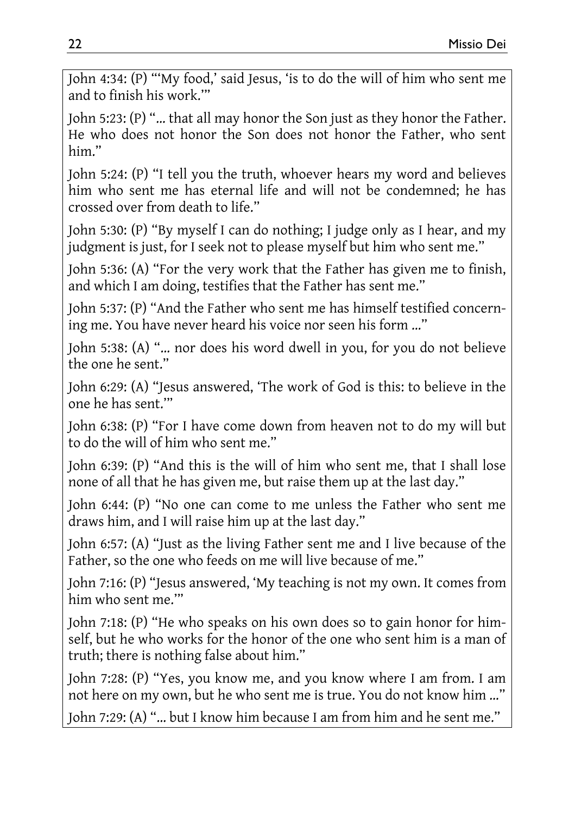John 4:34: (P) "'My food,' said Jesus, 'is to do the will of him who sent me and to finish his work.'"

John 5:23: (P) "… that all may honor the Son just as they honor the Father. He who does not honor the Son does not honor the Father, who sent him."

John 5:24: (P) "I tell you the truth, whoever hears my word and believes him who sent me has eternal life and will not be condemned; he has crossed over from death to life."

John 5:30: (P) "By myself I can do nothing; I judge only as I hear, and my judgment is just, for I seek not to please myself but him who sent me."

John 5:36: (A) "For the very work that the Father has given me to finish, and which I am doing, testifies that the Father has sent me."

John 5:37: (P) "And the Father who sent me has himself testified concerning me. You have never heard his voice nor seen his form …"

John 5:38: (A) "… nor does his word dwell in you, for you do not believe the one he sent."

John 6:29: (A) "Jesus answered, 'The work of God is this: to believe in the one he has sent.'"

John 6:38: (P) "For I have come down from heaven not to do my will but to do the will of him who sent me."

John 6:39: (P) "And this is the will of him who sent me, that I shall lose none of all that he has given me, but raise them up at the last day."

John 6:44: (P) "No one can come to me unless the Father who sent me draws him, and I will raise him up at the last day."

John 6:57: (A) "Just as the living Father sent me and I live because of the Father, so the one who feeds on me will live because of me."

John 7:16: (P) "Jesus answered, 'My teaching is not my own. It comes from him who sent me.'"

John 7:18: (P) "He who speaks on his own does so to gain honor for himself, but he who works for the honor of the one who sent him is a man of truth; there is nothing false about him."

John 7:28: (P) "Yes, you know me, and you know where I am from. I am not here on my own, but he who sent me is true. You do not know him …"

John 7:29: (A) "… but I know him because I am from him and he sent me."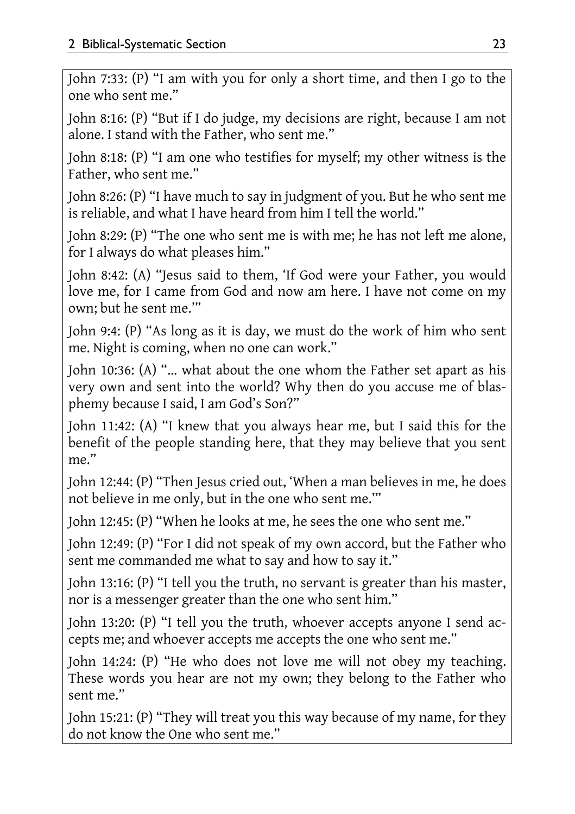John 7:33: (P) "I am with you for only a short time, and then I go to the one who sent me."

John 8:16: (P) "But if I do judge, my decisions are right, because I am not alone. I stand with the Father, who sent me."

John 8:18: (P) "I am one who testifies for myself; my other witness is the Father, who sent me."

John 8:26: (P) "I have much to say in judgment of you. But he who sent me is reliable, and what I have heard from him I tell the world."

John 8:29: (P) "The one who sent me is with me; he has not left me alone, for I always do what pleases him."

John 8:42: (A) "Jesus said to them, 'If God were your Father, you would love me, for I came from God and now am here. I have not come on my own; but he sent me.'"

John 9:4: (P) "As long as it is day, we must do the work of him who sent me. Night is coming, when no one can work."

John 10:36: (A) "… what about the one whom the Father set apart as his very own and sent into the world? Why then do you accuse me of blasphemy because I said, I am God's Son?"

John 11:42: (A) "I knew that you always hear me, but I said this for the benefit of the people standing here, that they may believe that you sent me."

John 12:44: (P) "Then Jesus cried out, 'When a man believes in me, he does not believe in me only, but in the one who sent me.'"

John 12:45: (P) "When he looks at me, he sees the one who sent me."

John 12:49: (P) "For I did not speak of my own accord, but the Father who sent me commanded me what to say and how to say it."

John 13:16: (P) "I tell you the truth, no servant is greater than his master, nor is a messenger greater than the one who sent him."

John 13:20: (P) "I tell you the truth, whoever accepts anyone I send accepts me; and whoever accepts me accepts the one who sent me."

John 14:24: (P) "He who does not love me will not obey my teaching. These words you hear are not my own; they belong to the Father who sent me."

John 15:21: (P) "They will treat you this way because of my name, for they do not know the One who sent me."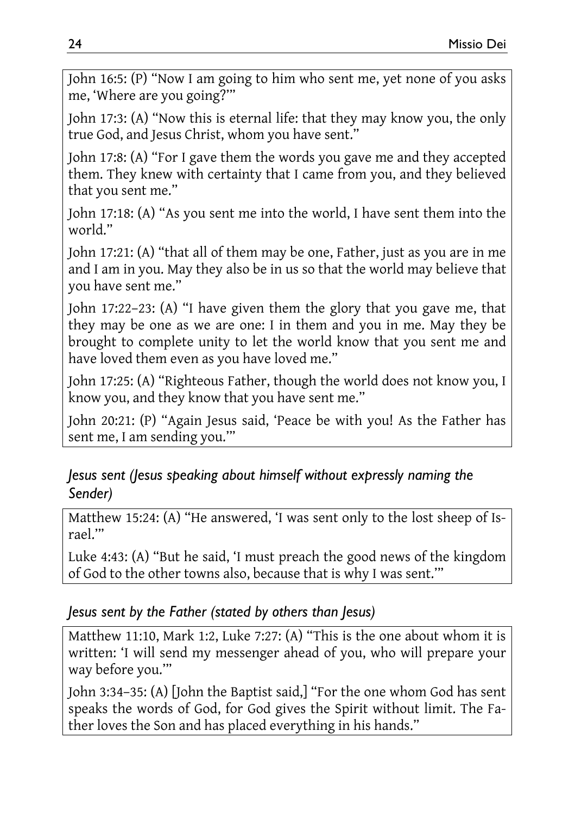John 16:5: (P) "Now I am going to him who sent me, yet none of you asks me, 'Where are you going?'"

John 17:3: (A) "Now this is eternal life: that they may know you, the only true God, and Jesus Christ, whom you have sent."

John 17:8: (A) "For I gave them the words you gave me and they accepted them. They knew with certainty that I came from you, and they believed that you sent me."

John 17:18: (A) "As you sent me into the world, I have sent them into the world."

John 17:21: (A) "that all of them may be one, Father, just as you are in me and I am in you. May they also be in us so that the world may believe that you have sent me."

John 17:22–23: (A) "I have given them the glory that you gave me, that they may be one as we are one: I in them and you in me. May they be brought to complete unity to let the world know that you sent me and have loved them even as you have loved me."

John 17:25: (A) "Righteous Father, though the world does not know you, I know you, and they know that you have sent me."

John 20:21: (P) "Again Jesus said, 'Peace be with you! As the Father has sent me, I am sending you.'"

#### *Jesus sent (Jesus speaking about himself without expressly naming the Sender)*

Matthew 15:24: (A) "He answered, 'I was sent only to the lost sheep of Israel.'"

Luke 4:43: (A) "But he said, 'I must preach the good news of the kingdom of God to the other towns also, because that is why I was sent.'"

#### *Jesus sent by the Father (stated by others than Jesus)*

Matthew 11:10, Mark 1:2, Luke 7:27: (A) "This is the one about whom it is written: 'I will send my messenger ahead of you, who will prepare your way before you.'"

John 3:34–35: (A) [John the Baptist said,] "For the one whom God has sent speaks the words of God, for God gives the Spirit without limit. The Father loves the Son and has placed everything in his hands."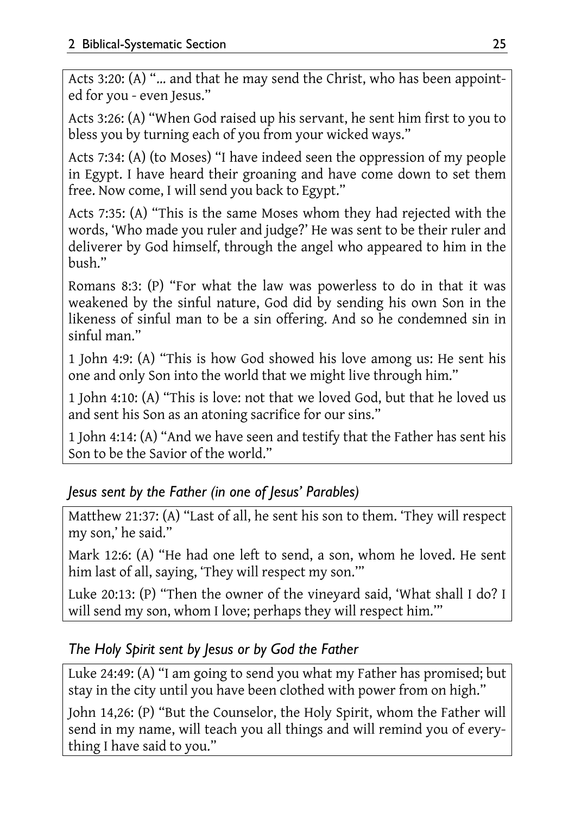Acts 3:20: (A) "… and that he may send the Christ, who has been appointed for you - even Jesus."

Acts 3:26: (A) "When God raised up his servant, he sent him first to you to bless you by turning each of you from your wicked ways."

Acts 7:34: (A) (to Moses) "I have indeed seen the oppression of my people in Egypt. I have heard their groaning and have come down to set them free. Now come, I will send you back to Egypt."

Acts 7:35: (A) "This is the same Moses whom they had rejected with the words, 'Who made you ruler and judge?' He was sent to be their ruler and deliverer by God himself, through the angel who appeared to him in the bush."

Romans 8:3: (P) "For what the law was powerless to do in that it was weakened by the sinful nature, God did by sending his own Son in the likeness of sinful man to be a sin offering. And so he condemned sin in sinful man."

1 John 4:9: (A) "This is how God showed his love among us: He sent his one and only Son into the world that we might live through him."

1 John 4:10: (A) "This is love: not that we loved God, but that he loved us and sent his Son as an atoning sacrifice for our sins."

1 John 4:14: (A) "And we have seen and testify that the Father has sent his Son to be the Savior of the world."

#### *Jesus sent by the Father (in one of Jesus' Parables)*

Matthew 21:37: (A) "Last of all, he sent his son to them. 'They will respect my son,' he said."

Mark 12:6: (A) "He had one left to send, a son, whom he loved. He sent him last of all, saying, 'They will respect my son.'"

Luke 20:13: (P) "Then the owner of the vineyard said, 'What shall I do? I will send my son, whom I love; perhaps they will respect him.""

#### *The Holy Spirit sent by Jesus or by God the Father*

Luke 24:49: (A) "I am going to send you what my Father has promised; but stay in the city until you have been clothed with power from on high."

John 14,26: (P) "But the Counselor, the Holy Spirit, whom the Father will send in my name, will teach you all things and will remind you of everything I have said to you."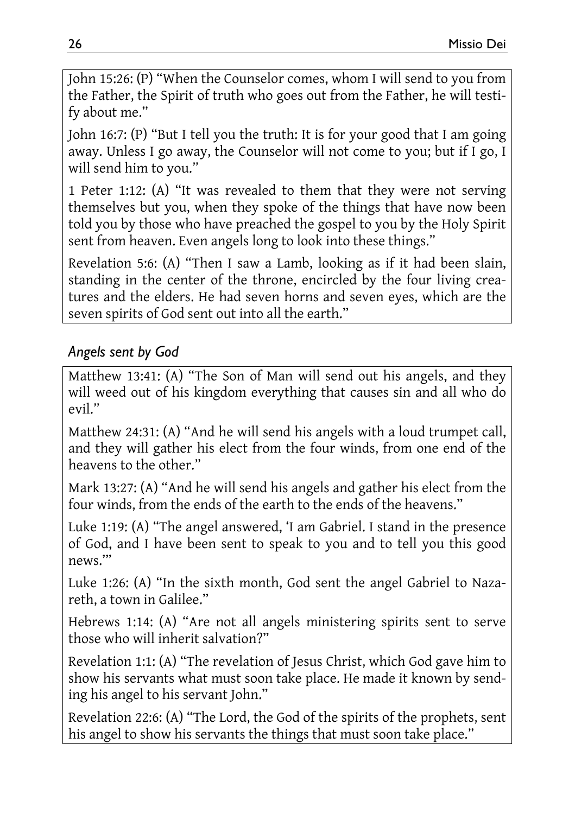John 15:26: (P) "When the Counselor comes, whom I will send to you from the Father, the Spirit of truth who goes out from the Father, he will testify about me."

John 16:7: (P) "But I tell you the truth: It is for your good that I am going away. Unless I go away, the Counselor will not come to you; but if I go, I will send him to you."

1 Peter 1:12: (A) "It was revealed to them that they were not serving themselves but you, when they spoke of the things that have now been told you by those who have preached the gospel to you by the Holy Spirit sent from heaven. Even angels long to look into these things."

Revelation 5:6: (A) "Then I saw a Lamb, looking as if it had been slain, standing in the center of the throne, encircled by the four living creatures and the elders. He had seven horns and seven eyes, which are the seven spirits of God sent out into all the earth."

#### *Angels sent by God*

Matthew 13:41: (A) "The Son of Man will send out his angels, and they will weed out of his kingdom everything that causes sin and all who do evil."

Matthew 24:31: (A) "And he will send his angels with a loud trumpet call, and they will gather his elect from the four winds, from one end of the heavens to the other."

Mark 13:27: (A) "And he will send his angels and gather his elect from the four winds, from the ends of the earth to the ends of the heavens."

Luke 1:19: (A) "The angel answered, 'I am Gabriel. I stand in the presence of God, and I have been sent to speak to you and to tell you this good news.'"

Luke 1:26: (A) "In the sixth month, God sent the angel Gabriel to Nazareth, a town in Galilee."

Hebrews 1:14: (A) "Are not all angels ministering spirits sent to serve those who will inherit salvation?"

Revelation 1:1: (A) "The revelation of Jesus Christ, which God gave him to show his servants what must soon take place. He made it known by sending his angel to his servant John."

Revelation 22:6: (A) "The Lord, the God of the spirits of the prophets, sent his angel to show his servants the things that must soon take place."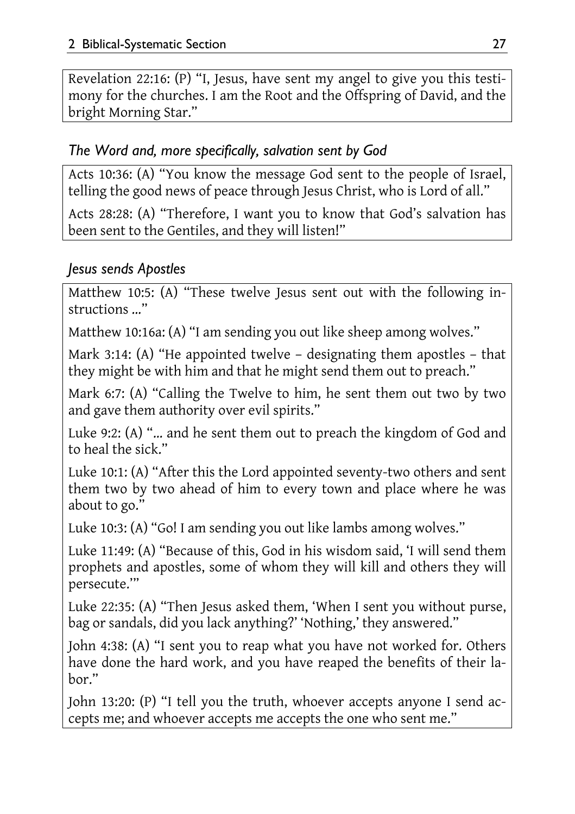Revelation 22:16: (P) "I, Jesus, have sent my angel to give you this testimony for the churches. I am the Root and the Offspring of David, and the bright Morning Star."

#### *The Word and, more specifically, salvation sent by God*

Acts 10:36: (A) "You know the message God sent to the people of Israel, telling the good news of peace through Jesus Christ, who is Lord of all."

Acts 28:28: (A) "Therefore, I want you to know that God's salvation has been sent to the Gentiles, and they will listen!"

#### *Jesus sends Apostles*

Matthew 10:5: (A) "These twelve Jesus sent out with the following instructions …"

Matthew 10:16a: (A) "I am sending you out like sheep among wolves."

Mark 3:14: (A) "He appointed twelve – designating them apostles – that they might be with him and that he might send them out to preach."

Mark 6:7: (A) "Calling the Twelve to him, he sent them out two by two and gave them authority over evil spirits."

Luke 9:2: (A) "… and he sent them out to preach the kingdom of God and to heal the sick."

Luke 10:1: (A) "After this the Lord appointed seventy-two others and sent them two by two ahead of him to every town and place where he was about to go."

Luke 10:3: (A) "Go! I am sending you out like lambs among wolves."

Luke 11:49: (A) "Because of this, God in his wisdom said, 'I will send them prophets and apostles, some of whom they will kill and others they will persecute.'"

Luke 22:35: (A) "Then Jesus asked them, 'When I sent you without purse, bag or sandals, did you lack anything?' 'Nothing,' they answered."

John 4:38: (A) "I sent you to reap what you have not worked for. Others have done the hard work, and you have reaped the benefits of their labor."

John 13:20: (P) "I tell you the truth, whoever accepts anyone I send accepts me; and whoever accepts me accepts the one who sent me."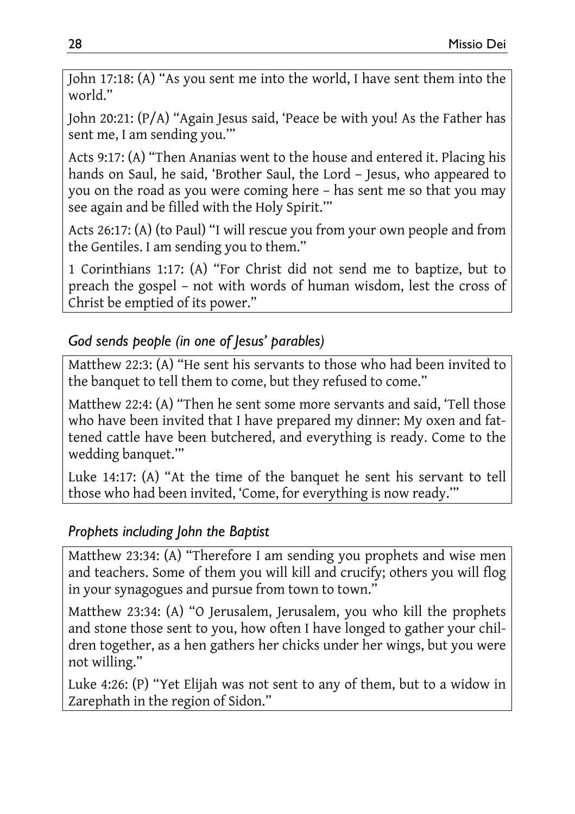John 17:18: (A) "As you sent me into the world, I have sent them into the world."

John 20:21: (P/A) "Again Jesus said, 'Peace be with you! As the Father has sent me, I am sending you.'"

Acts 9:17: (A) "Then Ananias went to the house and entered it. Placing his hands on Saul, he said, 'Brother Saul, the Lord – Jesus, who appeared to you on the road as you were coming here – has sent me so that you may see again and be filled with the Holy Spirit.'"

Acts 26:17: (A) (to Paul) "I will rescue you from your own people and from the Gentiles. I am sending you to them."

1 Corinthians 1:17: (A) "For Christ did not send me to baptize, but to preach the gospel – not with words of human wisdom, lest the cross of Christ be emptied of its power."

#### *God sends people (in one of Jesus' parables)*

Matthew 22:3: (A) "He sent his servants to those who had been invited to the banquet to tell them to come, but they refused to come."

Matthew 22:4: (A) "Then he sent some more servants and said, 'Tell those who have been invited that I have prepared my dinner: My oxen and fattened cattle have been butchered, and everything is ready. Come to the wedding banquet.'"

Luke 14:17: (A) "At the time of the banquet he sent his servant to tell those who had been invited, 'Come, for everything is now ready.'"

#### *Prophets including John the Baptist*

Matthew 23:34: (A) "Therefore I am sending you prophets and wise men and teachers. Some of them you will kill and crucify; others you will flog in your synagogues and pursue from town to town."

Matthew 23:34: (A) "O Jerusalem, Jerusalem, you who kill the prophets and stone those sent to you, how often I have longed to gather your children together, as a hen gathers her chicks under her wings, but you were not willing."

Luke 4:26: (P) "Yet Elijah was not sent to any of them, but to a widow in Zarephath in the region of Sidon."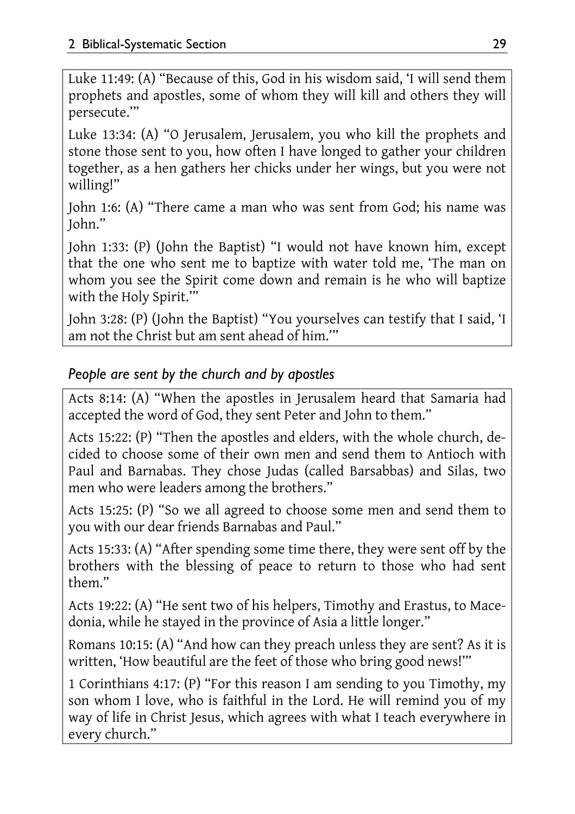Luke 11:49: (A) "Because of this, God in his wisdom said, 'I will send them prophets and apostles, some of whom they will kill and others they will persecute.'"

Luke 13:34: (A) "O Jerusalem, Jerusalem, you who kill the prophets and stone those sent to you, how often I have longed to gather your children together, as a hen gathers her chicks under her wings, but you were not willing!"

John 1:6: (A) "There came a man who was sent from God; his name was John."

John 1:33: (P) (John the Baptist) "I would not have known him, except that the one who sent me to baptize with water told me, 'The man on whom you see the Spirit come down and remain is he who will baptize with the Holy Spirit.'"

John 3:28: (P) (John the Baptist) "You yourselves can testify that I said, 'I am not the Christ but am sent ahead of him.'"

#### *People are sent by the church and by apostles*

Acts 8:14: (A) "When the apostles in Jerusalem heard that Samaria had accepted the word of God, they sent Peter and John to them."

Acts 15:22: (P) "Then the apostles and elders, with the whole church, decided to choose some of their own men and send them to Antioch with Paul and Barnabas. They chose Judas (called Barsabbas) and Silas, two men who were leaders among the brothers."

Acts 15:25: (P) "So we all agreed to choose some men and send them to you with our dear friends Barnabas and Paul."

Acts 15:33: (A) "After spending some time there, they were sent off by the brothers with the blessing of peace to return to those who had sent them."

Acts 19:22: (A) "He sent two of his helpers, Timothy and Erastus, to Macedonia, while he stayed in the province of Asia a little longer."

Romans 10:15: (A) "And how can they preach unless they are sent? As it is written, 'How beautiful are the feet of those who bring good news!'"

1 Corinthians 4:17: (P) "For this reason I am sending to you Timothy, my son whom I love, who is faithful in the Lord. He will remind you of my way of life in Christ Jesus, which agrees with what I teach everywhere in every church."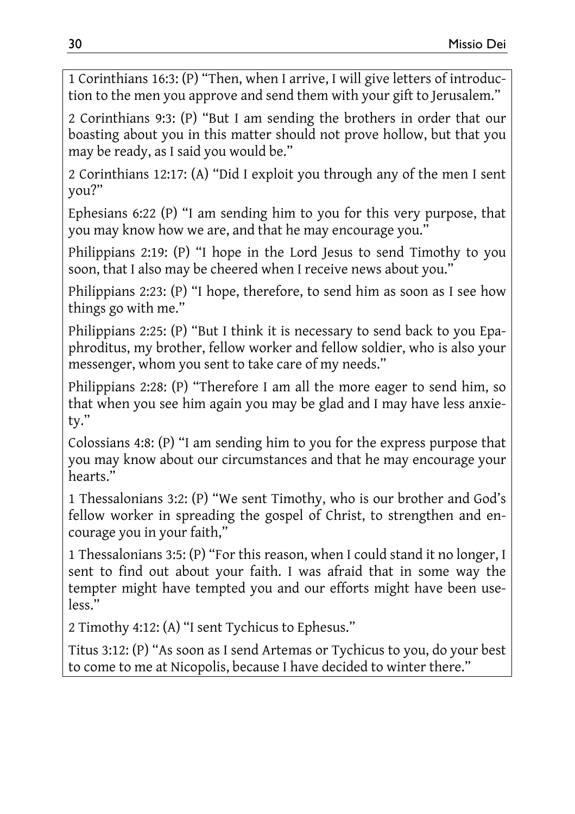1 Corinthians 16:3: (P) "Then, when I arrive, I will give letters of introduction to the men you approve and send them with your gift to Jerusalem."

2 Corinthians 9:3: (P) "But I am sending the brothers in order that our boasting about you in this matter should not prove hollow, but that you may be ready, as I said you would be."

2 Corinthians 12:17: (A) "Did I exploit you through any of the men I sent you?"

Ephesians 6:22 (P) "I am sending him to you for this very purpose, that you may know how we are, and that he may encourage you."

Philippians 2:19: (P) "I hope in the Lord Jesus to send Timothy to you soon, that I also may be cheered when I receive news about you."

Philippians 2:23: (P) "I hope, therefore, to send him as soon as I see how things go with me."

Philippians 2:25: (P) "But I think it is necessary to send back to you Epaphroditus, my brother, fellow worker and fellow soldier, who is also your messenger, whom you sent to take care of my needs."

Philippians 2:28: (P) "Therefore I am all the more eager to send him, so that when you see him again you may be glad and I may have less anxiety."

Colossians 4:8: (P) "I am sending him to you for the express purpose that you may know about our circumstances and that he may encourage your hearts."

1 Thessalonians 3:2: (P) "We sent Timothy, who is our brother and God's fellow worker in spreading the gospel of Christ, to strengthen and encourage you in your faith,"

1 Thessalonians 3:5: (P) "For this reason, when I could stand it no longer, I sent to find out about your faith. I was afraid that in some way the tempter might have tempted you and our efforts might have been useless."

2 Timothy 4:12: (A) "I sent Tychicus to Ephesus."

Titus 3:12: (P) "As soon as I send Artemas or Tychicus to you, do your best to come to me at Nicopolis, because I have decided to winter there."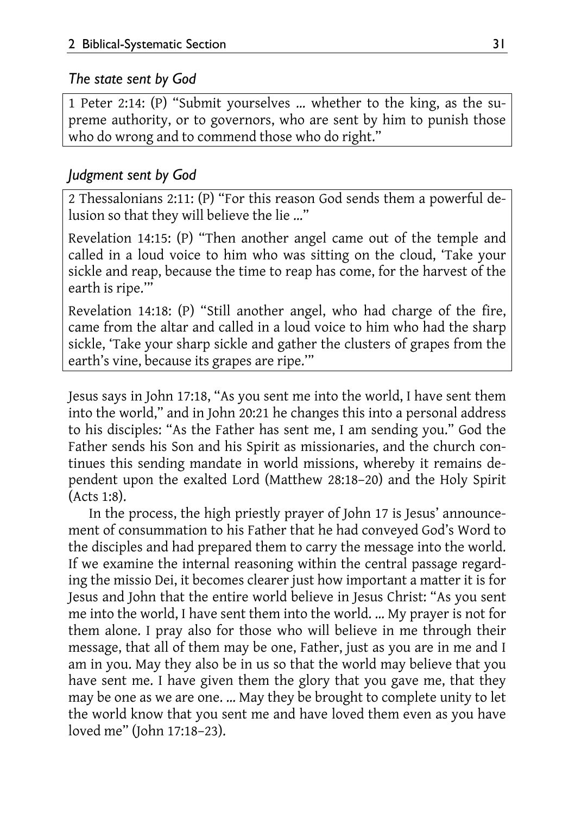#### *The state sent by God*

1 Peter 2:14: (P) "Submit yourselves … whether to the king, as the supreme authority, or to governors, who are sent by him to punish those who do wrong and to commend those who do right."

#### *Judgment sent by God*

2 Thessalonians 2:11: (P) "For this reason God sends them a powerful delusion so that they will believe the lie …"

Revelation 14:15: (P) "Then another angel came out of the temple and called in a loud voice to him who was sitting on the cloud, 'Take your sickle and reap, because the time to reap has come, for the harvest of the earth is ripe.'"

Revelation 14:18: (P) "Still another angel, who had charge of the fire, came from the altar and called in a loud voice to him who had the sharp sickle, 'Take your sharp sickle and gather the clusters of grapes from the earth's vine, because its grapes are ripe.'"

Jesus says in John 17:18, "As you sent me into the world, I have sent them into the world," and in John 20:21 he changes this into a personal address to his disciples: "As the Father has sent me, I am sending you." God the Father sends his Son and his Spirit as missionaries, and the church continues this sending mandate in world missions, whereby it remains dependent upon the exalted Lord (Matthew 28:18–20) and the Holy Spirit (Acts 1:8).

In the process, the high priestly prayer of John 17 is Jesus' announcement of consummation to his Father that he had conveyed God's Word to the disciples and had prepared them to carry the message into the world. If we examine the internal reasoning within the central passage regarding the missio Dei, it becomes clearer just how important a matter it is for Jesus and John that the entire world believe in Jesus Christ: "As you sent me into the world, I have sent them into the world. … My prayer is not for them alone. I pray also for those who will believe in me through their message, that all of them may be one, Father, just as you are in me and I am in you. May they also be in us so that the world may believe that you have sent me. I have given them the glory that you gave me, that they may be one as we are one. … May they be brought to complete unity to let the world know that you sent me and have loved them even as you have loved me" (John 17:18–23).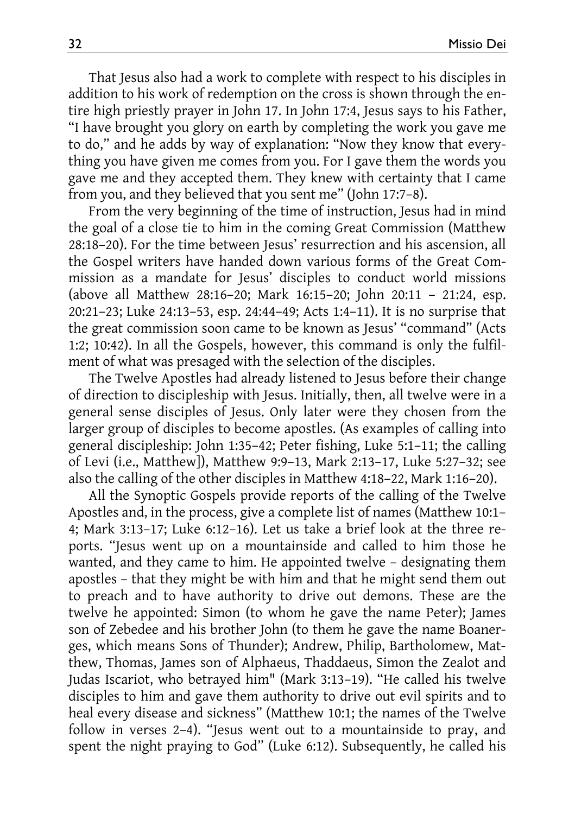That Jesus also had a work to complete with respect to his disciples in addition to his work of redemption on the cross is shown through the entire high priestly prayer in John 17. In John 17:4, Jesus says to his Father, "I have brought you glory on earth by completing the work you gave me to do," and he adds by way of explanation: "Now they know that everything you have given me comes from you. For I gave them the words you gave me and they accepted them. They knew with certainty that I came from you, and they believed that you sent me" (John 17:7–8).

From the very beginning of the time of instruction, Jesus had in mind the goal of a close tie to him in the coming Great Commission (Matthew 28:18–20). For the time between Jesus' resurrection and his ascension, all the Gospel writers have handed down various forms of the Great Commission as a mandate for Jesus' disciples to conduct world missions (above all Matthew 28:16–20; Mark 16:15–20; John 20:11 – 21:24, esp. 20:21–23; Luke 24:13–53, esp. 24:44–49; Acts 1:4–11). It is no surprise that the great commission soon came to be known as Jesus' "command" (Acts 1:2; 10:42). In all the Gospels, however, this command is only the fulfilment of what was presaged with the selection of the disciples.

The Twelve Apostles had already listened to Jesus before their change of direction to discipleship with Jesus. Initially, then, all twelve were in a general sense disciples of Jesus. Only later were they chosen from the larger group of disciples to become apostles. (As examples of calling into general discipleship: John 1:35–42; Peter fishing, Luke 5:1–11; the calling of Levi (i.e., Matthew]), Matthew 9:9–13, Mark 2:13–17, Luke 5:27–32; see also the calling of the other disciples in Matthew 4:18–22, Mark 1:16–20).

All the Synoptic Gospels provide reports of the calling of the Twelve Apostles and, in the process, give a complete list of names (Matthew 10:1– 4; Mark 3:13–17; Luke 6:12–16). Let us take a brief look at the three reports. "Jesus went up on a mountainside and called to him those he wanted, and they came to him. He appointed twelve – designating them apostles – that they might be with him and that he might send them out to preach and to have authority to drive out demons. These are the twelve he appointed: Simon (to whom he gave the name Peter); James son of Zebedee and his brother John (to them he gave the name Boanerges, which means Sons of Thunder); Andrew, Philip, Bartholomew, Matthew, Thomas, James son of Alphaeus, Thaddaeus, Simon the Zealot and Judas Iscariot, who betrayed him" (Mark 3:13–19). "He called his twelve disciples to him and gave them authority to drive out evil spirits and to heal every disease and sickness" (Matthew 10:1; the names of the Twelve follow in verses 2–4). "Jesus went out to a mountainside to pray, and spent the night praying to God" (Luke 6:12). Subsequently, he called his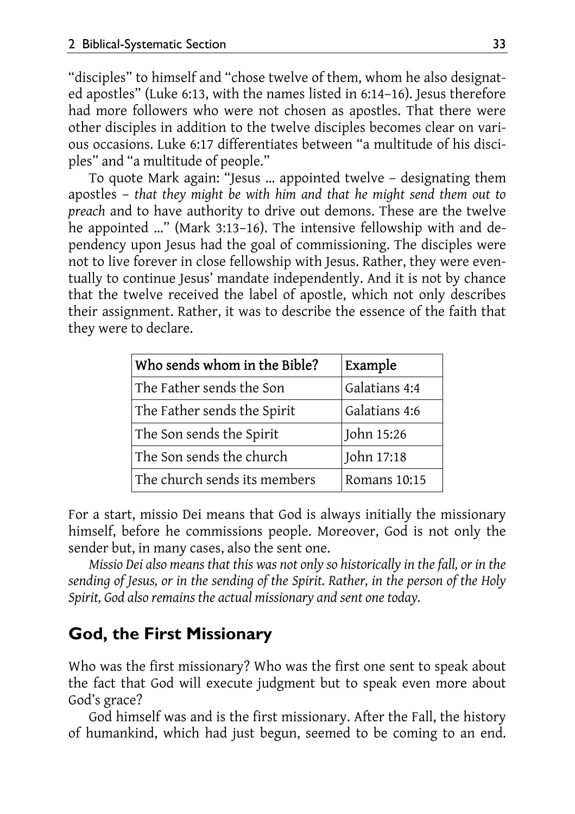"disciples" to himself and "chose twelve of them, whom he also designated apostles" (Luke 6:13, with the names listed in 6:14–16). Jesus therefore had more followers who were not chosen as apostles. That there were other disciples in addition to the twelve disciples becomes clear on various occasions. Luke 6:17 differentiates between "a multitude of his disciples" and "a multitude of people."

To quote Mark again: "Jesus … appointed twelve – designating them apostles – *that they might be with him and that he might send them out to preach* and to have authority to drive out demons. These are the twelve he appointed …" (Mark 3:13–16). The intensive fellowship with and dependency upon Jesus had the goal of commissioning. The disciples were not to live forever in close fellowship with Jesus. Rather, they were eventually to continue Jesus' mandate independently. And it is not by chance that the twelve received the label of apostle, which not only describes their assignment. Rather, it was to describe the essence of the faith that they were to declare.

| Who sends whom in the Bible? | Example       |
|------------------------------|---------------|
| The Father sends the Son     | Galatians 4:4 |
| The Father sends the Spirit  | Galatians 4:6 |
| The Son sends the Spirit     | John 15:26    |
| The Son sends the church     | John 17:18    |
| The church sends its members | Romans 10:15  |

For a start, missio Dei means that God is always initially the missionary himself, before he commissions people. Moreover, God is not only the sender but, in many cases, also the sent one.

*Missio Dei also means that this was not only so historically in the fall, or in the sending of Jesus, or in the sending of the Spirit. Rather, in the person of the Holy Spirit, God also remains the actual missionary and sent one today.* 

#### **God, the First Missionary**

Who was the first missionary? Who was the first one sent to speak about the fact that God will execute judgment but to speak even more about God's grace?

God himself was and is the first missionary. After the Fall, the history of humankind, which had just begun, seemed to be coming to an end.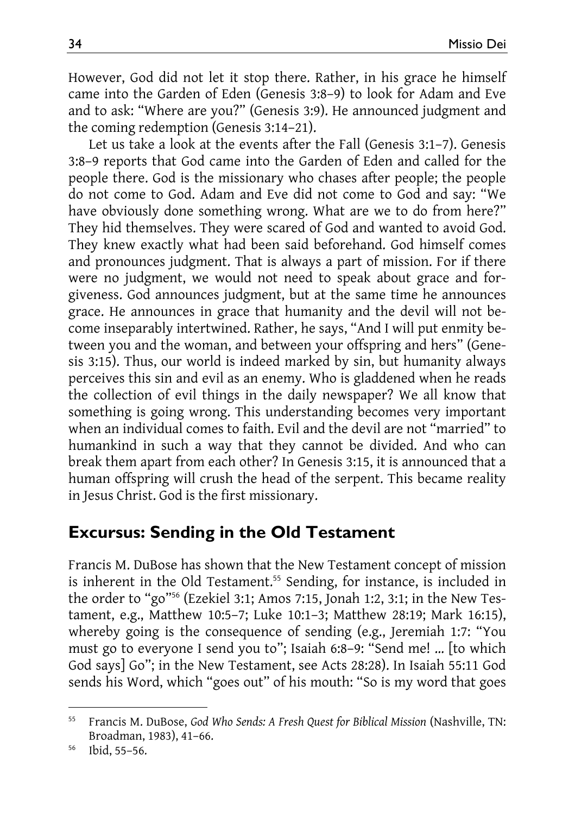However, God did not let it stop there. Rather, in his grace he himself came into the Garden of Eden (Genesis 3:8–9) to look for Adam and Eve and to ask: "Where are you?" (Genesis 3:9). He announced judgment and the coming redemption (Genesis 3:14–21).

Let us take a look at the events after the Fall (Genesis 3:1–7). Genesis 3:8–9 reports that God came into the Garden of Eden and called for the people there. God is the missionary who chases after people; the people do not come to God. Adam and Eve did not come to God and say: "We have obviously done something wrong. What are we to do from here?" They hid themselves. They were scared of God and wanted to avoid God. They knew exactly what had been said beforehand. God himself comes and pronounces judgment. That is always a part of mission. For if there were no judgment, we would not need to speak about grace and forgiveness. God announces judgment, but at the same time he announces grace. He announces in grace that humanity and the devil will not become inseparably intertwined. Rather, he says, "And I will put enmity between you and the woman, and between your offspring and hers" (Genesis 3:15). Thus, our world is indeed marked by sin, but humanity always perceives this sin and evil as an enemy. Who is gladdened when he reads the collection of evil things in the daily newspaper? We all know that something is going wrong. This understanding becomes very important when an individual comes to faith. Evil and the devil are not "married" to humankind in such a way that they cannot be divided. And who can break them apart from each other? In Genesis 3:15, it is announced that a human offspring will crush the head of the serpent. This became reality in Jesus Christ. God is the first missionary.

#### **Excursus: Sending in the Old Testament**

Francis M. DuBose has shown that the New Testament concept of mission is inherent in the Old Testament.<sup>55</sup> Sending, for instance, is included in the order to "go"<sup>56</sup> (Ezekiel 3:1; Amos 7:15, Jonah 1:2, 3:1; in the New Testament, e.g., Matthew 10:5–7; Luke 10:1–3; Matthew 28:19; Mark 16:15), whereby going is the consequence of sending (e.g., Jeremiah 1:7: "You must go to everyone I send you to"; Isaiah 6:8–9: "Send me! … [to which God says] Go"; in the New Testament, see Acts 28:28). In Isaiah 55:11 God sends his Word, which "goes out" of his mouth: "So is my word that goes

 $\overline{\phantom{a}}$ 

<sup>55</sup> Francis M. DuBose, *God Who Sends: A Fresh Quest for Biblical Mission* (Nashville, TN: Broadman, 1983), 41–66. 56 Ibid, 55–56.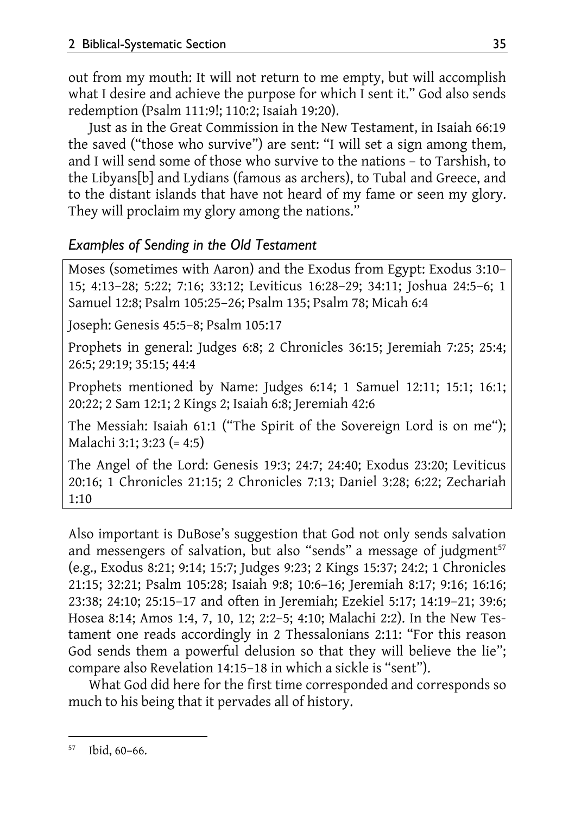out from my mouth: It will not return to me empty, but will accomplish what I desire and achieve the purpose for which I sent it." God also sends redemption (Psalm 111:9!; 110:2; Isaiah 19:20).

Just as in the Great Commission in the New Testament, in Isaiah 66:19 the saved ("those who survive") are sent: "I will set a sign among them, and I will send some of those who survive to the nations – to Tarshish, to the Libyans[b] and Lydians (famous as archers), to Tubal and Greece, and to the distant islands that have not heard of my fame or seen my glory. They will proclaim my glory among the nations."

#### *Examples of Sending in the Old Testament*

Moses (sometimes with Aaron) and the Exodus from Egypt: Exodus 3:10– 15; 4:13–28; 5:22; 7:16; 33:12; Leviticus 16:28–29; 34:11; Joshua 24:5–6; 1 Samuel 12:8; Psalm 105:25–26; Psalm 135; Psalm 78; Micah 6:4

Joseph: Genesis 45:5–8; Psalm 105:17

Prophets in general: Judges 6:8; 2 Chronicles 36:15; Jeremiah 7:25; 25:4; 26:5; 29:19; 35:15; 44:4

Prophets mentioned by Name: Judges 6:14; 1 Samuel 12:11; 15:1; 16:1; 20:22; 2 Sam 12:1; 2 Kings 2; Isaiah 6:8; Jeremiah 42:6

The Messiah: Isaiah 61:1 ("The Spirit of the Sovereign Lord is on me"); Malachi 3:1; 3:23 (= 4:5)

The Angel of the Lord: Genesis 19:3; 24:7; 24:40; Exodus 23:20; Leviticus 20:16; 1 Chronicles 21:15; 2 Chronicles 7:13; Daniel 3:28; 6:22; Zechariah 1:10

Also important is DuBose's suggestion that God not only sends salvation and messengers of salvation, but also "sends" a message of judgment $57$ (e.g., Exodus 8:21; 9:14; 15:7; Judges 9:23; 2 Kings 15:37; 24:2; 1 Chronicles 21:15; 32:21; Psalm 105:28; Isaiah 9:8; 10:6–16; Jeremiah 8:17; 9:16; 16:16; 23:38; 24:10; 25:15–17 and often in Jeremiah; Ezekiel 5:17; 14:19–21; 39:6; Hosea 8:14; Amos 1:4, 7, 10, 12; 2:2–5; 4:10; Malachi 2:2). In the New Testament one reads accordingly in 2 Thessalonians 2:11: "For this reason God sends them a powerful delusion so that they will believe the lie"; compare also Revelation 14:15–18 in which a sickle is "sent").

What God did here for the first time corresponded and corresponds so much to his being that it pervades all of history.

l 57 Ibid, 60–66.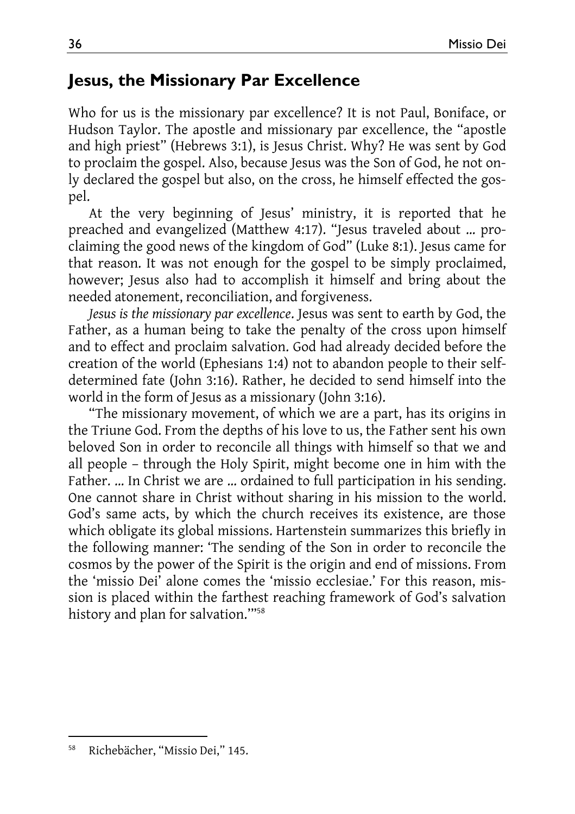### **Jesus, the Missionary Par Excellence**

Who for us is the missionary par excellence? It is not Paul, Boniface, or Hudson Taylor. The apostle and missionary par excellence, the "apostle and high priest" (Hebrews 3:1), is Jesus Christ. Why? He was sent by God to proclaim the gospel. Also, because Jesus was the Son of God, he not only declared the gospel but also, on the cross, he himself effected the gospel.

At the very beginning of Jesus' ministry, it is reported that he preached and evangelized (Matthew 4:17). "Jesus traveled about … proclaiming the good news of the kingdom of God" (Luke 8:1). Jesus came for that reason. It was not enough for the gospel to be simply proclaimed, however; Jesus also had to accomplish it himself and bring about the needed atonement, reconciliation, and forgiveness.

*Jesus is the missionary par excellence*. Jesus was sent to earth by God, the Father, as a human being to take the penalty of the cross upon himself and to effect and proclaim salvation. God had already decided before the creation of the world (Ephesians 1:4) not to abandon people to their selfdetermined fate (John 3:16). Rather, he decided to send himself into the world in the form of Jesus as a missionary (John 3:16).

"The missionary movement, of which we are a part, has its origins in the Triune God. From the depths of his love to us, the Father sent his own beloved Son in order to reconcile all things with himself so that we and all people – through the Holy Spirit, might become one in him with the Father. … In Christ we are … ordained to full participation in his sending. One cannot share in Christ without sharing in his mission to the world. God's same acts, by which the church receives its existence, are those which obligate its global missions. Hartenstein summarizes this briefly in the following manner: 'The sending of the Son in order to reconcile the cosmos by the power of the Spirit is the origin and end of missions. From the 'missio Dei' alone comes the 'missio ecclesiae.' For this reason, mission is placed within the farthest reaching framework of God's salvation history and plan for salvation.'"58

l 58 Richebächer, "Missio Dei," 145.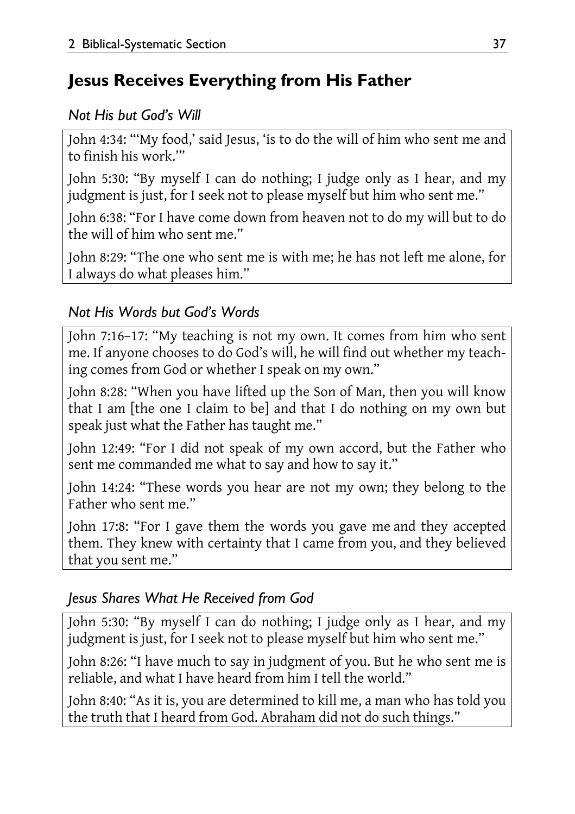# **Jesus Receives Everything from His Father**

### *Not His but God's Will*

John 4:34: "'My food,' said Jesus, 'is to do the will of him who sent me and to finish his work.'"

John 5:30: "By myself I can do nothing; I judge only as I hear, and my judgment is just, for I seek not to please myself but him who sent me."

John 6:38: "For I have come down from heaven not to do my will but to do the will of him who sent me."

John 8:29: "The one who sent me is with me; he has not left me alone, for I always do what pleases him."

### *Not His Words but God's Words*

John 7:16–17: "My teaching is not my own. It comes from him who sent me. If anyone chooses to do God's will, he will find out whether my teaching comes from God or whether I speak on my own."

John 8:28: "When you have lifted up the Son of Man, then you will know that I am [the one I claim to be] and that I do nothing on my own but speak just what the Father has taught me."

John 12:49: "For I did not speak of my own accord, but the Father who sent me commanded me what to say and how to say it."

John 14:24: "These words you hear are not my own; they belong to the Father who sent me."

John 17:8: "For I gave them the words you gave me and they accepted them. They knew with certainty that I came from you, and they believed that you sent me."

### *Jesus Shares What He Received from God*

John 5:30: "By myself I can do nothing; I judge only as I hear, and my judgment is just, for I seek not to please myself but him who sent me."

John 8:26: "I have much to say in judgment of you. But he who sent me is reliable, and what I have heard from him I tell the world."

John 8:40: "As it is, you are determined to kill me, a man who has told you the truth that I heard from God. Abraham did not do such things."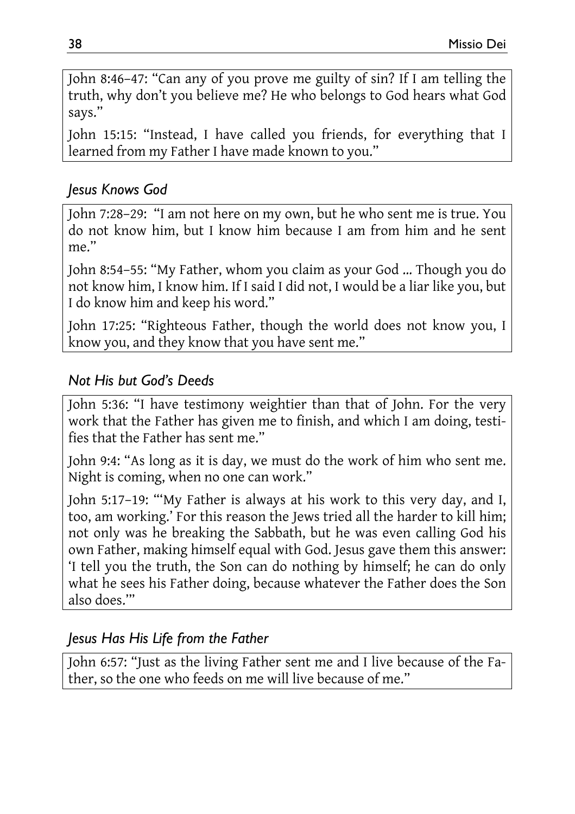John 8:46–47: "Can any of you prove me guilty of sin? If I am telling the truth, why don't you believe me? He who belongs to God hears what God says."

John 15:15: "Instead, I have called you friends, for everything that I learned from my Father I have made known to you."

#### *Jesus Knows God*

John 7:28–29: "I am not here on my own, but he who sent me is true. You do not know him, but I know him because I am from him and he sent  $me$ "

John 8:54–55: "My Father, whom you claim as your God … Though you do not know him, I know him. If I said I did not, I would be a liar like you, but I do know him and keep his word."

John 17:25: "Righteous Father, though the world does not know you, I know you, and they know that you have sent me."

#### *Not His but God's Deeds*

John 5:36: "I have testimony weightier than that of John. For the very work that the Father has given me to finish, and which I am doing, testifies that the Father has sent me."

John 9:4: "As long as it is day, we must do the work of him who sent me. Night is coming, when no one can work."

John 5:17–19: "'My Father is always at his work to this very day, and I, too, am working.' For this reason the Jews tried all the harder to kill him; not only was he breaking the Sabbath, but he was even calling God his own Father, making himself equal with God. Jesus gave them this answer: 'I tell you the truth, the Son can do nothing by himself; he can do only what he sees his Father doing, because whatever the Father does the Son also does.'"

#### *Jesus Has His Life from the Father*

John 6:57: "Just as the living Father sent me and I live because of the Father, so the one who feeds on me will live because of me."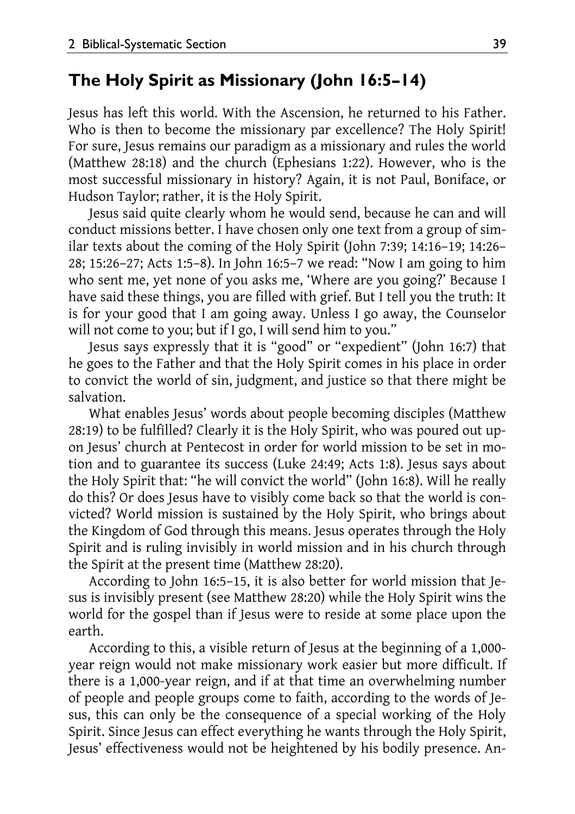#### **The Holy Spirit as Missionary (John 16:5–14)**

Jesus has left this world. With the Ascension, he returned to his Father. Who is then to become the missionary par excellence? The Holy Spirit! For sure, Jesus remains our paradigm as a missionary and rules the world (Matthew 28:18) and the church (Ephesians 1:22). However, who is the most successful missionary in history? Again, it is not Paul, Boniface, or Hudson Taylor; rather, it is the Holy Spirit.

Jesus said quite clearly whom he would send, because he can and will conduct missions better. I have chosen only one text from a group of similar texts about the coming of the Holy Spirit (John 7:39; 14:16–19; 14:26– 28; 15:26–27; Acts 1:5–8). In John 16:5–7 we read: "Now I am going to him who sent me, yet none of you asks me, 'Where are you going?' Because I have said these things, you are filled with grief. But I tell you the truth: It is for your good that I am going away. Unless I go away, the Counselor will not come to you; but if I go, I will send him to you."

Jesus says expressly that it is "good" or "expedient" (John 16:7) that he goes to the Father and that the Holy Spirit comes in his place in order to convict the world of sin, judgment, and justice so that there might be salvation.

What enables Jesus' words about people becoming disciples (Matthew 28:19) to be fulfilled? Clearly it is the Holy Spirit, who was poured out upon Jesus' church at Pentecost in order for world mission to be set in motion and to guarantee its success (Luke 24:49; Acts 1:8). Jesus says about the Holy Spirit that: "he will convict the world" (John 16:8). Will he really do this? Or does Jesus have to visibly come back so that the world is convicted? World mission is sustained by the Holy Spirit, who brings about the Kingdom of God through this means. Jesus operates through the Holy Spirit and is ruling invisibly in world mission and in his church through the Spirit at the present time (Matthew 28:20).

According to John 16:5–15, it is also better for world mission that Jesus is invisibly present (see Matthew 28:20) while the Holy Spirit wins the world for the gospel than if Jesus were to reside at some place upon the earth.

According to this, a visible return of Jesus at the beginning of a 1,000 year reign would not make missionary work easier but more difficult. If there is a 1,000-year reign, and if at that time an overwhelming number of people and people groups come to faith, according to the words of Jesus, this can only be the consequence of a special working of the Holy Spirit. Since Jesus can effect everything he wants through the Holy Spirit, Jesus' effectiveness would not be heightened by his bodily presence. An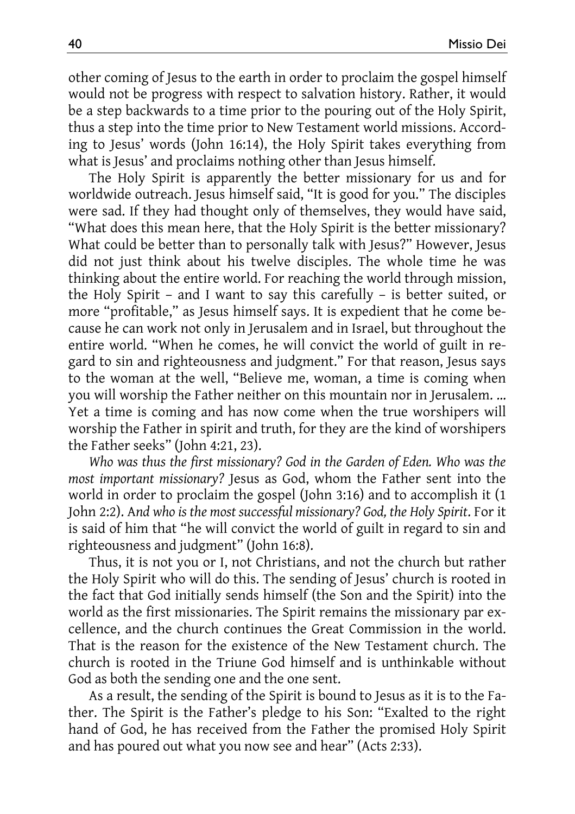other coming of Jesus to the earth in order to proclaim the gospel himself would not be progress with respect to salvation history. Rather, it would be a step backwards to a time prior to the pouring out of the Holy Spirit, thus a step into the time prior to New Testament world missions. According to Jesus' words (John 16:14), the Holy Spirit takes everything from what is Jesus' and proclaims nothing other than Jesus himself.

The Holy Spirit is apparently the better missionary for us and for worldwide outreach. Jesus himself said, "It is good for you." The disciples were sad. If they had thought only of themselves, they would have said, "What does this mean here, that the Holy Spirit is the better missionary? What could be better than to personally talk with Jesus?" However, Jesus did not just think about his twelve disciples. The whole time he was thinking about the entire world. For reaching the world through mission, the Holy Spirit – and I want to say this carefully – is better suited, or more "profitable," as Jesus himself says. It is expedient that he come because he can work not only in Jerusalem and in Israel, but throughout the entire world. "When he comes, he will convict the world of guilt in regard to sin and righteousness and judgment." For that reason, Jesus says to the woman at the well, "Believe me, woman, a time is coming when you will worship the Father neither on this mountain nor in Jerusalem. … Yet a time is coming and has now come when the true worshipers will worship the Father in spirit and truth, for they are the kind of worshipers the Father seeks" (John 4:21, 23).

*Who was thus the first missionary? God in the Garden of Eden. Who was the most important missionary?* Jesus as God, whom the Father sent into the world in order to proclaim the gospel (John 3:16) and to accomplish it (1 John 2:2). A*nd who is the most successful missionary? God, the Holy Spirit*. For it is said of him that "he will convict the world of guilt in regard to sin and righteousness and judgment" (John 16:8).

Thus, it is not you or I, not Christians, and not the church but rather the Holy Spirit who will do this. The sending of Jesus' church is rooted in the fact that God initially sends himself (the Son and the Spirit) into the world as the first missionaries. The Spirit remains the missionary par excellence, and the church continues the Great Commission in the world. That is the reason for the existence of the New Testament church. The church is rooted in the Triune God himself and is unthinkable without God as both the sending one and the one sent.

As a result, the sending of the Spirit is bound to Jesus as it is to the Father. The Spirit is the Father's pledge to his Son: "Exalted to the right hand of God, he has received from the Father the promised Holy Spirit and has poured out what you now see and hear" (Acts 2:33).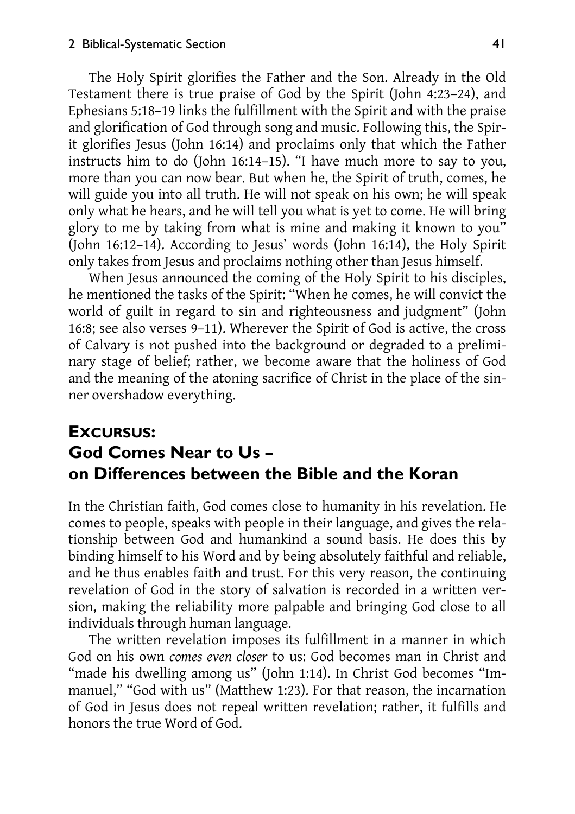The Holy Spirit glorifies the Father and the Son. Already in the Old Testament there is true praise of God by the Spirit (John 4:23–24), and Ephesians 5:18–19 links the fulfillment with the Spirit and with the praise and glorification of God through song and music. Following this, the Spirit glorifies Jesus (John 16:14) and proclaims only that which the Father instructs him to do (John 16:14–15). "I have much more to say to you, more than you can now bear. But when he, the Spirit of truth, comes, he will guide you into all truth. He will not speak on his own; he will speak only what he hears, and he will tell you what is yet to come. He will bring glory to me by taking from what is mine and making it known to you" (John 16:12–14). According to Jesus' words (John 16:14), the Holy Spirit only takes from Jesus and proclaims nothing other than Jesus himself.

When Jesus announced the coming of the Holy Spirit to his disciples, he mentioned the tasks of the Spirit: "When he comes, he will convict the world of guilt in regard to sin and righteousness and judgment" (John 16:8; see also verses 9–11). Wherever the Spirit of God is active, the cross of Calvary is not pushed into the background or degraded to a preliminary stage of belief; rather, we become aware that the holiness of God and the meaning of the atoning sacrifice of Christ in the place of the sinner overshadow everything.

### **EXCURSUS: God Comes Near to Us – on Differences between the Bible and the Koran**

In the Christian faith, God comes close to humanity in his revelation. He comes to people, speaks with people in their language, and gives the relationship between God and humankind a sound basis. He does this by binding himself to his Word and by being absolutely faithful and reliable, and he thus enables faith and trust. For this very reason, the continuing revelation of God in the story of salvation is recorded in a written version, making the reliability more palpable and bringing God close to all individuals through human language.

The written revelation imposes its fulfillment in a manner in which God on his own *comes even closer* to us: God becomes man in Christ and "made his dwelling among us" (John 1:14). In Christ God becomes "Immanuel," "God with us" (Matthew 1:23). For that reason, the incarnation of God in Jesus does not repeal written revelation; rather, it fulfills and honors the true Word of God.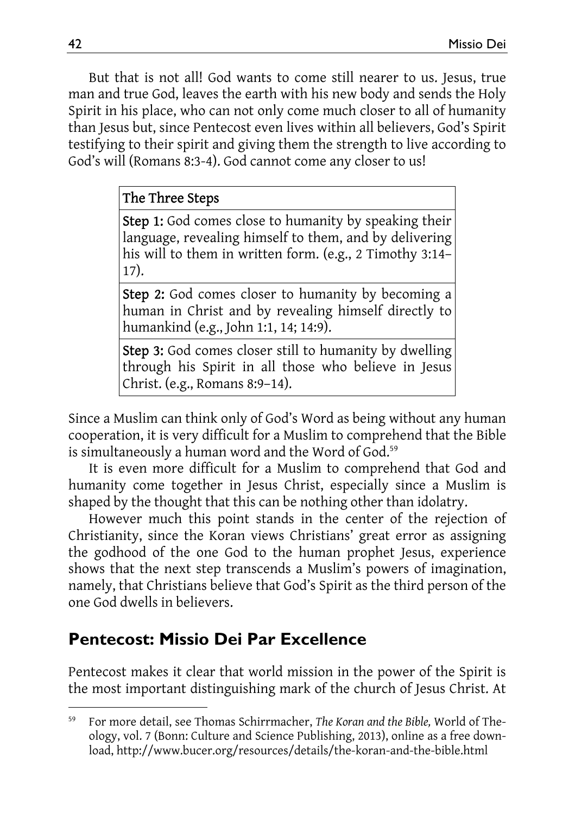But that is not all! God wants to come still nearer to us. Jesus, true man and true God, leaves the earth with his new body and sends the Holy Spirit in his place, who can not only come much closer to all of humanity than Jesus but, since Pentecost even lives within all believers, God's Spirit testifying to their spirit and giving them the strength to live according to God's will (Romans 8:3-4). God cannot come any closer to us!

#### The Three Steps

Step 1: God comes close to humanity by speaking their language, revealing himself to them, and by delivering his will to them in written form. (e.g., 2 Timothy 3:14– 17).

Step 2: God comes closer to humanity by becoming a human in Christ and by revealing himself directly to humankind (e.g., John 1:1, 14; 14:9).

**Step 3:** God comes closer still to humanity by dwelling through his Spirit in all those who believe in Jesus Christ. (e.g., Romans 8:9–14).

Since a Muslim can think only of God's Word as being without any human cooperation, it is very difficult for a Muslim to comprehend that the Bible is simultaneously a human word and the Word of God.<sup>59</sup>

It is even more difficult for a Muslim to comprehend that God and humanity come together in Jesus Christ, especially since a Muslim is shaped by the thought that this can be nothing other than idolatry.

However much this point stands in the center of the rejection of Christianity, since the Koran views Christians' great error as assigning the godhood of the one God to the human prophet Jesus, experience shows that the next step transcends a Muslim's powers of imagination, namely, that Christians believe that God's Spirit as the third person of the one God dwells in believers.

# **Pentecost: Missio Dei Par Excellence**

Pentecost makes it clear that world mission in the power of the Spirit is the most important distinguishing mark of the church of Jesus Christ. At

 $\overline{\phantom{a}}$ 

<sup>59</sup> For more detail, see Thomas Schirrmacher, *The Koran and the Bible,* World of Theology, vol. 7 (Bonn: Culture and Science Publishing, 2013), online as a free download, http://www.bucer.org/resources/details/the-koran-and-the-bible.html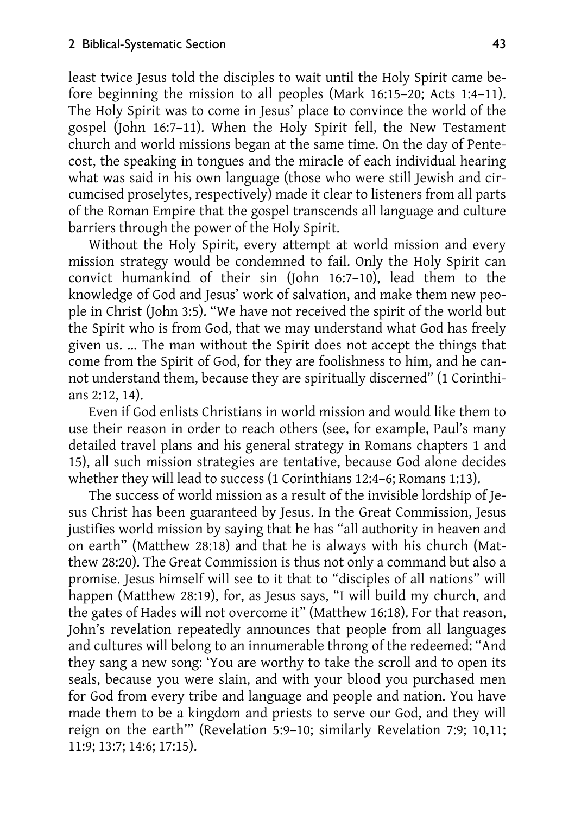least twice Jesus told the disciples to wait until the Holy Spirit came before beginning the mission to all peoples (Mark 16:15–20; Acts 1:4–11). The Holy Spirit was to come in Jesus' place to convince the world of the gospel (John 16:7–11). When the Holy Spirit fell, the New Testament church and world missions began at the same time. On the day of Pentecost, the speaking in tongues and the miracle of each individual hearing what was said in his own language (those who were still Jewish and circumcised proselytes, respectively) made it clear to listeners from all parts of the Roman Empire that the gospel transcends all language and culture barriers through the power of the Holy Spirit.

Without the Holy Spirit, every attempt at world mission and every mission strategy would be condemned to fail. Only the Holy Spirit can convict humankind of their sin (John 16:7–10), lead them to the knowledge of God and Jesus' work of salvation, and make them new people in Christ (John 3:5). "We have not received the spirit of the world but the Spirit who is from God, that we may understand what God has freely given us. … The man without the Spirit does not accept the things that come from the Spirit of God, for they are foolishness to him, and he cannot understand them, because they are spiritually discerned" (1 Corinthians 2:12, 14).

Even if God enlists Christians in world mission and would like them to use their reason in order to reach others (see, for example, Paul's many detailed travel plans and his general strategy in Romans chapters 1 and 15), all such mission strategies are tentative, because God alone decides whether they will lead to success (1 Corinthians 12:4–6; Romans 1:13).

The success of world mission as a result of the invisible lordship of Jesus Christ has been guaranteed by Jesus. In the Great Commission, Jesus justifies world mission by saying that he has "all authority in heaven and on earth" (Matthew 28:18) and that he is always with his church (Matthew 28:20). The Great Commission is thus not only a command but also a promise. Jesus himself will see to it that to "disciples of all nations" will happen (Matthew 28:19), for, as Jesus says, "I will build my church, and the gates of Hades will not overcome it" (Matthew 16:18). For that reason, John's revelation repeatedly announces that people from all languages and cultures will belong to an innumerable throng of the redeemed: "And they sang a new song: 'You are worthy to take the scroll and to open its seals, because you were slain, and with your blood you purchased men for God from every tribe and language and people and nation. You have made them to be a kingdom and priests to serve our God, and they will reign on the earth'" (Revelation 5:9–10; similarly Revelation 7:9; 10,11; 11:9; 13:7; 14:6; 17:15).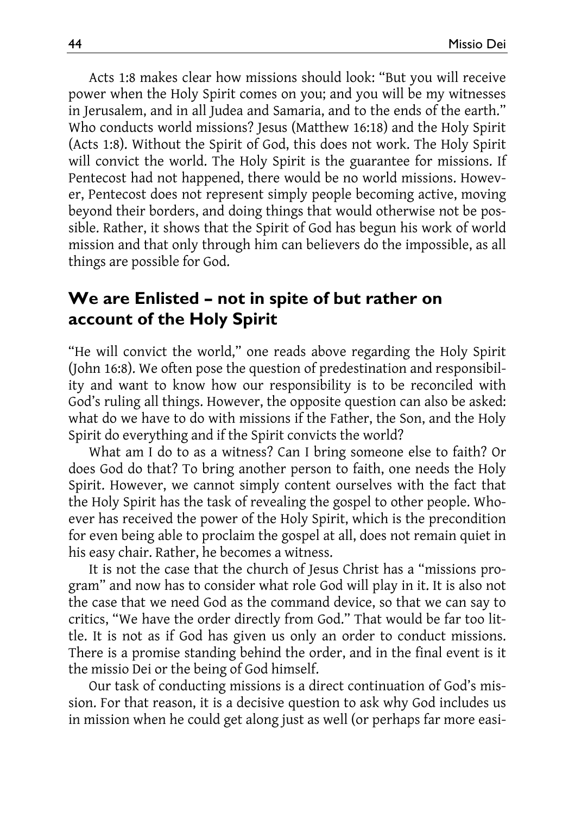Acts 1:8 makes clear how missions should look: "But you will receive power when the Holy Spirit comes on you; and you will be my witnesses in Jerusalem, and in all Judea and Samaria, and to the ends of the earth." Who conducts world missions? Jesus (Matthew 16:18) and the Holy Spirit (Acts 1:8). Without the Spirit of God, this does not work. The Holy Spirit will convict the world. The Holy Spirit is the guarantee for missions. If Pentecost had not happened, there would be no world missions. However, Pentecost does not represent simply people becoming active, moving beyond their borders, and doing things that would otherwise not be possible. Rather, it shows that the Spirit of God has begun his work of world mission and that only through him can believers do the impossible, as all things are possible for God.

### **We are Enlisted – not in spite of but rather on account of the Holy Spirit**

"He will convict the world," one reads above regarding the Holy Spirit (John 16:8). We often pose the question of predestination and responsibility and want to know how our responsibility is to be reconciled with God's ruling all things. However, the opposite question can also be asked: what do we have to do with missions if the Father, the Son, and the Holy Spirit do everything and if the Spirit convicts the world?

What am I do to as a witness? Can I bring someone else to faith? Or does God do that? To bring another person to faith, one needs the Holy Spirit. However, we cannot simply content ourselves with the fact that the Holy Spirit has the task of revealing the gospel to other people. Whoever has received the power of the Holy Spirit, which is the precondition for even being able to proclaim the gospel at all, does not remain quiet in his easy chair. Rather, he becomes a witness.

It is not the case that the church of Jesus Christ has a "missions program" and now has to consider what role God will play in it. It is also not the case that we need God as the command device, so that we can say to critics, "We have the order directly from God." That would be far too little. It is not as if God has given us only an order to conduct missions. There is a promise standing behind the order, and in the final event is it the missio Dei or the being of God himself.

Our task of conducting missions is a direct continuation of God's mission. For that reason, it is a decisive question to ask why God includes us in mission when he could get along just as well (or perhaps far more easi-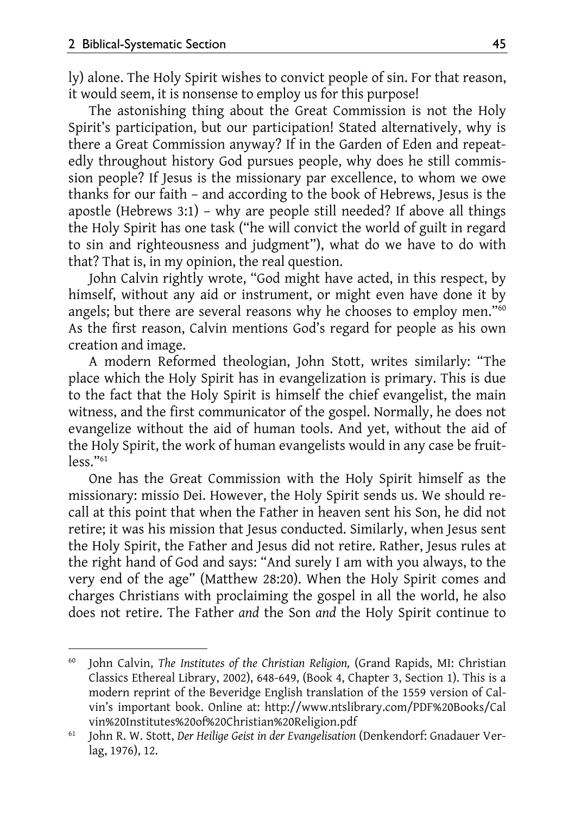$\overline{a}$ 

ly) alone. The Holy Spirit wishes to convict people of sin. For that reason, it would seem, it is nonsense to employ us for this purpose!

The astonishing thing about the Great Commission is not the Holy Spirit's participation, but our participation! Stated alternatively, why is there a Great Commission anyway? If in the Garden of Eden and repeatedly throughout history God pursues people, why does he still commission people? If Jesus is the missionary par excellence, to whom we owe thanks for our faith – and according to the book of Hebrews, Jesus is the apostle (Hebrews 3:1) – why are people still needed? If above all things the Holy Spirit has one task ("he will convict the world of guilt in regard to sin and righteousness and judgment"), what do we have to do with that? That is, in my opinion, the real question.

John Calvin rightly wrote, "God might have acted, in this respect, by himself, without any aid or instrument, or might even have done it by angels; but there are several reasons why he chooses to employ men."<sup>60</sup> As the first reason, Calvin mentions God's regard for people as his own creation and image.

A modern Reformed theologian, John Stott, writes similarly: "The place which the Holy Spirit has in evangelization is primary. This is due to the fact that the Holy Spirit is himself the chief evangelist, the main witness, and the first communicator of the gospel. Normally, he does not evangelize without the aid of human tools. And yet, without the aid of the Holy Spirit, the work of human evangelists would in any case be fruit $less$ ." $61$ 

One has the Great Commission with the Holy Spirit himself as the missionary: missio Dei. However, the Holy Spirit sends us. We should recall at this point that when the Father in heaven sent his Son, he did not retire; it was his mission that Jesus conducted. Similarly, when Jesus sent the Holy Spirit, the Father and Jesus did not retire. Rather, Jesus rules at the right hand of God and says: "And surely I am with you always, to the very end of the age" (Matthew 28:20). When the Holy Spirit comes and charges Christians with proclaiming the gospel in all the world, he also does not retire. The Father *and* the Son *and* the Holy Spirit continue to

<sup>60</sup> John Calvin, *The Institutes of the Christian Religion,* (Grand Rapids, MI: Christian Classics Ethereal Library, 2002), 648-649, (Book 4, Chapter 3, Section 1). This is a modern reprint of the Beveridge English translation of the 1559 version of Calvin's important book. Online at: http://www.ntslibrary.com/PDF%20Books/Cal vin%20Institutes%20of%20Christian%20Religion.pdf 61 John R. W. Stott, *Der Heilige Geist in der Evangelisation* (Denkendorf: Gnadauer Ver-

lag, 1976), 12.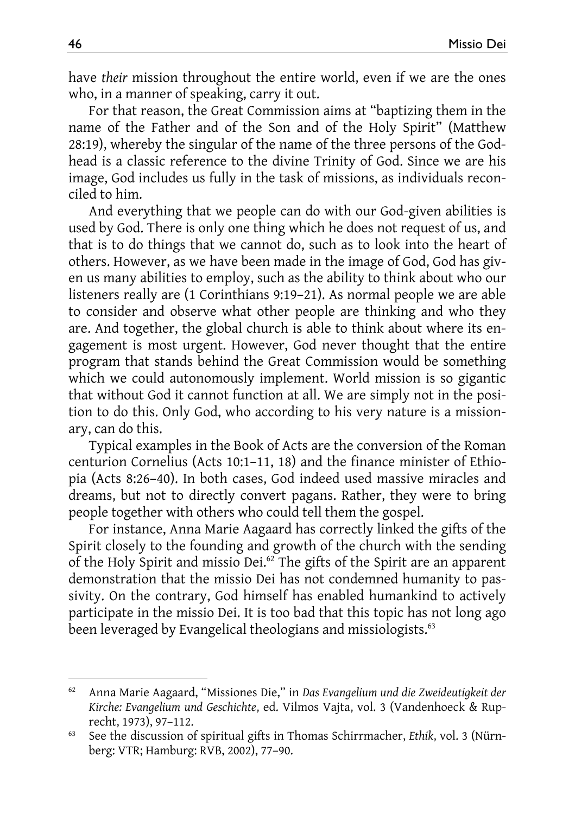have *their* mission throughout the entire world, even if we are the ones who, in a manner of speaking, carry it out.

For that reason, the Great Commission aims at "baptizing them in the name of the Father and of the Son and of the Holy Spirit" (Matthew 28:19), whereby the singular of the name of the three persons of the Godhead is a classic reference to the divine Trinity of God. Since we are his image, God includes us fully in the task of missions, as individuals reconciled to him.

And everything that we people can do with our God-given abilities is used by God. There is only one thing which he does not request of us, and that is to do things that we cannot do, such as to look into the heart of others. However, as we have been made in the image of God, God has given us many abilities to employ, such as the ability to think about who our listeners really are (1 Corinthians 9:19–21). As normal people we are able to consider and observe what other people are thinking and who they are. And together, the global church is able to think about where its engagement is most urgent. However, God never thought that the entire program that stands behind the Great Commission would be something which we could autonomously implement. World mission is so gigantic that without God it cannot function at all. We are simply not in the position to do this. Only God, who according to his very nature is a missionary, can do this.

Typical examples in the Book of Acts are the conversion of the Roman centurion Cornelius (Acts 10:1–11, 18) and the finance minister of Ethiopia (Acts 8:26–40). In both cases, God indeed used massive miracles and dreams, but not to directly convert pagans. Rather, they were to bring people together with others who could tell them the gospel.

For instance, Anna Marie Aagaard has correctly linked the gifts of the Spirit closely to the founding and growth of the church with the sending of the Holy Spirit and missio Dei.<sup>62</sup> The gifts of the Spirit are an apparent demonstration that the missio Dei has not condemned humanity to passivity. On the contrary, God himself has enabled humankind to actively participate in the missio Dei. It is too bad that this topic has not long ago been leveraged by Evangelical theologians and missiologists.<sup>63</sup>

 $\overline{\phantom{a}}$ 

<sup>62</sup> Anna Marie Aagaard, "Missiones Die," in *Das Evangelium und die Zweideutigkeit der Kirche: Evangelium und Geschichte*, ed. Vilmos Vajta, vol. 3 (Vandenhoeck & Rup-

recht, 1973), 97–112. 63 See the discussion of spiritual gifts in Thomas Schirrmacher, *Ethik*, vol. 3 (Nürnberg: VTR; Hamburg: RVB, 2002), 77–90.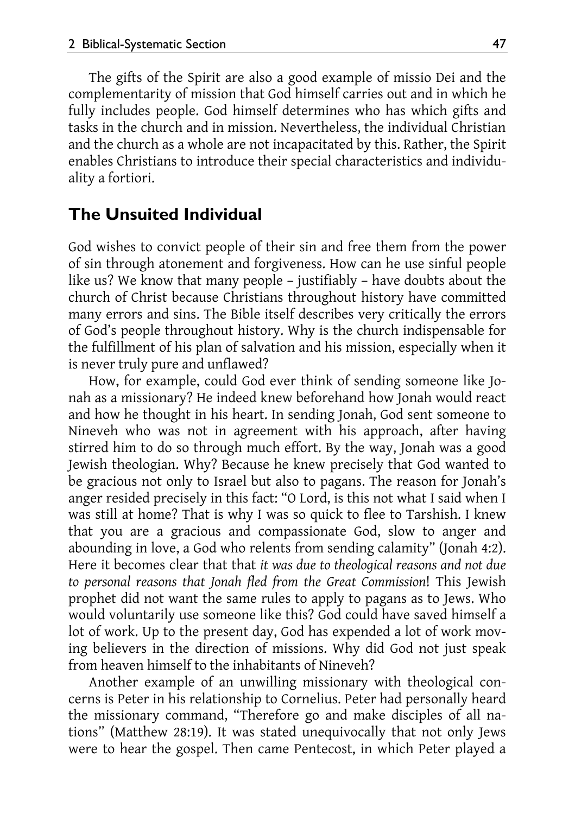The gifts of the Spirit are also a good example of missio Dei and the complementarity of mission that God himself carries out and in which he fully includes people. God himself determines who has which gifts and tasks in the church and in mission. Nevertheless, the individual Christian and the church as a whole are not incapacitated by this. Rather, the Spirit enables Christians to introduce their special characteristics and individuality a fortiori.

#### **The Unsuited Individual**

God wishes to convict people of their sin and free them from the power of sin through atonement and forgiveness. How can he use sinful people like us? We know that many people – justifiably – have doubts about the church of Christ because Christians throughout history have committed many errors and sins. The Bible itself describes very critically the errors of God's people throughout history. Why is the church indispensable for the fulfillment of his plan of salvation and his mission, especially when it is never truly pure and unflawed?

How, for example, could God ever think of sending someone like Jonah as a missionary? He indeed knew beforehand how Jonah would react and how he thought in his heart. In sending Jonah, God sent someone to Nineveh who was not in agreement with his approach, after having stirred him to do so through much effort. By the way, Jonah was a good Jewish theologian. Why? Because he knew precisely that God wanted to be gracious not only to Israel but also to pagans. The reason for Jonah's anger resided precisely in this fact: "O Lord, is this not what I said when I was still at home? That is why I was so quick to flee to Tarshish. I knew that you are a gracious and compassionate God, slow to anger and abounding in love, a God who relents from sending calamity" (Jonah 4:2). Here it becomes clear that that *it was due to theological reasons and not due to personal reasons that Jonah fled from the Great Commission*! This Jewish prophet did not want the same rules to apply to pagans as to Jews. Who would voluntarily use someone like this? God could have saved himself a lot of work. Up to the present day, God has expended a lot of work moving believers in the direction of missions. Why did God not just speak from heaven himself to the inhabitants of Nineveh?

Another example of an unwilling missionary with theological concerns is Peter in his relationship to Cornelius. Peter had personally heard the missionary command, "Therefore go and make disciples of all nations" (Matthew 28:19). It was stated unequivocally that not only Jews were to hear the gospel. Then came Pentecost, in which Peter played a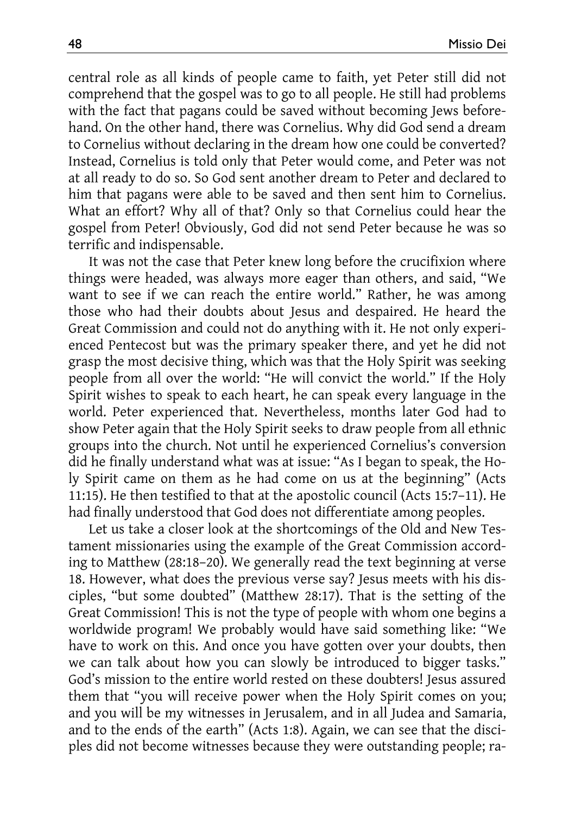central role as all kinds of people came to faith, yet Peter still did not comprehend that the gospel was to go to all people. He still had problems with the fact that pagans could be saved without becoming Jews beforehand. On the other hand, there was Cornelius. Why did God send a dream to Cornelius without declaring in the dream how one could be converted? Instead, Cornelius is told only that Peter would come, and Peter was not at all ready to do so. So God sent another dream to Peter and declared to him that pagans were able to be saved and then sent him to Cornelius. What an effort? Why all of that? Only so that Cornelius could hear the gospel from Peter! Obviously, God did not send Peter because he was so terrific and indispensable.

It was not the case that Peter knew long before the crucifixion where things were headed, was always more eager than others, and said, "We want to see if we can reach the entire world." Rather, he was among those who had their doubts about Jesus and despaired. He heard the Great Commission and could not do anything with it. He not only experienced Pentecost but was the primary speaker there, and yet he did not grasp the most decisive thing, which was that the Holy Spirit was seeking people from all over the world: "He will convict the world." If the Holy Spirit wishes to speak to each heart, he can speak every language in the world. Peter experienced that. Nevertheless, months later God had to show Peter again that the Holy Spirit seeks to draw people from all ethnic groups into the church. Not until he experienced Cornelius's conversion did he finally understand what was at issue: "As I began to speak, the Holy Spirit came on them as he had come on us at the beginning" (Acts 11:15). He then testified to that at the apostolic council (Acts 15:7–11). He had finally understood that God does not differentiate among peoples.

Let us take a closer look at the shortcomings of the Old and New Testament missionaries using the example of the Great Commission according to Matthew (28:18–20). We generally read the text beginning at verse 18. However, what does the previous verse say? Jesus meets with his disciples, "but some doubted" (Matthew 28:17). That is the setting of the Great Commission! This is not the type of people with whom one begins a worldwide program! We probably would have said something like: "We have to work on this. And once you have gotten over your doubts, then we can talk about how you can slowly be introduced to bigger tasks." God's mission to the entire world rested on these doubters! Jesus assured them that "you will receive power when the Holy Spirit comes on you; and you will be my witnesses in Jerusalem, and in all Judea and Samaria, and to the ends of the earth" (Acts 1:8). Again, we can see that the disciples did not become witnesses because they were outstanding people; ra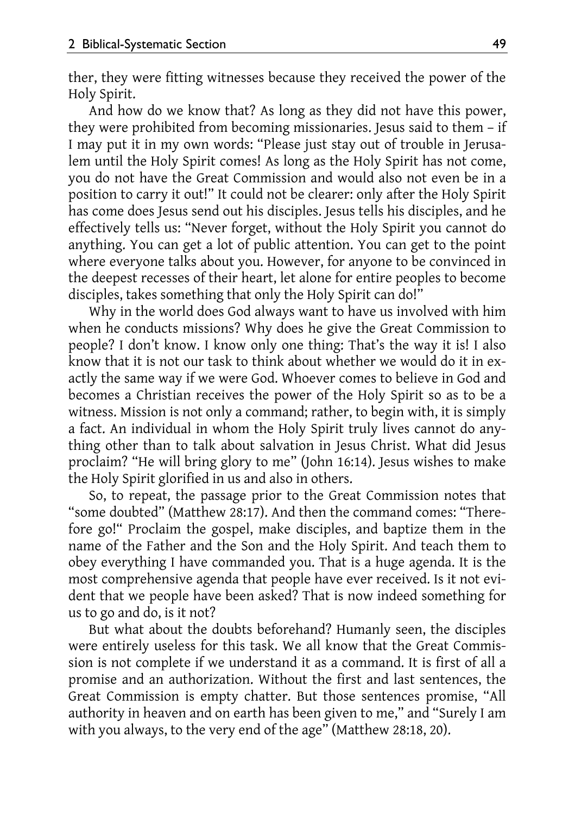ther, they were fitting witnesses because they received the power of the Holy Spirit.

And how do we know that? As long as they did not have this power, they were prohibited from becoming missionaries. Jesus said to them – if I may put it in my own words: "Please just stay out of trouble in Jerusalem until the Holy Spirit comes! As long as the Holy Spirit has not come, you do not have the Great Commission and would also not even be in a position to carry it out!" It could not be clearer: only after the Holy Spirit has come does Jesus send out his disciples. Jesus tells his disciples, and he effectively tells us: "Never forget, without the Holy Spirit you cannot do anything. You can get a lot of public attention. You can get to the point where everyone talks about you. However, for anyone to be convinced in the deepest recesses of their heart, let alone for entire peoples to become disciples, takes something that only the Holy Spirit can do!"

Why in the world does God always want to have us involved with him when he conducts missions? Why does he give the Great Commission to people? I don't know. I know only one thing: That's the way it is! I also know that it is not our task to think about whether we would do it in exactly the same way if we were God. Whoever comes to believe in God and becomes a Christian receives the power of the Holy Spirit so as to be a witness. Mission is not only a command; rather, to begin with, it is simply a fact. An individual in whom the Holy Spirit truly lives cannot do anything other than to talk about salvation in Jesus Christ. What did Jesus proclaim? "He will bring glory to me" (John 16:14). Jesus wishes to make the Holy Spirit glorified in us and also in others.

So, to repeat, the passage prior to the Great Commission notes that "some doubted" (Matthew 28:17). And then the command comes: "Therefore go!" Proclaim the gospel, make disciples, and baptize them in the name of the Father and the Son and the Holy Spirit. And teach them to obey everything I have commanded you. That is a huge agenda. It is the most comprehensive agenda that people have ever received. Is it not evident that we people have been asked? That is now indeed something for us to go and do, is it not?

But what about the doubts beforehand? Humanly seen, the disciples were entirely useless for this task. We all know that the Great Commission is not complete if we understand it as a command. It is first of all a promise and an authorization. Without the first and last sentences, the Great Commission is empty chatter. But those sentences promise, "All authority in heaven and on earth has been given to me," and "Surely I am with you always, to the very end of the age" (Matthew 28:18, 20).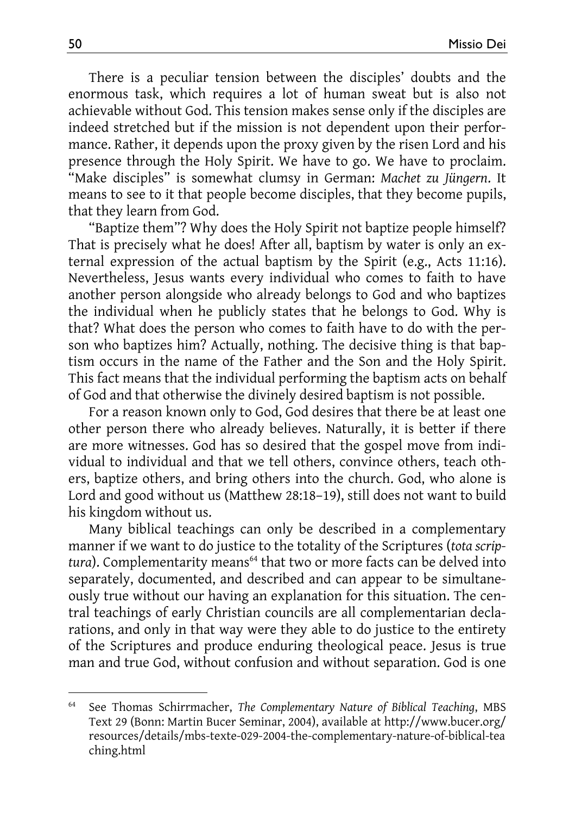There is a peculiar tension between the disciples' doubts and the enormous task, which requires a lot of human sweat but is also not achievable without God. This tension makes sense only if the disciples are indeed stretched but if the mission is not dependent upon their performance. Rather, it depends upon the proxy given by the risen Lord and his presence through the Holy Spirit. We have to go. We have to proclaim. "Make disciples" is somewhat clumsy in German: *Machet zu Jüngern*. It means to see to it that people become disciples, that they become pupils, that they learn from God.

"Baptize them"? Why does the Holy Spirit not baptize people himself? That is precisely what he does! After all, baptism by water is only an external expression of the actual baptism by the Spirit (e.g., Acts 11:16). Nevertheless, Jesus wants every individual who comes to faith to have another person alongside who already belongs to God and who baptizes the individual when he publicly states that he belongs to God. Why is that? What does the person who comes to faith have to do with the person who baptizes him? Actually, nothing. The decisive thing is that baptism occurs in the name of the Father and the Son and the Holy Spirit. This fact means that the individual performing the baptism acts on behalf of God and that otherwise the divinely desired baptism is not possible.

For a reason known only to God, God desires that there be at least one other person there who already believes. Naturally, it is better if there are more witnesses. God has so desired that the gospel move from individual to individual and that we tell others, convince others, teach others, baptize others, and bring others into the church. God, who alone is Lord and good without us (Matthew 28:18–19), still does not want to build his kingdom without us.

Many biblical teachings can only be described in a complementary manner if we want to do justice to the totality of the Scriptures (*tota scrip*tura). Complementarity means<sup>64</sup> that two or more facts can be delved into separately, documented, and described and can appear to be simultaneously true without our having an explanation for this situation. The central teachings of early Christian councils are all complementarian declarations, and only in that way were they able to do justice to the entirety of the Scriptures and produce enduring theological peace. Jesus is true man and true God, without confusion and without separation. God is one

 $\overline{a}$ 

<sup>64</sup> See Thomas Schirrmacher, *The Complementary Nature of Biblical Teaching*, MBS Text 29 (Bonn: Martin Bucer Seminar, 2004), available at http://www.bucer.org/ resources/details/mbs-texte-029-2004-the-complementary-nature-of-biblical-tea ching.html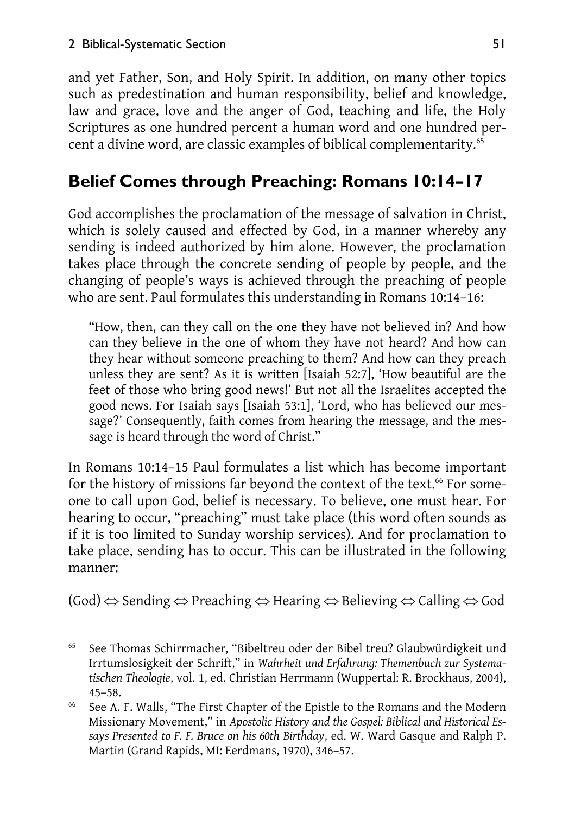and yet Father, Son, and Holy Spirit. In addition, on many other topics such as predestination and human responsibility, belief and knowledge, law and grace, love and the anger of God, teaching and life, the Holy Scriptures as one hundred percent a human word and one hundred percent a divine word, are classic examples of biblical complementarity.<sup>65</sup>

# **Belief Comes through Preaching: Romans 10:14–17**

God accomplishes the proclamation of the message of salvation in Christ, which is solely caused and effected by God, in a manner whereby any sending is indeed authorized by him alone. However, the proclamation takes place through the concrete sending of people by people, and the changing of people's ways is achieved through the preaching of people who are sent. Paul formulates this understanding in Romans 10:14–16:

"How, then, can they call on the one they have not believed in? And how can they believe in the one of whom they have not heard? And how can they hear without someone preaching to them? And how can they preach unless they are sent? As it is written [Isaiah 52:7], 'How beautiful are the feet of those who bring good news!' But not all the Israelites accepted the good news. For Isaiah says [Isaiah 53:1], 'Lord, who has believed our message?' Consequently, faith comes from hearing the message, and the message is heard through the word of Christ."

In Romans 10:14–15 Paul formulates a list which has become important for the history of missions far beyond the context of the text.<sup>66</sup> For someone to call upon God, belief is necessary. To believe, one must hear. For hearing to occur, "preaching" must take place (this word often sounds as if it is too limited to Sunday worship services). And for proclamation to take place, sending has to occur. This can be illustrated in the following manner:

 $(God) \Leftrightarrow$  Sending  $\Leftrightarrow$  Preaching  $\Leftrightarrow$  Hearing  $\Leftrightarrow$  Believing  $\Leftrightarrow$  Calling  $\Leftrightarrow$  God

l 65 See Thomas Schirrmacher, "Bibeltreu oder der Bibel treu? Glaubwürdigkeit und Irrtumslosigkeit der Schrift," in *Wahrheit und Erfahrung: Themenbuch zur Systematischen Theologie*, vol. 1, ed. Christian Herrmann (Wuppertal: R. Brockhaus, 2004),

<sup>45–58. 66</sup> See A. F. Walls, "The First Chapter of the Epistle to the Romans and the Modern Missionary Movement," in *Apostolic History and the Gospel: Biblical and Historical Essays Presented to F. F. Bruce on his 60th Birthday*, ed. W. Ward Gasque and Ralph P. Martin (Grand Rapids, MI: Eerdmans, 1970), 346–57.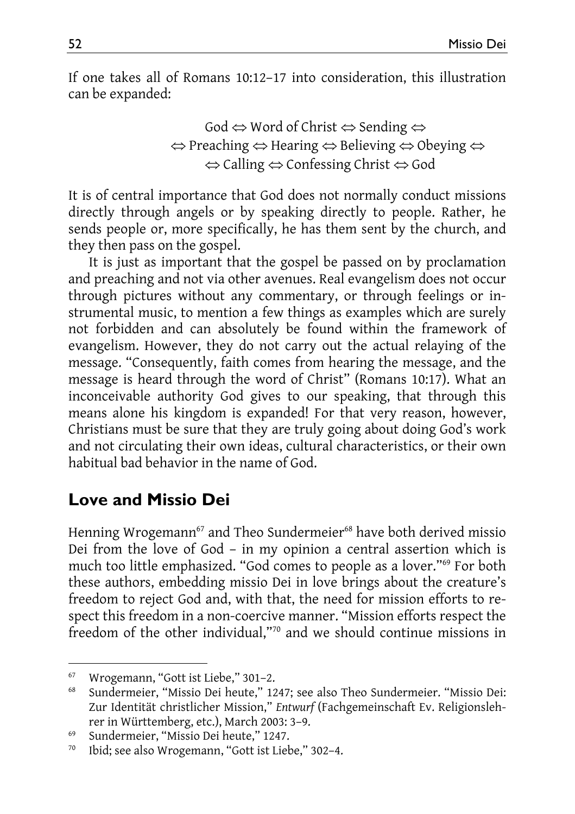If one takes all of Romans 10:12–17 into consideration, this illustration can be expanded:

> God  $\Leftrightarrow$  Word of Christ  $\Leftrightarrow$  Sending  $\Leftrightarrow$  $\Leftrightarrow$  Preaching  $\Leftrightarrow$  Hearing  $\Leftrightarrow$  Believing  $\Leftrightarrow$  Obeying  $\Leftrightarrow$  $\Leftrightarrow$  Calling  $\Leftrightarrow$  Confessing Christ  $\Leftrightarrow$  God

It is of central importance that God does not normally conduct missions directly through angels or by speaking directly to people. Rather, he sends people or, more specifically, he has them sent by the church, and they then pass on the gospel.

It is just as important that the gospel be passed on by proclamation and preaching and not via other avenues. Real evangelism does not occur through pictures without any commentary, or through feelings or instrumental music, to mention a few things as examples which are surely not forbidden and can absolutely be found within the framework of evangelism. However, they do not carry out the actual relaying of the message. "Consequently, faith comes from hearing the message, and the message is heard through the word of Christ" (Romans 10:17). What an inconceivable authority God gives to our speaking, that through this means alone his kingdom is expanded! For that very reason, however, Christians must be sure that they are truly going about doing God's work and not circulating their own ideas, cultural characteristics, or their own habitual bad behavior in the name of God.

# **Love and Missio Dei**

Henning Wrogemann<sup>67</sup> and Theo Sundermeier<sup>68</sup> have both derived missio Dei from the love of God – in my opinion a central assertion which is much too little emphasized. "God comes to people as a lover."69 For both these authors, embedding missio Dei in love brings about the creature's freedom to reject God and, with that, the need for mission efforts to respect this freedom in a non-coercive manner. "Mission efforts respect the freedom of the other individual,"70 and we should continue missions in

l 67 Wrogemann, "Gott ist Liebe," 301–2.

<sup>68</sup> Sundermeier, "Missio Dei heute," 1247; see also Theo Sundermeier. "Missio Dei: Zur Identität christlicher Mission," *Entwurf* (Fachgemeinschaft Ev. Religionslehrer in Württemberg, etc.), March 2003: 3–9. 69 Sundermeier, "Missio Dei heute," 1247.

<sup>70</sup> Ibid; see also Wrogemann, "Gott ist Liebe," 302–4.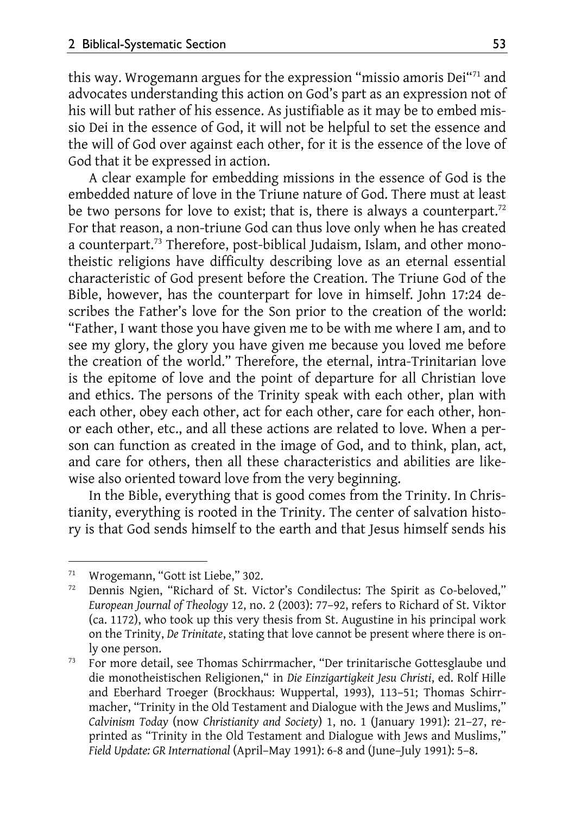this way. Wrogemann argues for the expression "missio amoris Dei<sup>"71</sup> and advocates understanding this action on God's part as an expression not of his will but rather of his essence. As justifiable as it may be to embed missio Dei in the essence of God, it will not be helpful to set the essence and the will of God over against each other, for it is the essence of the love of God that it be expressed in action.

A clear example for embedding missions in the essence of God is the embedded nature of love in the Triune nature of God. There must at least be two persons for love to exist; that is, there is always a counterpart.<sup>72</sup> For that reason, a non-triune God can thus love only when he has created a counterpart.73 Therefore, post-biblical Judaism, Islam, and other monotheistic religions have difficulty describing love as an eternal essential characteristic of God present before the Creation. The Triune God of the Bible, however, has the counterpart for love in himself. John 17:24 describes the Father's love for the Son prior to the creation of the world: "Father, I want those you have given me to be with me where I am, and to see my glory, the glory you have given me because you loved me before the creation of the world." Therefore, the eternal, intra-Trinitarian love is the epitome of love and the point of departure for all Christian love and ethics. The persons of the Trinity speak with each other, plan with each other, obey each other, act for each other, care for each other, honor each other, etc., and all these actions are related to love. When a person can function as created in the image of God, and to think, plan, act, and care for others, then all these characteristics and abilities are likewise also oriented toward love from the very beginning.

In the Bible, everything that is good comes from the Trinity. In Christianity, everything is rooted in the Trinity. The center of salvation history is that God sends himself to the earth and that Jesus himself sends his

l

<sup>&</sup>lt;sup>71</sup> Wrogemann, "Gott ist Liebe," 302.<br><sup>72</sup> Dennis Ngien, "Richard of St. Vie

Dennis Ngien, "Richard of St. Victor's Condilectus: The Spirit as Co-beloved," *European Journal of Theology* 12, no. 2 (2003): 77–92, refers to Richard of St. Viktor (ca. 1172), who took up this very thesis from St. Augustine in his principal work on the Trinity, *De Trinitate*, stating that love cannot be present where there is on-

ly one person. 73 For more detail, see Thomas Schirrmacher, "Der trinitarische Gottesglaube und die monotheistischen Religionen," in *Die Einzigartigkeit Jesu Christi*, ed. Rolf Hille and Eberhard Troeger (Brockhaus: Wuppertal, 1993), 113–51; Thomas Schirrmacher, "Trinity in the Old Testament and Dialogue with the Jews and Muslims," *Calvinism Today* (now *Christianity and Society*) 1, no. 1 (January 1991): 21–27, reprinted as "Trinity in the Old Testament and Dialogue with Jews and Muslims," *Field Update: GR International* (April–May 1991): 6-8 and (June–July 1991): 5–8.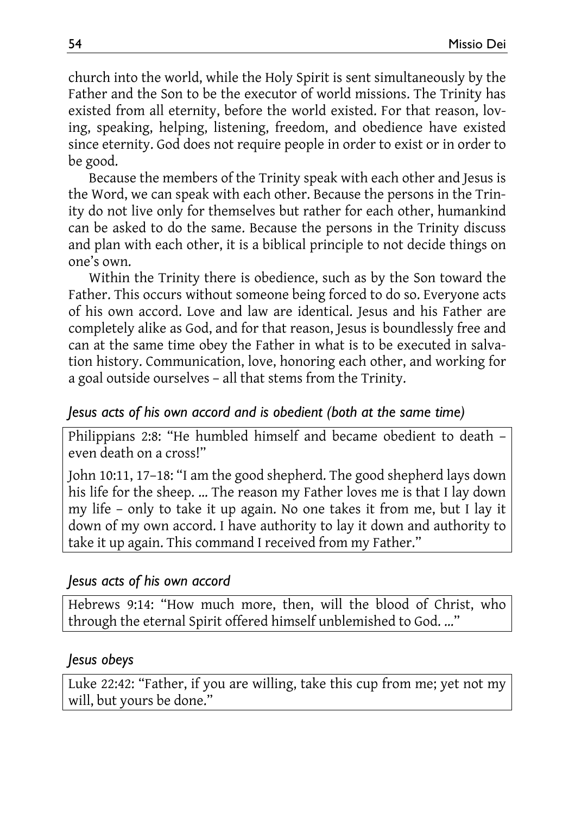church into the world, while the Holy Spirit is sent simultaneously by the Father and the Son to be the executor of world missions. The Trinity has existed from all eternity, before the world existed. For that reason, loving, speaking, helping, listening, freedom, and obedience have existed since eternity. God does not require people in order to exist or in order to be good.

Because the members of the Trinity speak with each other and Jesus is the Word, we can speak with each other. Because the persons in the Trinity do not live only for themselves but rather for each other, humankind can be asked to do the same. Because the persons in the Trinity discuss and plan with each other, it is a biblical principle to not decide things on one's own.

Within the Trinity there is obedience, such as by the Son toward the Father. This occurs without someone being forced to do so. Everyone acts of his own accord. Love and law are identical. Jesus and his Father are completely alike as God, and for that reason, Jesus is boundlessly free and can at the same time obey the Father in what is to be executed in salvation history. Communication, love, honoring each other, and working for a goal outside ourselves – all that stems from the Trinity.

#### *Jesus acts of his own accord and is obedient (both at the same time)*

Philippians 2:8: "He humbled himself and became obedient to death – even death on a cross!"

John 10:11, 17–18: "I am the good shepherd. The good shepherd lays down his life for the sheep. … The reason my Father loves me is that I lay down my life – only to take it up again. No one takes it from me, but I lay it down of my own accord. I have authority to lay it down and authority to take it up again. This command I received from my Father."

#### *Jesus acts of his own accord*

Hebrews 9:14: "How much more, then, will the blood of Christ, who through the eternal Spirit offered himself unblemished to God. …"

#### *Jesus obeys*

Luke 22:42: "Father, if you are willing, take this cup from me; yet not my will, but yours be done."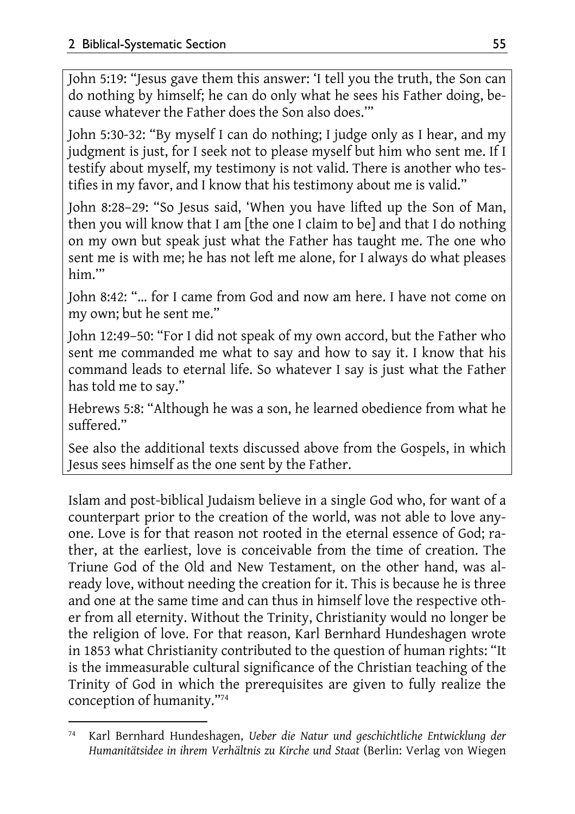John 5:19: "Jesus gave them this answer: 'I tell you the truth, the Son can do nothing by himself; he can do only what he sees his Father doing, because whatever the Father does the Son also does.'"

John 5:30-32: "By myself I can do nothing; I judge only as I hear, and my judgment is just, for I seek not to please myself but him who sent me. If I testify about myself, my testimony is not valid. There is another who testifies in my favor, and I know that his testimony about me is valid."

John 8:28–29: "So Jesus said, 'When you have lifted up the Son of Man, then you will know that I am [the one I claim to be] and that I do nothing on my own but speak just what the Father has taught me. The one who sent me is with me; he has not left me alone, for I always do what pleases him.'"

John 8:42: "… for I came from God and now am here. I have not come on my own; but he sent me."

John 12:49–50: "For I did not speak of my own accord, but the Father who sent me commanded me what to say and how to say it. I know that his command leads to eternal life. So whatever I say is just what the Father has told me to say."

Hebrews 5:8: "Although he was a son, he learned obedience from what he suffered."

See also the additional texts discussed above from the Gospels, in which Jesus sees himself as the one sent by the Father.

Islam and post-biblical Judaism believe in a single God who, for want of a counterpart prior to the creation of the world, was not able to love anyone. Love is for that reason not rooted in the eternal essence of God; rather, at the earliest, love is conceivable from the time of creation. The Triune God of the Old and New Testament, on the other hand, was already love, without needing the creation for it. This is because he is three and one at the same time and can thus in himself love the respective other from all eternity. Without the Trinity, Christianity would no longer be the religion of love. For that reason, Karl Bernhard Hundeshagen wrote in 1853 what Christianity contributed to the question of human rights: "It is the immeasurable cultural significance of the Christian teaching of the Trinity of God in which the prerequisites are given to fully realize the conception of humanity."74

 $\overline{a}$ 74 Karl Bernhard Hundeshagen, *Ueber die Natur und geschichtliche Entwicklung der Humanitätsidee in ihrem Verhältnis zu Kirche und Staat* (Berlin: Verlag von Wiegen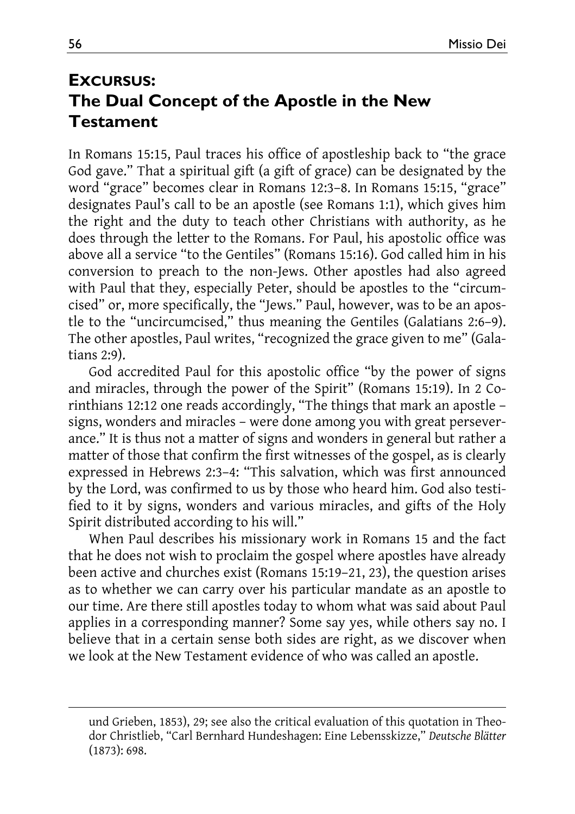### **EXCURSUS: The Dual Concept of the Apostle in the New Testament**

In Romans 15:15, Paul traces his office of apostleship back to "the grace God gave." That a spiritual gift (a gift of grace) can be designated by the word "grace" becomes clear in Romans 12:3–8. In Romans 15:15, "grace" designates Paul's call to be an apostle (see Romans 1:1), which gives him the right and the duty to teach other Christians with authority, as he does through the letter to the Romans. For Paul, his apostolic office was above all a service "to the Gentiles" (Romans 15:16). God called him in his conversion to preach to the non-Jews. Other apostles had also agreed with Paul that they, especially Peter, should be apostles to the "circumcised" or, more specifically, the "Jews." Paul, however, was to be an apostle to the "uncircumcised," thus meaning the Gentiles (Galatians 2:6–9). The other apostles, Paul writes, "recognized the grace given to me" (Galatians 2:9).

God accredited Paul for this apostolic office "by the power of signs and miracles, through the power of the Spirit" (Romans 15:19). In 2 Corinthians 12:12 one reads accordingly, "The things that mark an apostle – signs, wonders and miracles – were done among you with great perseverance." It is thus not a matter of signs and wonders in general but rather a matter of those that confirm the first witnesses of the gospel, as is clearly expressed in Hebrews 2:3–4: "This salvation, which was first announced by the Lord, was confirmed to us by those who heard him. God also testified to it by signs, wonders and various miracles, and gifts of the Holy Spirit distributed according to his will."

When Paul describes his missionary work in Romans 15 and the fact that he does not wish to proclaim the gospel where apostles have already been active and churches exist (Romans 15:19–21, 23), the question arises as to whether we can carry over his particular mandate as an apostle to our time. Are there still apostles today to whom what was said about Paul applies in a corresponding manner? Some say yes, while others say no. I believe that in a certain sense both sides are right, as we discover when we look at the New Testament evidence of who was called an apostle.

 $\overline{\phantom{a}}$ 

und Grieben, 1853), 29; see also the critical evaluation of this quotation in Theodor Christlieb, "Carl Bernhard Hundeshagen: Eine Lebensskizze," *Deutsche Blätter* (1873): 698.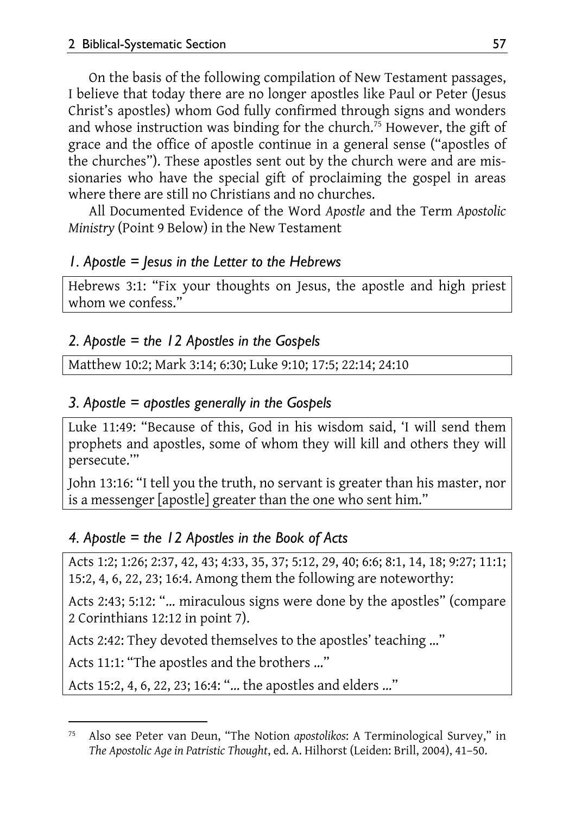On the basis of the following compilation of New Testament passages, I believe that today there are no longer apostles like Paul or Peter (Jesus Christ's apostles) whom God fully confirmed through signs and wonders and whose instruction was binding for the church.75 However, the gift of grace and the office of apostle continue in a general sense ("apostles of the churches"). These apostles sent out by the church were and are missionaries who have the special gift of proclaiming the gospel in areas where there are still no Christians and no churches.

All Documented Evidence of the Word *Apostle* and the Term *Apostolic Ministry* (Point 9 Below) in the New Testament

### *1. Apostle = Jesus in the Letter to the Hebrews*

Hebrews 3:1: "Fix your thoughts on Jesus, the apostle and high priest whom we confess."

### *2. Apostle = the 12 Apostles in the Gospels*

Matthew 10:2; Mark 3:14; 6:30; Luke 9:10; 17:5; 22:14; 24:10

### *3. Apostle = apostles generally in the Gospels*

Luke 11:49: "Because of this, God in his wisdom said, 'I will send them prophets and apostles, some of whom they will kill and others they will persecute.'"

John 13:16: "I tell you the truth, no servant is greater than his master, nor is a messenger [apostle] greater than the one who sent him."

### *4. Apostle = the 12 Apostles in the Book of Acts*

Acts 1:2; 1:26; 2:37, 42, 43; 4:33, 35, 37; 5:12, 29, 40; 6:6; 8:1, 14, 18; 9:27; 11:1; 15:2, 4, 6, 22, 23; 16:4. Among them the following are noteworthy:

Acts 2:43; 5:12: "… miraculous signs were done by the apostles" (compare 2 Corinthians 12:12 in point 7).

Acts 2:42: They devoted themselves to the apostles' teaching …"

Acts 11:1: "The apostles and the brothers …"

Acts 15:2, 4, 6, 22, 23; 16:4: "… the apostles and elders …"

 $\overline{a}$ 75 Also see Peter van Deun, "The Notion *apostolikos*: A Terminological Survey," in *The Apostolic Age in Patristic Thought*, ed. A. Hilhorst (Leiden: Brill, 2004), 41–50.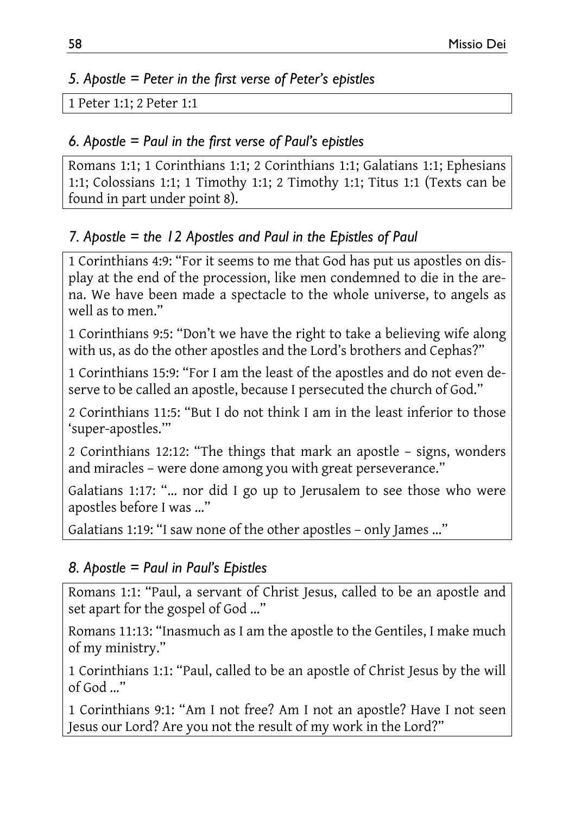### *5. Apostle = Peter in the first verse of Peter's epistles*

```
1 Peter 1:1; 2 Peter 1:1
```
### *6. Apostle = Paul in the first verse of Paul's epistles*

Romans 1:1; 1 Corinthians 1:1; 2 Corinthians 1:1; Galatians 1:1; Ephesians 1:1; Colossians 1:1; 1 Timothy 1:1; 2 Timothy 1:1; Titus 1:1 (Texts can be found in part under point 8).

### *7. Apostle = the 12 Apostles and Paul in the Epistles of Paul*

1 Corinthians 4:9: "For it seems to me that God has put us apostles on display at the end of the procession, like men condemned to die in the arena. We have been made a spectacle to the whole universe, to angels as well as to men."

1 Corinthians 9:5: "Don't we have the right to take a believing wife along with us, as do the other apostles and the Lord's brothers and Cephas?"

1 Corinthians 15:9: "For I am the least of the apostles and do not even deserve to be called an apostle, because I persecuted the church of God."

2 Corinthians 11:5: "But I do not think I am in the least inferior to those 'super-apostles.'"

2 Corinthians 12:12: "The things that mark an apostle – signs, wonders and miracles – were done among you with great perseverance."

Galatians 1:17: "… nor did I go up to Jerusalem to see those who were apostles before I was …"

Galatians 1:19: "I saw none of the other apostles – only James …"

### *8. Apostle = Paul in Paul's Epistles*

Romans 1:1: "Paul, a servant of Christ Jesus, called to be an apostle and set apart for the gospel of God …"

Romans 11:13: "Inasmuch as I am the apostle to the Gentiles, I make much of my ministry."

1 Corinthians 1:1: "Paul, called to be an apostle of Christ Jesus by the will of God …"

1 Corinthians 9:1: "Am I not free? Am I not an apostle? Have I not seen Jesus our Lord? Are you not the result of my work in the Lord?"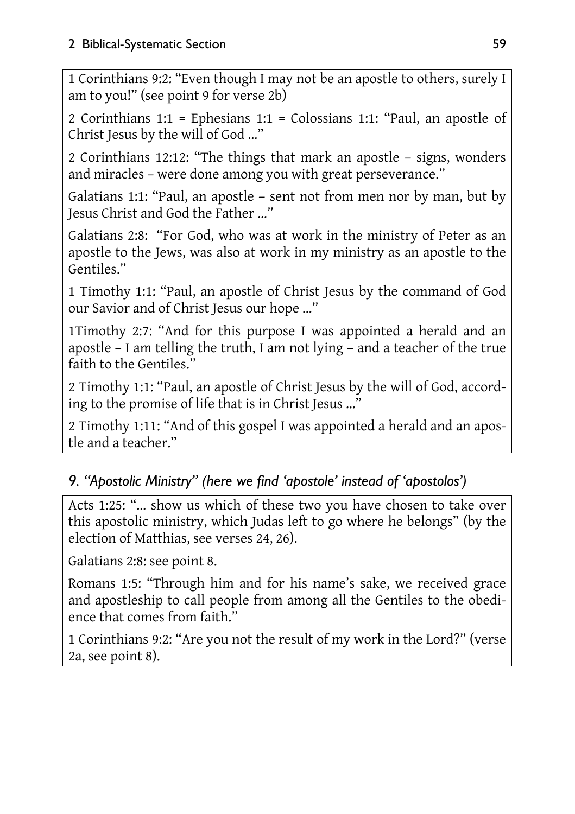1 Corinthians 9:2: "Even though I may not be an apostle to others, surely I am to you!" (see point 9 for verse 2b)

2 Corinthians 1:1 = Ephesians 1:1 = Colossians 1:1: "Paul, an apostle of Christ Jesus by the will of God …"

2 Corinthians 12:12: "The things that mark an apostle – signs, wonders and miracles – were done among you with great perseverance."

Galatians 1:1: "Paul, an apostle – sent not from men nor by man, but by Jesus Christ and God the Father …"

Galatians 2:8: "For God, who was at work in the ministry of Peter as an apostle to the Jews, was also at work in my ministry as an apostle to the Gentiles."

1 Timothy 1:1: "Paul, an apostle of Christ Jesus by the command of God our Savior and of Christ Jesus our hope …"

1Timothy 2:7: "And for this purpose I was appointed a herald and an apostle – I am telling the truth, I am not lying – and a teacher of the true faith to the Gentiles."

2 Timothy 1:1: "Paul, an apostle of Christ Jesus by the will of God, according to the promise of life that is in Christ Jesus …"

2 Timothy 1:11: "And of this gospel I was appointed a herald and an apostle and a teacher."

### *9. "Apostolic Ministry" (here we find 'apostole' instead of 'apostolos')*

Acts 1:25: "… show us which of these two you have chosen to take over this apostolic ministry, which Judas left to go where he belongs" (by the election of Matthias, see verses 24, 26).

Galatians 2:8: see point 8.

Romans 1:5: "Through him and for his name's sake, we received grace and apostleship to call people from among all the Gentiles to the obedience that comes from faith."

1 Corinthians 9:2: "Are you not the result of my work in the Lord?" (verse 2a, see point 8).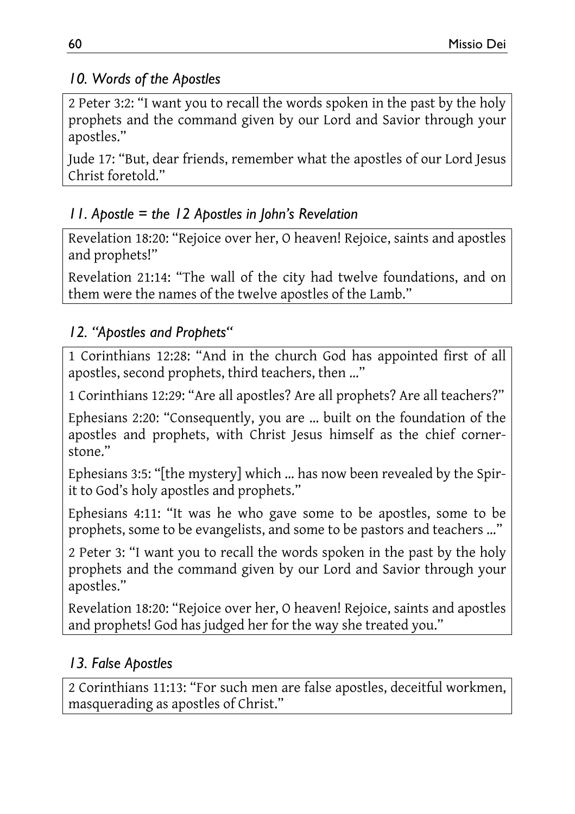### *10. Words of the Apostles*

2 Peter 3:2: "I want you to recall the words spoken in the past by the holy prophets and the command given by our Lord and Savior through your apostles."

Jude 17: "But, dear friends, remember what the apostles of our Lord Jesus Christ foretold."

### *11. Apostle = the 12 Apostles in John's Revelation*

Revelation 18:20: "Rejoice over her, O heaven! Rejoice, saints and apostles and prophets!"

Revelation 21:14: "The wall of the city had twelve foundations, and on them were the names of the twelve apostles of the Lamb."

### *12. "Apostles and Prophets"*

1 Corinthians 12:28: "And in the church God has appointed first of all apostles, second prophets, third teachers, then …"

1 Corinthians 12:29: "Are all apostles? Are all prophets? Are all teachers?"

Ephesians 2:20: "Consequently, you are … built on the foundation of the apostles and prophets, with Christ Jesus himself as the chief cornerstone."

Ephesians 3:5: "[the mystery] which … has now been revealed by the Spirit to God's holy apostles and prophets."

Ephesians 4:11: "It was he who gave some to be apostles, some to be prophets, some to be evangelists, and some to be pastors and teachers …"

2 Peter 3: "I want you to recall the words spoken in the past by the holy prophets and the command given by our Lord and Savior through your apostles."

Revelation 18:20: "Rejoice over her, O heaven! Rejoice, saints and apostles and prophets! God has judged her for the way she treated you."

### *13. False Apostles*

2 Corinthians 11:13: "For such men are false apostles, deceitful workmen, masquerading as apostles of Christ."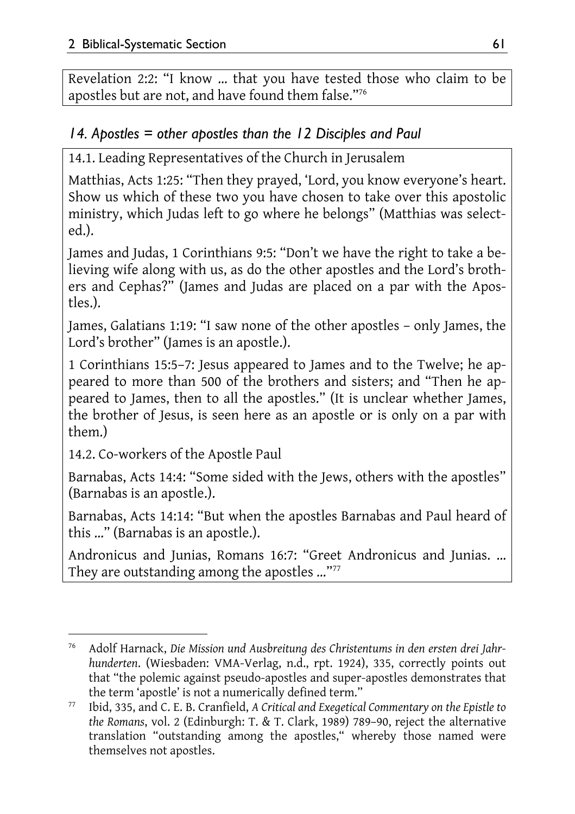Revelation 2:2: "I know … that you have tested those who claim to be apostles but are not, and have found them false."76

### *14. Apostles = other apostles than the 12 Disciples and Paul*

14.1. Leading Representatives of the Church in Jerusalem

Matthias, Acts 1:25: "Then they prayed, 'Lord, you know everyone's heart. Show us which of these two you have chosen to take over this apostolic ministry, which Judas left to go where he belongs" (Matthias was selected.).

James and Judas, 1 Corinthians 9:5: "Don't we have the right to take a believing wife along with us, as do the other apostles and the Lord's brothers and Cephas?" (James and Judas are placed on a par with the Apostles.).

James, Galatians 1:19: "I saw none of the other apostles – only James, the Lord's brother" (James is an apostle.).

1 Corinthians 15:5–7: Jesus appeared to James and to the Twelve; he appeared to more than 500 of the brothers and sisters; and "Then he appeared to James, then to all the apostles." (It is unclear whether James, the brother of Jesus, is seen here as an apostle or is only on a par with them.)

14.2. Co-workers of the Apostle Paul

Barnabas, Acts 14:4: "Some sided with the Jews, others with the apostles" (Barnabas is an apostle.).

Barnabas, Acts 14:14: "But when the apostles Barnabas and Paul heard of this …" (Barnabas is an apostle.).

Andronicus and Junias, Romans 16:7: "Greet Andronicus and Junias. … They are outstanding among the apostles ..."<sup>77</sup>

l 76 Adolf Harnack, *Die Mission und Ausbreitung des Christentums in den ersten drei Jahrhunderten*. (Wiesbaden: VMA-Verlag, n.d., rpt. 1924), 335, correctly points out that "the polemic against pseudo-apostles and super-apostles demonstrates that

<sup>&</sup>lt;sup>77</sup> Ibid, 335, and C. E. B. Cranfield, *A Critical and Exegetical Commentary on the Epistle to the Romans*, vol. 2 (Edinburgh: T. & T. Clark, 1989) 789–90, reject the alternative translation "outstanding among the apostles," whereby those named were themselves not apostles.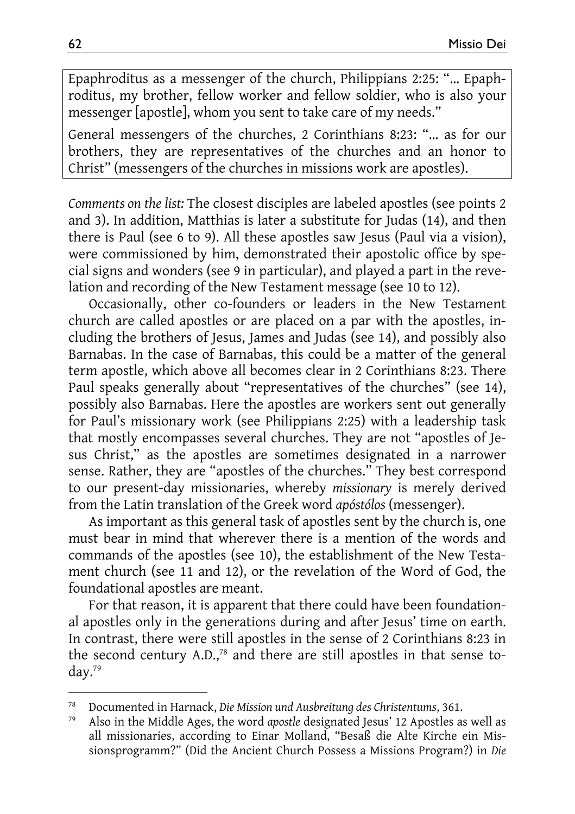Epaphroditus as a messenger of the church, Philippians 2:25: "… Epaphroditus, my brother, fellow worker and fellow soldier, who is also your messenger [apostle], whom you sent to take care of my needs."

General messengers of the churches, 2 Corinthians 8:23: "… as for our brothers, they are representatives of the churches and an honor to Christ" (messengers of the churches in missions work are apostles).

*Comments on the list:* The closest disciples are labeled apostles (see points 2 and 3). In addition, Matthias is later a substitute for Judas (14), and then there is Paul (see 6 to 9). All these apostles saw Jesus (Paul via a vision), were commissioned by him, demonstrated their apostolic office by special signs and wonders (see 9 in particular), and played a part in the revelation and recording of the New Testament message (see 10 to 12).

Occasionally, other co-founders or leaders in the New Testament church are called apostles or are placed on a par with the apostles, including the brothers of Jesus, James and Judas (see 14), and possibly also Barnabas. In the case of Barnabas, this could be a matter of the general term apostle, which above all becomes clear in 2 Corinthians 8:23. There Paul speaks generally about "representatives of the churches" (see 14), possibly also Barnabas. Here the apostles are workers sent out generally for Paul's missionary work (see Philippians 2:25) with a leadership task that mostly encompasses several churches. They are not "apostles of Jesus Christ," as the apostles are sometimes designated in a narrower sense. Rather, they are "apostles of the churches." They best correspond to our present-day missionaries, whereby *missionary* is merely derived from the Latin translation of the Greek word *apóstólos* (messenger).

As important as this general task of apostles sent by the church is, one must bear in mind that wherever there is a mention of the words and commands of the apostles (see 10), the establishment of the New Testament church (see 11 and 12), or the revelation of the Word of God, the foundational apostles are meant.

For that reason, it is apparent that there could have been foundational apostles only in the generations during and after Jesus' time on earth. In contrast, there were still apostles in the sense of 2 Corinthians 8:23 in the second century A.D.,<sup>78</sup> and there are still apostles in that sense today.79

 $\overline{a}$ 

<sup>78</sup> Documented in Harnack, *Die Mission und Ausbreitung des Christentums*, 361. 79 Also in the Middle Ages, the word *apostle* designated Jesus' 12 Apostles as well as all missionaries, according to Einar Molland, "Besaß die Alte Kirche ein Missionsprogramm?" (Did the Ancient Church Possess a Missions Program?) in *Die*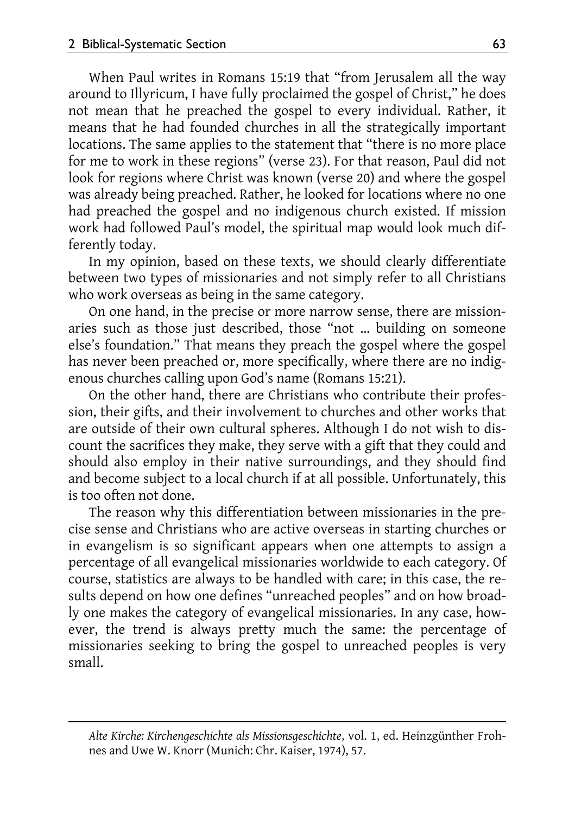$\overline{a}$ 

When Paul writes in Romans 15:19 that "from Jerusalem all the way around to Illyricum, I have fully proclaimed the gospel of Christ," he does not mean that he preached the gospel to every individual. Rather, it means that he had founded churches in all the strategically important locations. The same applies to the statement that "there is no more place for me to work in these regions" (verse 23). For that reason, Paul did not look for regions where Christ was known (verse 20) and where the gospel was already being preached. Rather, he looked for locations where no one had preached the gospel and no indigenous church existed. If mission work had followed Paul's model, the spiritual map would look much differently today.

In my opinion, based on these texts, we should clearly differentiate between two types of missionaries and not simply refer to all Christians who work overseas as being in the same category.

On one hand, in the precise or more narrow sense, there are missionaries such as those just described, those "not … building on someone else's foundation." That means they preach the gospel where the gospel has never been preached or, more specifically, where there are no indigenous churches calling upon God's name (Romans 15:21).

On the other hand, there are Christians who contribute their profession, their gifts, and their involvement to churches and other works that are outside of their own cultural spheres. Although I do not wish to discount the sacrifices they make, they serve with a gift that they could and should also employ in their native surroundings, and they should find and become subject to a local church if at all possible. Unfortunately, this is too often not done.

The reason why this differentiation between missionaries in the precise sense and Christians who are active overseas in starting churches or in evangelism is so significant appears when one attempts to assign a percentage of all evangelical missionaries worldwide to each category. Of course, statistics are always to be handled with care; in this case, the results depend on how one defines "unreached peoples" and on how broadly one makes the category of evangelical missionaries. In any case, however, the trend is always pretty much the same: the percentage of missionaries seeking to bring the gospel to unreached peoples is very small.

*Alte Kirche: Kirchengeschichte als Missionsgeschichte*, vol. 1, ed. Heinzgünther Frohnes and Uwe W. Knorr (Munich: Chr. Kaiser, 1974), 57.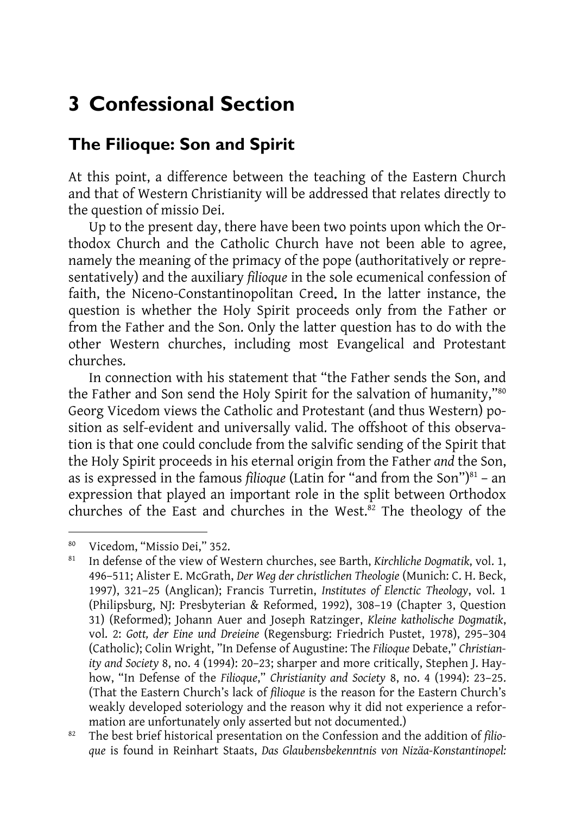# **3 Confessional Section**

### **The Filioque: Son and Spirit**

At this point, a difference between the teaching of the Eastern Church and that of Western Christianity will be addressed that relates directly to the question of missio Dei.

Up to the present day, there have been two points upon which the Orthodox Church and the Catholic Church have not been able to agree, namely the meaning of the primacy of the pope (authoritatively or representatively) and the auxiliary *filioque* in the sole ecumenical confession of faith, the Niceno-Constantinopolitan Creed. In the latter instance, the question is whether the Holy Spirit proceeds only from the Father or from the Father and the Son. Only the latter question has to do with the other Western churches, including most Evangelical and Protestant churches.

In connection with his statement that "the Father sends the Son, and the Father and Son send the Holy Spirit for the salvation of humanity,"<sup>80</sup> Georg Vicedom views the Catholic and Protestant (and thus Western) position as self-evident and universally valid. The offshoot of this observation is that one could conclude from the salvific sending of the Spirit that the Holy Spirit proceeds in his eternal origin from the Father *and* the Son, as is expressed in the famous *filioque* (Latin for "and from the Son") $81 - an$ expression that played an important role in the split between Orthodox churches of the East and churches in the West. ${}^{82}$  The theology of the

l

<sup>&</sup>lt;sup>80</sup> Vicedom, "Missio Dei," 352.<br><sup>81</sup> Indefense of the view of We

<sup>81</sup> In defense of the view of Western churches, see Barth, *Kirchliche Dogmatik*, vol. 1, 496–511; Alister E. McGrath, *Der Weg der christlichen Theologie* (Munich: C. H. Beck, 1997), 321–25 (Anglican); Francis Turretin, *Institutes of Elenctic Theology*, vol. 1 (Philipsburg, NJ: Presbyterian & Reformed, 1992), 308–19 (Chapter 3, Question 31) (Reformed); Johann Auer and Joseph Ratzinger, *Kleine katholische Dogmatik*, vol. 2: *Gott, der Eine und Dreieine* (Regensburg: Friedrich Pustet, 1978), 295–304 (Catholic); Colin Wright, "In Defense of Augustine: The *Filioque* Debate," *Christianity and Society* 8, no. 4 (1994): 20–23; sharper and more critically, Stephen J. Hayhow, "In Defense of the *Filioque*," *Christianity and Society* 8, no. 4 (1994): 23–25. (That the Eastern Church's lack of *filioque* is the reason for the Eastern Church's weakly developed soteriology and the reason why it did not experience a refor-

mation are unfortunately only asserted but not documented.) 82 The best brief historical presentation on the Confession and the addition of *filioque* is found in Reinhart Staats, *Das Glaubensbekenntnis von Nizäa-Konstantinopel:*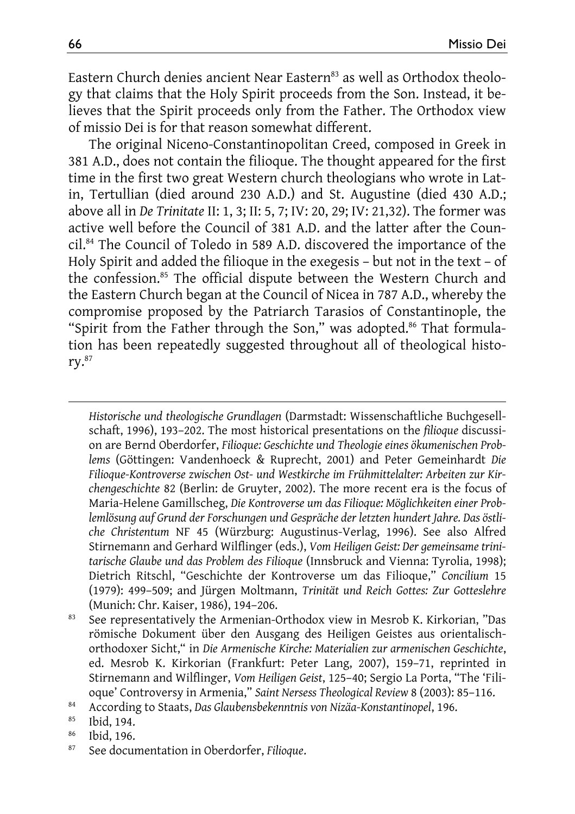Eastern Church denies ancient Near Eastern<sup>83</sup> as well as Orthodox theology that claims that the Holy Spirit proceeds from the Son. Instead, it believes that the Spirit proceeds only from the Father. The Orthodox view of missio Dei is for that reason somewhat different.

The original Niceno-Constantinopolitan Creed, composed in Greek in 381 A.D., does not contain the filioque. The thought appeared for the first time in the first two great Western church theologians who wrote in Latin, Tertullian (died around 230 A.D.) and St. Augustine (died 430 A.D.; above all in *De Trinitate* II: 1, 3; II: 5, 7; IV: 20, 29; IV: 21,32). The former was active well before the Council of 381 A.D. and the latter after the Council.84 The Council of Toledo in 589 A.D. discovered the importance of the Holy Spirit and added the filioque in the exegesis – but not in the text – of the confession.85 The official dispute between the Western Church and the Eastern Church began at the Council of Nicea in 787 A.D., whereby the compromise proposed by the Patriarch Tarasios of Constantinople, the "Spirit from the Father through the Son," was adopted.<sup>86</sup> That formulation has been repeatedly suggested throughout all of theological history.87

*Historische und theologische Grundlagen* (Darmstadt: Wissenschaftliche Buchgesellschaft, 1996), 193–202. The most historical presentations on the *filioque* discussion are Bernd Oberdorfer, *Filioque: Geschichte und Theologie eines ökumenischen Problems* (Göttingen: Vandenhoeck & Ruprecht, 2001) and Peter Gemeinhardt *Die Filioque-Kontroverse zwischen Ost- und Westkirche im Frühmittelalter: Arbeiten zur Kirchengeschichte* 82 (Berlin: de Gruyter, 2002). The more recent era is the focus of Maria-Helene Gamillscheg, *Die Kontroverse um das Filioque: Möglichkeiten einer Problemlösung auf Grund der Forschungen und Gespräche der letzten hundert Jahre. Das östliche Christentum* NF 45 (Würzburg: Augustinus-Verlag, 1996). See also Alfred Stirnemann and Gerhard Wilflinger (eds.), *Vom Heiligen Geist: Der gemeinsame trinitarische Glaube und das Problem des Filioque* (Innsbruck and Vienna: Tyrolia, 1998); Dietrich Ritschl, "Geschichte der Kontroverse um das Filioque," *Concilium* 15 (1979): 499–509; and Jürgen Moltmann, *Trinität und Reich Gottes: Zur Gotteslehre*

- (Munich: Chr. Kaiser, 1986), 194–206.<br><sup>83</sup> See representatively the Armenian-Orthodox view in Mesrob K. Kirkorian, "Das römische Dokument über den Ausgang des Heiligen Geistes aus orientalischorthodoxer Sicht," in *Die Armenische Kirche: Materialien zur armenischen Geschichte*, ed. Mesrob K. Kirkorian (Frankfurt: Peter Lang, 2007), 159–71, reprinted in Stirnemann and Wilflinger, *Vom Heiligen Geist*, 125–40; Sergio La Porta, "The 'Filioque' Controversy in Armenia," *Saint Nersess Theological Review* 8 (2003): 85–116. 84 According to Staats, *Das Glaubensbekenntnis von Nizäa-Konstantinopel*, 196. 85 Ibid, 194.
- 
- 
- 86 Ibid, 196.
- 87 See documentation in Oberdorfer, *Filioque*.

 $\overline{a}$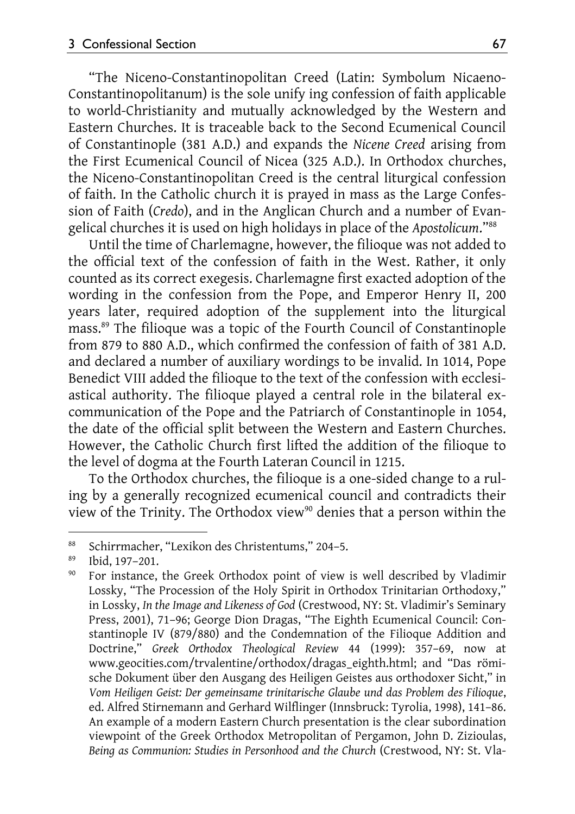"The Niceno-Constantinopolitan Creed (Latin: Symbolum Nicaeno-Constantinopolitanum) is the sole unify ing confession of faith applicable to world-Christianity and mutually acknowledged by the Western and Eastern Churches. It is traceable back to the Second Ecumenical Council of Constantinople (381 A.D.) and expands the *Nicene Creed* arising from the First Ecumenical Council of Nicea (325 A.D.). In Orthodox churches, the Niceno-Constantinopolitan Creed is the central liturgical confession of faith. In the Catholic church it is prayed in mass as the Large Confession of Faith (*Credo*), and in the Anglican Church and a number of Evangelical churches it is used on high holidays in place of the *Apostolicum*."88

Until the time of Charlemagne, however, the filioque was not added to the official text of the confession of faith in the West. Rather, it only counted as its correct exegesis. Charlemagne first exacted adoption of the wording in the confession from the Pope, and Emperor Henry II, 200 years later, required adoption of the supplement into the liturgical mass.89 The filioque was a topic of the Fourth Council of Constantinople from 879 to 880 A.D., which confirmed the confession of faith of 381 A.D. and declared a number of auxiliary wordings to be invalid. In 1014, Pope Benedict VIII added the filioque to the text of the confession with ecclesiastical authority. The filioque played a central role in the bilateral excommunication of the Pope and the Patriarch of Constantinople in 1054, the date of the official split between the Western and Eastern Churches. However, the Catholic Church first lifted the addition of the filioque to the level of dogma at the Fourth Lateran Council in 1215.

To the Orthodox churches, the filioque is a one-sided change to a ruling by a generally recognized ecumenical council and contradicts their view of the Trinity. The Orthodox view<sup>90</sup> denies that a person within the

l

<sup>&</sup>lt;sup>88</sup> Schirrmacher, "Lexikon des Christentums," 204–5.<br><sup>89</sup> Ibid 197 201

 $^{89}$  Ibid, 197–201.

For instance, the Greek Orthodox point of view is well described by Vladimir Lossky, "The Procession of the Holy Spirit in Orthodox Trinitarian Orthodoxy," in Lossky, *In the Image and Likeness of God* (Crestwood, NY: St. Vladimir's Seminary Press, 2001), 71–96; George Dion Dragas, "The Eighth Ecumenical Council: Constantinople IV (879/880) and the Condemnation of the Filioque Addition and Doctrine," *Greek Orthodox Theological Review* 44 (1999): 357–69, now at www.geocities.com/trvalentine/orthodox/dragas\_eighth.html; and "Das römische Dokument über den Ausgang des Heiligen Geistes aus orthodoxer Sicht," in *Vom Heiligen Geist: Der gemeinsame trinitarische Glaube und das Problem des Filioque*, ed. Alfred Stirnemann and Gerhard Wilflinger (Innsbruck: Tyrolia, 1998), 141–86. An example of a modern Eastern Church presentation is the clear subordination viewpoint of the Greek Orthodox Metropolitan of Pergamon, John D. Zizioulas, *Being as Communion: Studies in Personhood and the Church* (Crestwood, NY: St. Vla-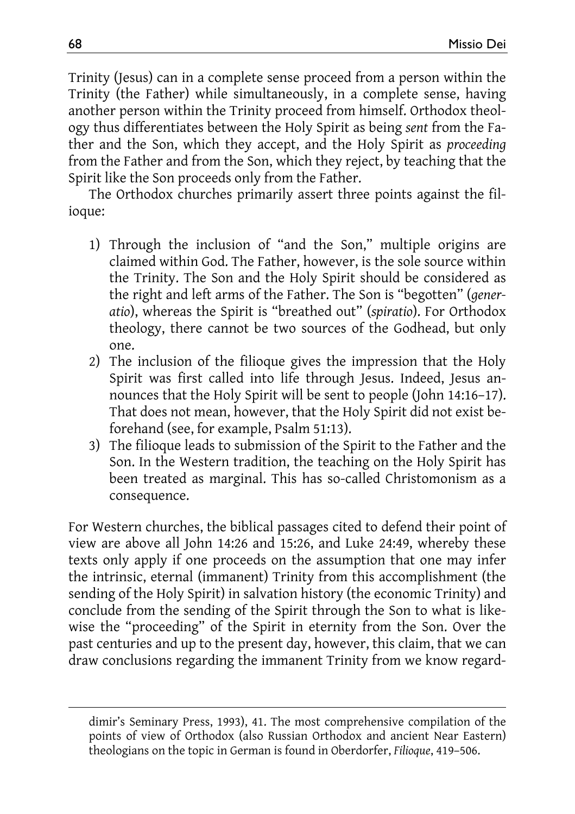Trinity (Jesus) can in a complete sense proceed from a person within the Trinity (the Father) while simultaneously, in a complete sense, having another person within the Trinity proceed from himself. Orthodox theology thus differentiates between the Holy Spirit as being *sent* from the Father and the Son, which they accept, and the Holy Spirit as *proceeding* from the Father and from the Son, which they reject, by teaching that the Spirit like the Son proceeds only from the Father.

The Orthodox churches primarily assert three points against the filioque:

- 1) Through the inclusion of "and the Son," multiple origins are claimed within God. The Father, however, is the sole source within the Trinity. The Son and the Holy Spirit should be considered as the right and left arms of the Father. The Son is "begotten" (*generatio*), whereas the Spirit is "breathed out" (*spiratio*). For Orthodox theology, there cannot be two sources of the Godhead, but only one.
- 2) The inclusion of the filioque gives the impression that the Holy Spirit was first called into life through Jesus. Indeed, Jesus announces that the Holy Spirit will be sent to people (John 14:16–17). That does not mean, however, that the Holy Spirit did not exist beforehand (see, for example, Psalm 51:13).
- 3) The filioque leads to submission of the Spirit to the Father and the Son. In the Western tradition, the teaching on the Holy Spirit has been treated as marginal. This has so-called Christomonism as a consequence.

For Western churches, the biblical passages cited to defend their point of view are above all John 14:26 and 15:26, and Luke 24:49, whereby these texts only apply if one proceeds on the assumption that one may infer the intrinsic, eternal (immanent) Trinity from this accomplishment (the sending of the Holy Spirit) in salvation history (the economic Trinity) and conclude from the sending of the Spirit through the Son to what is likewise the "proceeding" of the Spirit in eternity from the Son. Over the past centuries and up to the present day, however, this claim, that we can draw conclusions regarding the immanent Trinity from we know regard-

 $\overline{\phantom{a}}$ 

dimir's Seminary Press, 1993), 41. The most comprehensive compilation of the points of view of Orthodox (also Russian Orthodox and ancient Near Eastern) theologians on the topic in German is found in Oberdorfer, *Filioque*, 419–506.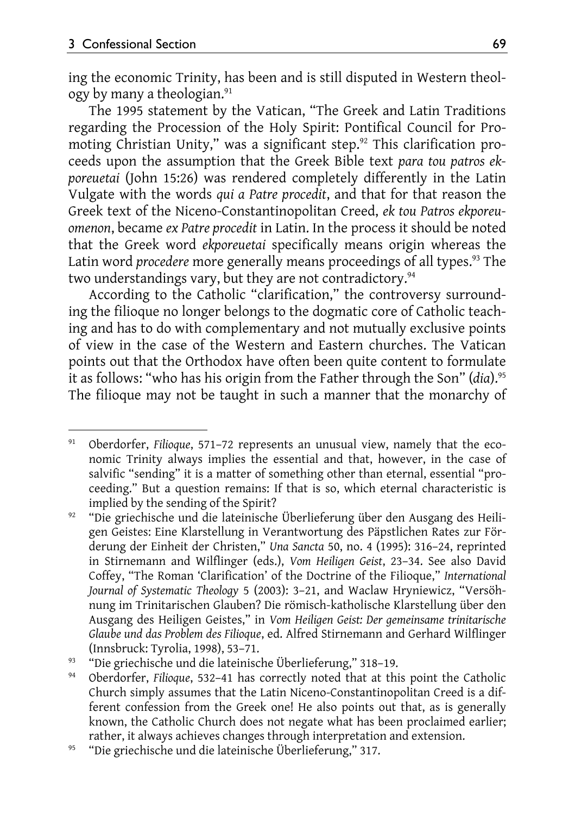ing the economic Trinity, has been and is still disputed in Western theology by many a theologian.<sup>91</sup>

The 1995 statement by the Vatican, "The Greek and Latin Traditions regarding the Procession of the Holy Spirit: Pontifical Council for Promoting Christian Unity," was a significant step.<sup>92</sup> This clarification proceeds upon the assumption that the Greek Bible text *para tou patros ekporeuetai* (John 15:26) was rendered completely differently in the Latin Vulgate with the words *qui a Patre procedit*, and that for that reason the Greek text of the Niceno-Constantinopolitan Creed, *ek tou Patros ekporeuomenon*, became *ex Patre procedit* in Latin. In the process it should be noted that the Greek word *ekporeuetai* specifically means origin whereas the Latin word *procedere* more generally means proceedings of all types.<sup>93</sup> The two understandings vary, but they are not contradictory.<sup>94</sup>

According to the Catholic "clarification," the controversy surrounding the filioque no longer belongs to the dogmatic core of Catholic teaching and has to do with complementary and not mutually exclusive points of view in the case of the Western and Eastern churches. The Vatican points out that the Orthodox have often been quite content to formulate it as follows: "who has his origin from the Father through the Son" (*dia*).95 The filioque may not be taught in such a manner that the monarchy of

l 91 Oberdorfer, *Filioque*, 571–72 represents an unusual view, namely that the economic Trinity always implies the essential and that, however, in the case of salvific "sending" it is a matter of something other than eternal, essential "proceeding." But a question remains: If that is so, which eternal characteristic is implied by the sending of the Spirit? 92 "Die griechische und die lateinische Überlieferung über den Ausgang des Heili-

gen Geistes: Eine Klarstellung in Verantwortung des Päpstlichen Rates zur Förderung der Einheit der Christen," *Una Sancta* 50, no. 4 (1995): 316–24, reprinted in Stirnemann and Wilflinger (eds.), *Vom Heiligen Geist*, 23–34. See also David Coffey, "The Roman 'Clarification' of the Doctrine of the Filioque," *International Journal of Systematic Theology* 5 (2003): 3–21, and Waclaw Hryniewicz, "Versöhnung im Trinitarischen Glauben? Die römisch-katholische Klarstellung über den Ausgang des Heiligen Geistes," in *Vom Heiligen Geist: Der gemeinsame trinitarische Glaube und das Problem des Filioque*, ed. Alfred Stirnemann and Gerhard Wilflinger

<sup>(</sup>Innsbruck: Tyrolia, 1998), 53–71. 93 "Die griechische und die lateinische Überlieferung," 318–19. 94 Oberdorfer, *Filioque*, 532–41 has correctly noted that at this point the Catholic Church simply assumes that the Latin Niceno-Constantinopolitan Creed is a different confession from the Greek one! He also points out that, as is generally known, the Catholic Church does not negate what has been proclaimed earlier; rather, it always achieves changes through interpretation and extension. 95 "Die griechische und die lateinische Überlieferung," 317.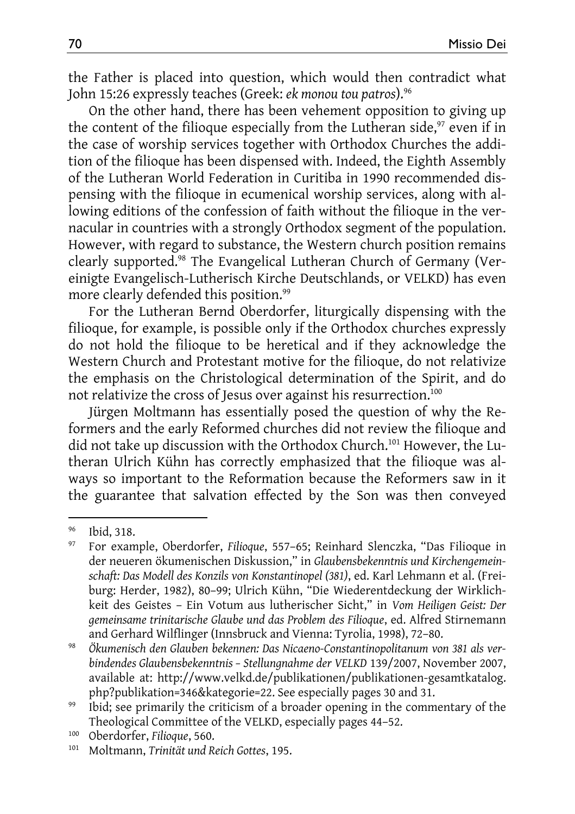the Father is placed into question, which would then contradict what John 15:26 expressly teaches (Greek: *ek monou tou patros*).96

On the other hand, there has been vehement opposition to giving up the content of the filioque especially from the Lutheran side, $97$  even if in the case of worship services together with Orthodox Churches the addition of the filioque has been dispensed with. Indeed, the Eighth Assembly of the Lutheran World Federation in Curitiba in 1990 recommended dispensing with the filioque in ecumenical worship services, along with allowing editions of the confession of faith without the filioque in the vernacular in countries with a strongly Orthodox segment of the population. However, with regard to substance, the Western church position remains clearly supported.<sup>98</sup> The Evangelical Lutheran Church of Germany (Vereinigte Evangelisch-Lutherisch Kirche Deutschlands, or VELKD) has even more clearly defended this position.<sup>99</sup>

For the Lutheran Bernd Oberdorfer, liturgically dispensing with the filioque, for example, is possible only if the Orthodox churches expressly do not hold the filioque to be heretical and if they acknowledge the Western Church and Protestant motive for the filioque, do not relativize the emphasis on the Christological determination of the Spirit, and do not relativize the cross of Jesus over against his resurrection.100

Jürgen Moltmann has essentially posed the question of why the Reformers and the early Reformed churches did not review the filioque and did not take up discussion with the Orthodox Church.101 However, the Lutheran Ulrich Kühn has correctly emphasized that the filioque was always so important to the Reformation because the Reformers saw in it the guarantee that salvation effected by the Son was then conveyed

 $\overline{a}$ 

<sup>96</sup> Ibid, 318.

<sup>97</sup> For example, Oberdorfer, *Filioque*, 557–65; Reinhard Slenczka, "Das Filioque in der neueren ökumenischen Diskussion," in *Glaubensbekenntnis und Kirchengemeinschaft: Das Modell des Konzils von Konstantinopel (381)*, ed. Karl Lehmann et al. (Freiburg: Herder, 1982), 80–99; Ulrich Kühn, "Die Wiederentdeckung der Wirklichkeit des Geistes – Ein Votum aus lutherischer Sicht," in *Vom Heiligen Geist: Der gemeinsame trinitarische Glaube und das Problem des Filioque*, ed. Alfred Stirnemann and Gerhard Wilflinger (Innsbruck and Vienna: Tyrolia, 1998), 72–80.<br>*Ökumenisch den Glauben bekennen: Das Nicaeno-Constantinopolitanum von 381 als ver-*

*bindendes Glaubensbekenntnis – Stellungnahme der VELKD* 139/2007, November 2007, available at: http://www.velkd.de/publikationen/publikationen-gesamtkatalog. php?publikation=346&kategorie=22. See especially pages 30 and 31. 99 Ibid; see primarily the criticism of a broader opening in the commentary of the

Theological Committee of the VELKD, especially pages 44–52.<br><sup>100</sup> Oberdorfer, *Filioque*, 560.<br><sup>101</sup> Moltmann, *Trinität und Reich Gottes*, 195.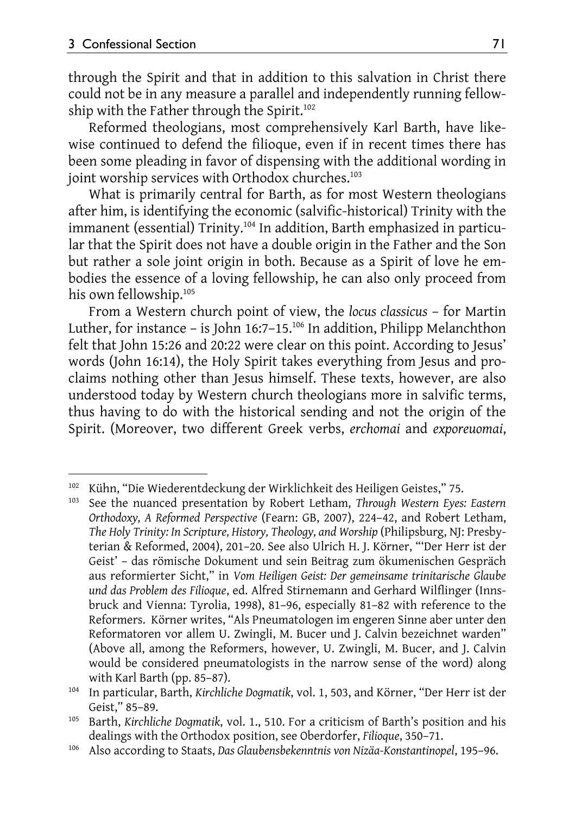$\overline{\phantom{a}}$ 

through the Spirit and that in addition to this salvation in Christ there could not be in any measure a parallel and independently running fellowship with the Father through the Spirit.<sup>102</sup>

Reformed theologians, most comprehensively Karl Barth, have likewise continued to defend the filioque, even if in recent times there has been some pleading in favor of dispensing with the additional wording in joint worship services with Orthodox churches.<sup>103</sup>

What is primarily central for Barth, as for most Western theologians after him, is identifying the economic (salvific-historical) Trinity with the immanent (essential) Trinity.<sup>104</sup> In addition, Barth emphasized in particular that the Spirit does not have a double origin in the Father and the Son but rather a sole joint origin in both. Because as a Spirit of love he embodies the essence of a loving fellowship, he can also only proceed from his own fellowship.<sup>105</sup>

From a Western church point of view, the *locus classicus* – for Martin Luther, for instance - is John 16:7-15.<sup>106</sup> In addition, Philipp Melanchthon felt that John 15:26 and 20:22 were clear on this point. According to Jesus' words (John 16:14), the Holy Spirit takes everything from Jesus and proclaims nothing other than Jesus himself. These texts, however, are also understood today by Western church theologians more in salvific terms, thus having to do with the historical sending and not the origin of the Spirit. (Moreover, two different Greek verbs, *erchomai* and *exporeuomai*,

<sup>&</sup>lt;sup>102</sup> Kühn, "Die Wiederentdeckung der Wirklichkeit des Heiligen Geistes," 75.<br><sup>103</sup> See the nuanced presentation by Robert Letham, *Through Western Eyes: Eastern* 

*Orthodoxy, A Reformed Perspective* (Fearn: GB, 2007), 224–42, and Robert Letham, *The Holy Trinity: In Scripture, History, Theology, and Worship* (Philipsburg, NJ: Presbyterian & Reformed, 2004), 201–20. See also Ulrich H. J. Körner, "'Der Herr ist der Geist' – das römische Dokument und sein Beitrag zum ökumenischen Gespräch aus reformierter Sicht," in *Vom Heiligen Geist: Der gemeinsame trinitarische Glaube und das Problem des Filioque*, ed. Alfred Stirnemann and Gerhard Wilflinger (Innsbruck and Vienna: Tyrolia, 1998), 81–96, especially 81–82 with reference to the Reformers. Körner writes, "Als Pneumatologen im engeren Sinne aber unter den Reformatoren vor allem U. Zwingli, M. Bucer und J. Calvin bezeichnet warden" (Above all, among the Reformers, however, U. Zwingli, M. Bucer, and J. Calvin would be considered pneumatologists in the narrow sense of the word) along with Karl Barth (pp. 85–87). 104 In particular, Barth, *Kirchliche Dogmatik*, vol. 1, 503, and Körner, "Der Herr ist der

Geist," 85–89. 105 Barth, *Kirchliche Dogmatik*, vol. 1., 510. For a criticism of Barth's position and his

dealings with the Orthodox position, see Oberdorfer, *Filioque*, 350–71. 106 Also according to Staats, *Das Glaubensbekenntnis von Nizäa-Konstantinopel*, 195–96.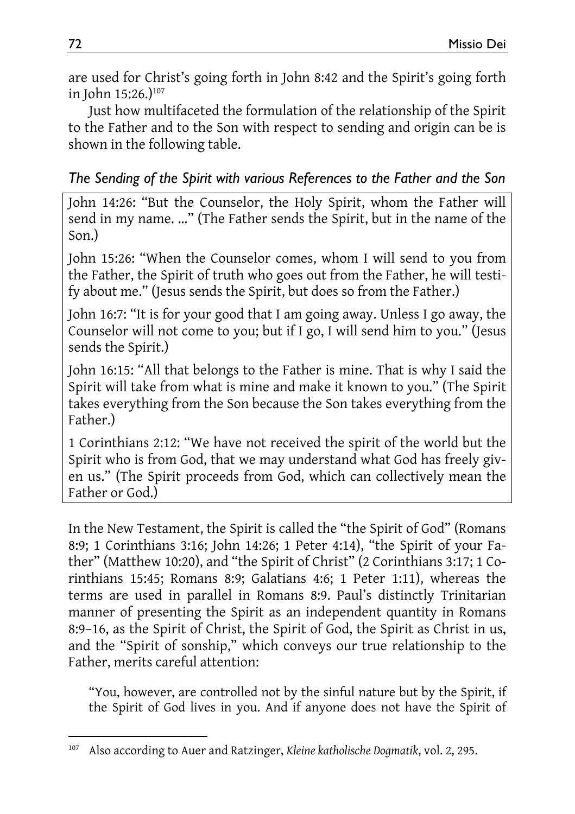are used for Christ's going forth in John 8:42 and the Spirit's going forth in John 15:26.)<sup>107</sup>

Just how multifaceted the formulation of the relationship of the Spirit to the Father and to the Son with respect to sending and origin can be is shown in the following table.

#### *The Sending of the Spirit with various References to the Father and the Son*

John 14:26: "But the Counselor, the Holy Spirit, whom the Father will send in my name. …" (The Father sends the Spirit, but in the name of the Son.)

John 15:26: "When the Counselor comes, whom I will send to you from the Father, the Spirit of truth who goes out from the Father, he will testify about me." (Jesus sends the Spirit, but does so from the Father.)

John 16:7: "It is for your good that I am going away. Unless I go away, the Counselor will not come to you; but if I go, I will send him to you." (Jesus sends the Spirit.)

John 16:15: "All that belongs to the Father is mine. That is why I said the Spirit will take from what is mine and make it known to you." (The Spirit takes everything from the Son because the Son takes everything from the Father.)

1 Corinthians 2:12: "We have not received the spirit of the world but the Spirit who is from God, that we may understand what God has freely given us." (The Spirit proceeds from God, which can collectively mean the Father or God.)

In the New Testament, the Spirit is called the "the Spirit of God" (Romans 8:9; 1 Corinthians 3:16; John 14:26; 1 Peter 4:14), "the Spirit of your Father" (Matthew 10:20), and "the Spirit of Christ" (2 Corinthians 3:17; 1 Corinthians 15:45; Romans 8:9; Galatians 4:6; 1 Peter 1:11), whereas the terms are used in parallel in Romans 8:9. Paul's distinctly Trinitarian manner of presenting the Spirit as an independent quantity in Romans 8:9–16, as the Spirit of Christ, the Spirit of God, the Spirit as Christ in us, and the "Spirit of sonship," which conveys our true relationship to the Father, merits careful attention:

"You, however, are controlled not by the sinful nature but by the Spirit, if the Spirit of God lives in you. And if anyone does not have the Spirit of

l 107 Also according to Auer and Ratzinger, *Kleine katholische Dogmatik*, vol. 2, 295.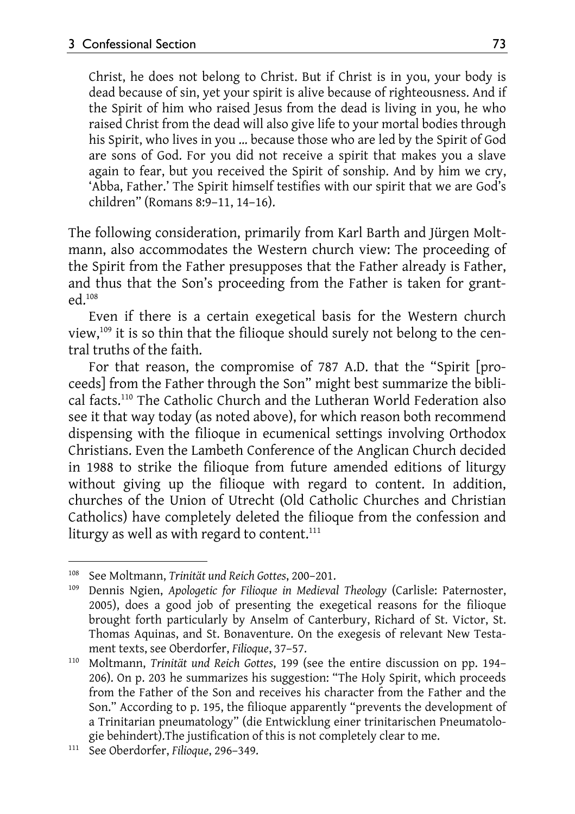Christ, he does not belong to Christ. But if Christ is in you, your body is dead because of sin, yet your spirit is alive because of righteousness. And if the Spirit of him who raised Jesus from the dead is living in you, he who raised Christ from the dead will also give life to your mortal bodies through his Spirit, who lives in you … because those who are led by the Spirit of God are sons of God. For you did not receive a spirit that makes you a slave again to fear, but you received the Spirit of sonship. And by him we cry, 'Abba, Father.' The Spirit himself testifies with our spirit that we are God's children" (Romans 8:9–11, 14–16).

The following consideration, primarily from Karl Barth and Jürgen Moltmann, also accommodates the Western church view: The proceeding of the Spirit from the Father presupposes that the Father already is Father, and thus that the Son's proceeding from the Father is taken for granted.108

Even if there is a certain exegetical basis for the Western church view,109 it is so thin that the filioque should surely not belong to the central truths of the faith.

For that reason, the compromise of 787 A.D. that the "Spirit [proceeds] from the Father through the Son" might best summarize the biblical facts.110 The Catholic Church and the Lutheran World Federation also see it that way today (as noted above), for which reason both recommend dispensing with the filioque in ecumenical settings involving Orthodox Christians. Even the Lambeth Conference of the Anglican Church decided in 1988 to strike the filioque from future amended editions of liturgy without giving up the filioque with regard to content. In addition, churches of the Union of Utrecht (Old Catholic Churches and Christian Catholics) have completely deleted the filioque from the confession and liturgy as well as with regard to content.<sup>111</sup>

l

<sup>&</sup>lt;sup>108</sup> See Moltmann, *Trinität und Reich Gottes*, 200–201.<br><sup>109</sup> Dennis Ngien, *Apologetic for Filioque in Medieval Theology* (Carlisle: Paternoster, 2005), does a good job of presenting the exegetical reasons for the filioque brought forth particularly by Anselm of Canterbury, Richard of St. Victor, St. Thomas Aquinas, and St. Bonaventure. On the exegesis of relevant New Testament texts, see Oberdorfer, *Filioque*, 37–57.<br><sup>110</sup> Moltmann, *Trinität und Reich Gottes*, 199 (see the entire discussion on pp. 194–

<sup>206).</sup> On p. 203 he summarizes his suggestion: "The Holy Spirit, which proceeds from the Father of the Son and receives his character from the Father and the Son." According to p. 195, the filioque apparently "prevents the development of a Trinitarian pneumatology" (die Entwicklung einer trinitarischen Pneumatologie behindert).The justification of this is not completely clear to me. 111 See Oberdorfer, *Filioque*, 296–349.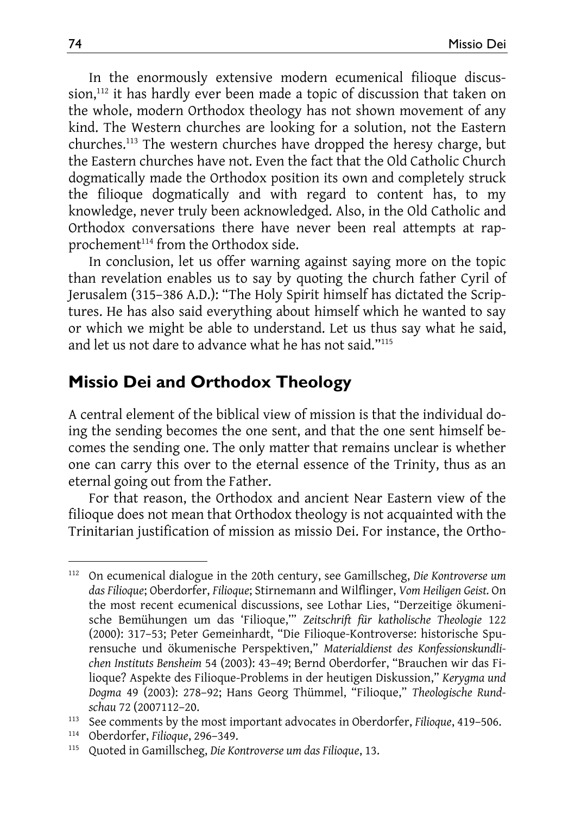In the enormously extensive modern ecumenical filioque discussion,<sup>112</sup> it has hardly ever been made a topic of discussion that taken on the whole, modern Orthodox theology has not shown movement of any kind. The Western churches are looking for a solution, not the Eastern churches.113 The western churches have dropped the heresy charge, but the Eastern churches have not. Even the fact that the Old Catholic Church dogmatically made the Orthodox position its own and completely struck the filioque dogmatically and with regard to content has, to my knowledge, never truly been acknowledged. Also, in the Old Catholic and Orthodox conversations there have never been real attempts at rapprochement<sup>114</sup> from the Orthodox side.

In conclusion, let us offer warning against saying more on the topic than revelation enables us to say by quoting the church father Cyril of Jerusalem (315–386 A.D.): "The Holy Spirit himself has dictated the Scriptures. He has also said everything about himself which he wanted to say or which we might be able to understand. Let us thus say what he said, and let us not dare to advance what he has not said."115

### **Missio Dei and Orthodox Theology**

A central element of the biblical view of mission is that the individual doing the sending becomes the one sent, and that the one sent himself becomes the sending one. The only matter that remains unclear is whether one can carry this over to the eternal essence of the Trinity, thus as an eternal going out from the Father.

For that reason, the Orthodox and ancient Near Eastern view of the filioque does not mean that Orthodox theology is not acquainted with the Trinitarian justification of mission as missio Dei. For instance, the Ortho-

l

<sup>112</sup> On ecumenical dialogue in the 20th century, see Gamillscheg, *Die Kontroverse um das Filioque*; Oberdorfer, *Filioque*; Stirnemann and Wilflinger, *Vom Heiligen Geist.* On the most recent ecumenical discussions, see Lothar Lies, "Derzeitige ökumenische Bemühungen um das 'Filioque,'" *Zeitschrift für katholische Theologie* 122 (2000): 317–53; Peter Gemeinhardt, "Die Filioque-Kontroverse: historische Spurensuche und ökumenische Perspektiven," *Materialdienst des Konfessionskundlichen Instituts Bensheim* 54 (2003): 43–49; Bernd Oberdorfer, "Brauchen wir das Filioque? Aspekte des Filioque-Problems in der heutigen Diskussion," *Kerygma und Dogma* 49 (2003): 278–92; Hans Georg Thümmel, "Filioque," *Theologische Rund-*

schau 72 (2007112–20.<br>
<sup>113</sup> See comments by the most important advocates in Oberdorfer, Filioque, 419–506.<br>
<sup>114</sup> Oberdorfer, Filioque, 296–349.<br>
<sup>115</sup> Quoted in Gamillscheg, *Die Kontroverse um das Filioque*, 13.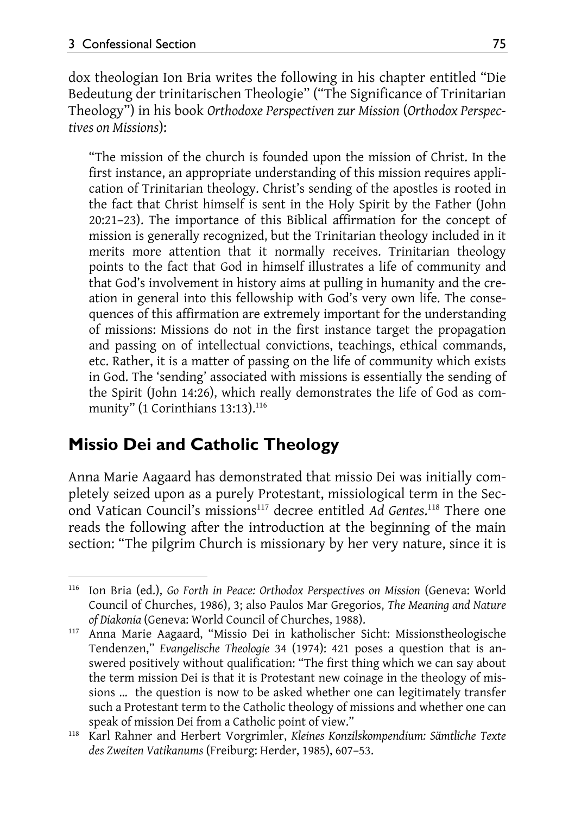dox theologian Ion Bria writes the following in his chapter entitled "Die Bedeutung der trinitarischen Theologie" ("The Significance of Trinitarian Theology") in his book *Orthodoxe Perspectiven zur Mission* (*Orthodox Perspectives on Missions*):

"The mission of the church is founded upon the mission of Christ. In the first instance, an appropriate understanding of this mission requires application of Trinitarian theology. Christ's sending of the apostles is rooted in the fact that Christ himself is sent in the Holy Spirit by the Father (John 20:21–23). The importance of this Biblical affirmation for the concept of mission is generally recognized, but the Trinitarian theology included in it merits more attention that it normally receives. Trinitarian theology points to the fact that God in himself illustrates a life of community and that God's involvement in history aims at pulling in humanity and the creation in general into this fellowship with God's very own life. The consequences of this affirmation are extremely important for the understanding of missions: Missions do not in the first instance target the propagation and passing on of intellectual convictions, teachings, ethical commands, etc. Rather, it is a matter of passing on the life of community which exists in God. The 'sending' associated with missions is essentially the sending of the Spirit (John 14:26), which really demonstrates the life of God as community" (1 Corinthians  $13:13$ ).<sup>116</sup>

### **Missio Dei and Catholic Theology**

Anna Marie Aagaard has demonstrated that missio Dei was initially completely seized upon as a purely Protestant, missiological term in the Second Vatican Council's missions<sup>117</sup> decree entitled Ad Gentes.<sup>118</sup> There one reads the following after the introduction at the beginning of the main section: "The pilgrim Church is missionary by her very nature, since it is

 $\overline{a}$ 116 Ion Bria (ed.), *Go Forth in Peace: Orthodox Perspectives on Mission* (Geneva: World Council of Churches, 1986), 3; also Paulos Mar Gregorios, *The Meaning and Nature* 

*of Diakonia* (Geneva: World Council of Churches, 1988). 117 Anna Marie Aagaard, "Missio Dei in katholischer Sicht: Missionstheologische Tendenzen," *Evangelische Theologie* 34 (1974): 421 poses a question that is answered positively without qualification: "The first thing which we can say about the term mission Dei is that it is Protestant new coinage in the theology of missions … the question is now to be asked whether one can legitimately transfer such a Protestant term to the Catholic theology of missions and whether one can speak of mission Dei from a Catholic point of view." 118 Karl Rahner and Herbert Vorgrimler, *Kleines Konzilskompendium: Sämtliche Texte* 

*des Zweiten Vatikanums* (Freiburg: Herder, 1985), 607–53.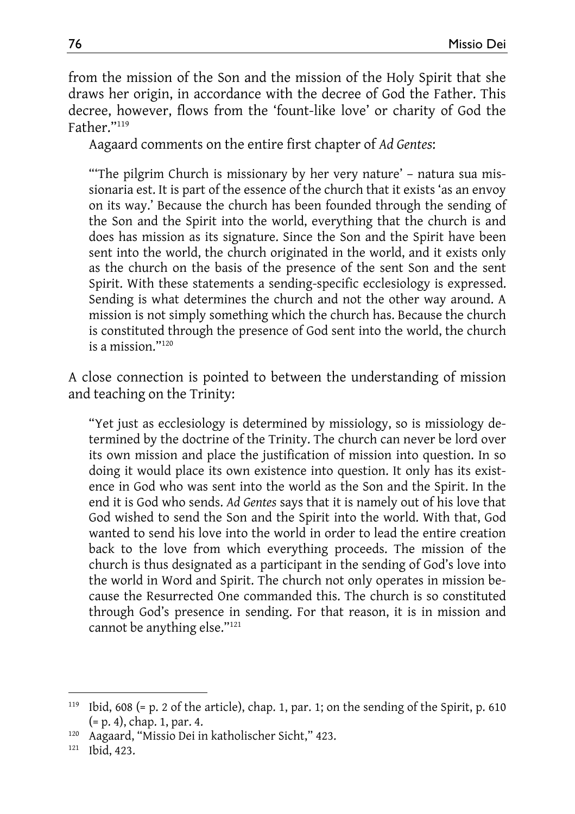from the mission of the Son and the mission of the Holy Spirit that she draws her origin, in accordance with the decree of God the Father. This decree, however, flows from the 'fount-like love' or charity of God the Father."119

Aagaard comments on the entire first chapter of *Ad Gentes*:

"'The pilgrim Church is missionary by her very nature' – natura sua missionaria est. It is part of the essence of the church that it exists 'as an envoy on its way.' Because the church has been founded through the sending of the Son and the Spirit into the world, everything that the church is and does has mission as its signature. Since the Son and the Spirit have been sent into the world, the church originated in the world, and it exists only as the church on the basis of the presence of the sent Son and the sent Spirit. With these statements a sending-specific ecclesiology is expressed. Sending is what determines the church and not the other way around. A mission is not simply something which the church has. Because the church is constituted through the presence of God sent into the world, the church is a mission."120

A close connection is pointed to between the understanding of mission and teaching on the Trinity:

"Yet just as ecclesiology is determined by missiology, so is missiology determined by the doctrine of the Trinity. The church can never be lord over its own mission and place the justification of mission into question. In so doing it would place its own existence into question. It only has its existence in God who was sent into the world as the Son and the Spirit. In the end it is God who sends. *Ad Gentes* says that it is namely out of his love that God wished to send the Son and the Spirit into the world. With that, God wanted to send his love into the world in order to lead the entire creation back to the love from which everything proceeds. The mission of the church is thus designated as a participant in the sending of God's love into the world in Word and Spirit. The church not only operates in mission because the Resurrected One commanded this. The church is so constituted through God's presence in sending. For that reason, it is in mission and cannot be anything else."121

 $\overline{a}$ 

<sup>119</sup> Ibid, 608 (= p. 2 of the article), chap. 1, par. 1; on the sending of the Spirit, p. 610

<sup>(=</sup> p. 4), chap. 1, par. 4.<br><sup>120</sup> Aagaard, "Missio Dei in katholischer Sicht," 423.<br><sup>121</sup> Ibid. 423.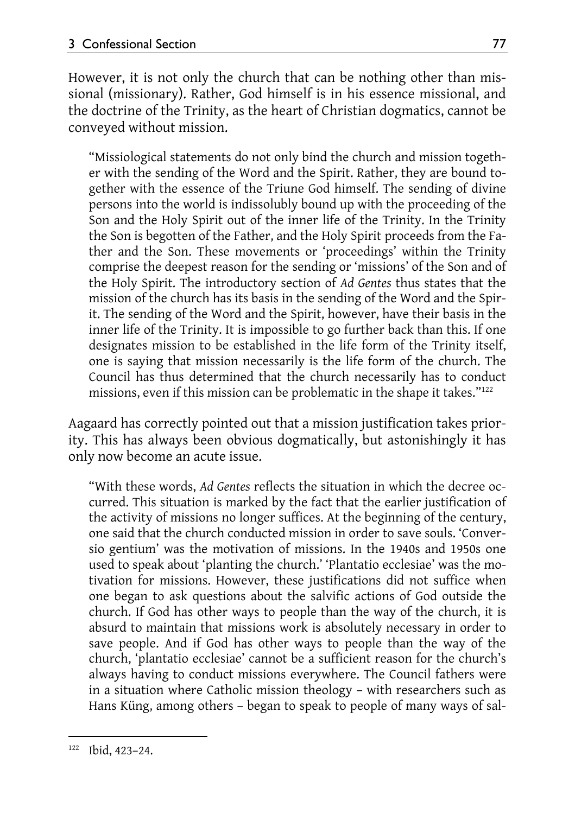However, it is not only the church that can be nothing other than missional (missionary). Rather, God himself is in his essence missional, and the doctrine of the Trinity, as the heart of Christian dogmatics, cannot be conveyed without mission.

"Missiological statements do not only bind the church and mission together with the sending of the Word and the Spirit. Rather, they are bound together with the essence of the Triune God himself. The sending of divine persons into the world is indissolubly bound up with the proceeding of the Son and the Holy Spirit out of the inner life of the Trinity. In the Trinity the Son is begotten of the Father, and the Holy Spirit proceeds from the Father and the Son. These movements or 'proceedings' within the Trinity comprise the deepest reason for the sending or 'missions' of the Son and of the Holy Spirit. The introductory section of *Ad Gentes* thus states that the mission of the church has its basis in the sending of the Word and the Spirit. The sending of the Word and the Spirit, however, have their basis in the inner life of the Trinity. It is impossible to go further back than this. If one designates mission to be established in the life form of the Trinity itself, one is saying that mission necessarily is the life form of the church. The Council has thus determined that the church necessarily has to conduct missions, even if this mission can be problematic in the shape it takes."<sup>122</sup>

Aagaard has correctly pointed out that a mission justification takes priority. This has always been obvious dogmatically, but astonishingly it has only now become an acute issue.

"With these words, *Ad Gentes* reflects the situation in which the decree occurred. This situation is marked by the fact that the earlier justification of the activity of missions no longer suffices. At the beginning of the century, one said that the church conducted mission in order to save souls. 'Conversio gentium' was the motivation of missions. In the 1940s and 1950s one used to speak about 'planting the church.' 'Plantatio ecclesiae' was the motivation for missions. However, these justifications did not suffice when one began to ask questions about the salvific actions of God outside the church. If God has other ways to people than the way of the church, it is absurd to maintain that missions work is absolutely necessary in order to save people. And if God has other ways to people than the way of the church, 'plantatio ecclesiae' cannot be a sufficient reason for the church's always having to conduct missions everywhere. The Council fathers were in a situation where Catholic mission theology – with researchers such as Hans Küng, among others – began to speak to people of many ways of sal-

l 122 Ibid, 423–24.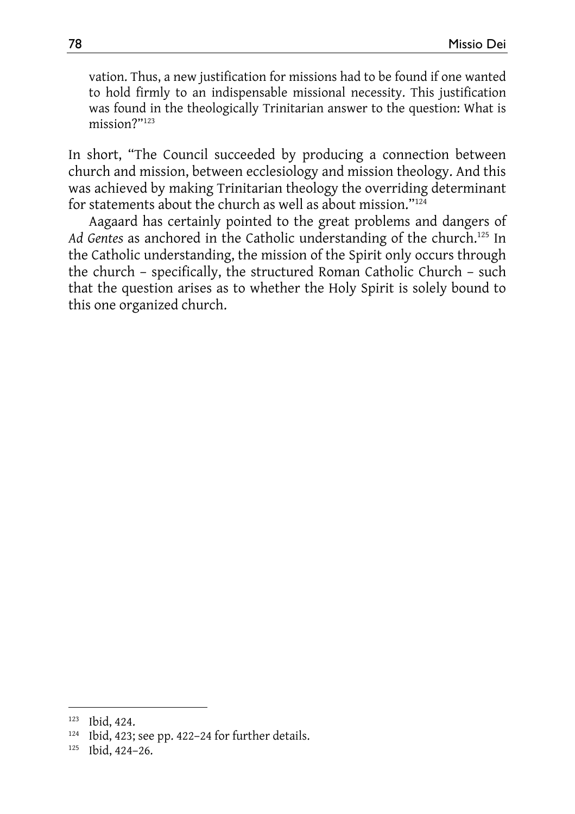vation. Thus, a new justification for missions had to be found if one wanted to hold firmly to an indispensable missional necessity. This justification was found in the theologically Trinitarian answer to the question: What is mission?"123

In short, "The Council succeeded by producing a connection between church and mission, between ecclesiology and mission theology. And this was achieved by making Trinitarian theology the overriding determinant for statements about the church as well as about mission."124

Aagaard has certainly pointed to the great problems and dangers of Ad Gentes as anchored in the Catholic understanding of the church.<sup>125</sup> In the Catholic understanding, the mission of the Spirit only occurs through the church – specifically, the structured Roman Catholic Church – such that the question arises as to whether the Holy Spirit is solely bound to this one organized church.

 $\overline{\phantom{a}}$ 

<sup>&</sup>lt;sup>123</sup> Ibid, 424.<br><sup>124</sup> Ibid, 423; see pp. 422–24 for further details.<br><sup>125</sup> Ibid. 424–26.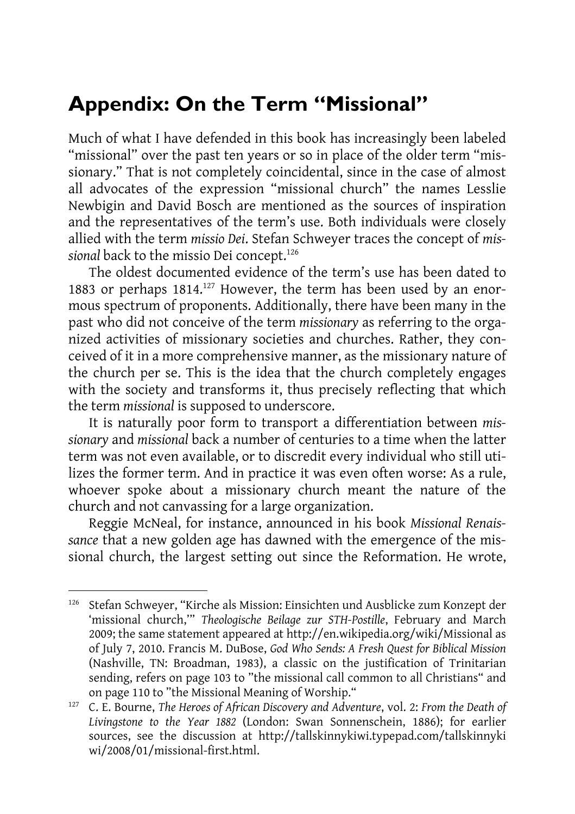# **Appendix: On the Term "Missional"**

Much of what I have defended in this book has increasingly been labeled "missional" over the past ten years or so in place of the older term "missionary." That is not completely coincidental, since in the case of almost all advocates of the expression "missional church" the names Lesslie Newbigin and David Bosch are mentioned as the sources of inspiration and the representatives of the term's use. Both individuals were closely allied with the term *missio Dei*. Stefan Schweyer traces the concept of *missional* back to the missio Dei concept.126

The oldest documented evidence of the term's use has been dated to 1883 or perhaps  $1814$ <sup>127</sup> However, the term has been used by an enormous spectrum of proponents. Additionally, there have been many in the past who did not conceive of the term *missionary* as referring to the organized activities of missionary societies and churches. Rather, they conceived of it in a more comprehensive manner, as the missionary nature of the church per se. This is the idea that the church completely engages with the society and transforms it, thus precisely reflecting that which the term *missional* is supposed to underscore.

It is naturally poor form to transport a differentiation between *missionary* and *missional* back a number of centuries to a time when the latter term was not even available, or to discredit every individual who still utilizes the former term. And in practice it was even often worse: As a rule, whoever spoke about a missionary church meant the nature of the church and not canvassing for a large organization.

Reggie McNeal, for instance, announced in his book *Missional Renaissance* that a new golden age has dawned with the emergence of the missional church, the largest setting out since the Reformation. He wrote,

 $\overline{a}$ 

<sup>126</sup> Stefan Schweyer, "Kirche als Mission: Einsichten und Ausblicke zum Konzept der 'missional church,'" *Theologische Beilage zur STH-Postille*, February and March 2009; the same statement appeared at http://en.wikipedia.org/wiki/Missional as of July 7, 2010. Francis M. DuBose, *God Who Sends: A Fresh Quest for Biblical Mission*  (Nashville, TN: Broadman, 1983), a classic on the justification of Trinitarian sending, refers on page 103 to "the missional call common to all Christians" and on page 110 to "the Missional Meaning of Worship." 127 C. E. Bourne, *The Heroes of African Discovery and Adventure*, vol. 2: *From the Death of* 

*Livingstone to the Year 1882* (London: Swan Sonnenschein, 1886); for earlier sources, see the discussion at http://tallskinnykiwi.typepad.com/tallskinnyki wi/2008/01/missional-first.html.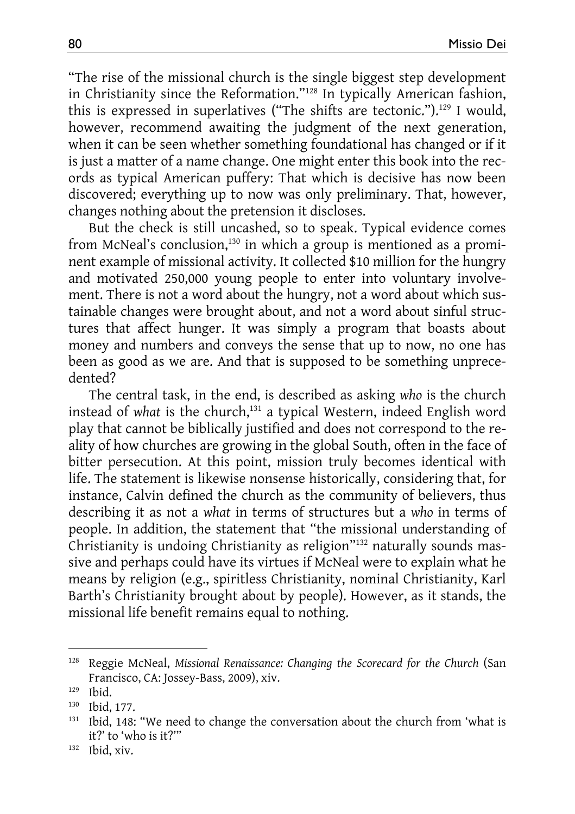"The rise of the missional church is the single biggest step development in Christianity since the Reformation."128 In typically American fashion, this is expressed in superlatives ("The shifts are tectonic.").<sup>129</sup> I would, however, recommend awaiting the judgment of the next generation, when it can be seen whether something foundational has changed or if it is just a matter of a name change. One might enter this book into the records as typical American puffery: That which is decisive has now been discovered; everything up to now was only preliminary. That, however, changes nothing about the pretension it discloses.

But the check is still uncashed, so to speak. Typical evidence comes from McNeal's conclusion,<sup>130</sup> in which a group is mentioned as a prominent example of missional activity. It collected \$10 million for the hungry and motivated 250,000 young people to enter into voluntary involvement. There is not a word about the hungry, not a word about which sustainable changes were brought about, and not a word about sinful structures that affect hunger. It was simply a program that boasts about money and numbers and conveys the sense that up to now, no one has been as good as we are. And that is supposed to be something unprecedented?

The central task, in the end, is described as asking *who* is the church instead of what is the church,<sup>131</sup> a typical Western, indeed English word play that cannot be biblically justified and does not correspond to the reality of how churches are growing in the global South, often in the face of bitter persecution. At this point, mission truly becomes identical with life. The statement is likewise nonsense historically, considering that, for instance, Calvin defined the church as the community of believers, thus describing it as not a *what* in terms of structures but a *who* in terms of people. In addition, the statement that "the missional understanding of Christianity is undoing Christianity as religion"132 naturally sounds massive and perhaps could have its virtues if McNeal were to explain what he means by religion (e.g., spiritless Christianity, nominal Christianity, Karl Barth's Christianity brought about by people). However, as it stands, the missional life benefit remains equal to nothing.

 $\overline{a}$ 

<sup>&</sup>lt;sup>128</sup> Reggie McNeal, Missional Renaissance: Changing the Scorecard for the Church (San Francisco, CA: Jossey-Bass, 2009), xiv.<br><sup>129</sup> Ibid. 130 Ibid, 177.<br><sup>131</sup> Ibid, 148: "We need to change the conversation about the church from 'what is

it?' to 'who is it?'" 132 Ibid, xiv.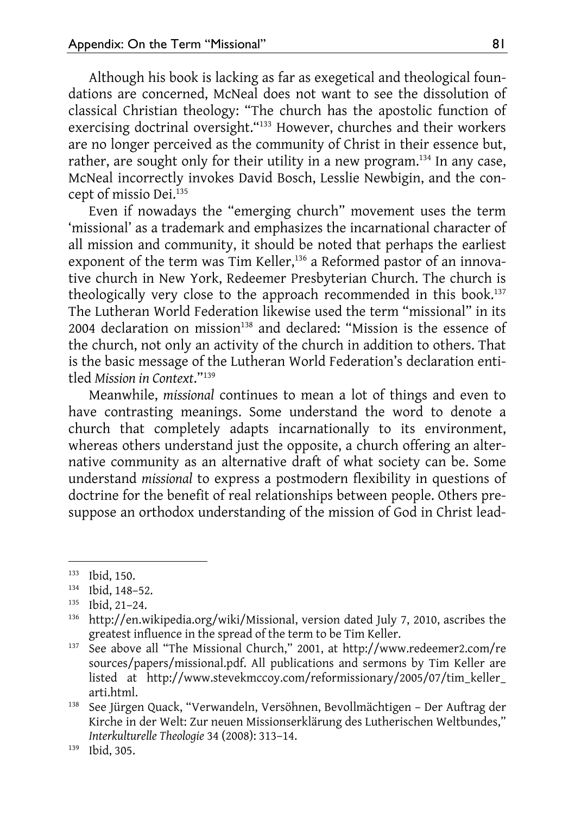Although his book is lacking as far as exegetical and theological foundations are concerned, McNeal does not want to see the dissolution of classical Christian theology: "The church has the apostolic function of exercising doctrinal oversight."<sup>133</sup> However, churches and their workers are no longer perceived as the community of Christ in their essence but, rather, are sought only for their utility in a new program.<sup>134</sup> In any case, McNeal incorrectly invokes David Bosch, Lesslie Newbigin, and the concept of missio Dei.<sup>135</sup>

Even if nowadays the "emerging church" movement uses the term 'missional' as a trademark and emphasizes the incarnational character of all mission and community, it should be noted that perhaps the earliest exponent of the term was Tim Keller,<sup>136</sup> a Reformed pastor of an innovative church in New York, Redeemer Presbyterian Church. The church is theologically very close to the approach recommended in this book.<sup>137</sup> The Lutheran World Federation likewise used the term "missional" in its  $2004$  declaration on mission<sup>138</sup> and declared: "Mission is the essence of the church, not only an activity of the church in addition to others. That is the basic message of the Lutheran World Federation's declaration entitled *Mission in Context*."139

Meanwhile, *missional* continues to mean a lot of things and even to have contrasting meanings. Some understand the word to denote a church that completely adapts incarnationally to its environment, whereas others understand just the opposite, a church offering an alternative community as an alternative draft of what society can be. Some understand *missional* to express a postmodern flexibility in questions of doctrine for the benefit of real relationships between people. Others presuppose an orthodox understanding of the mission of God in Christ lead-

l

<sup>&</sup>lt;sup>133</sup> Ibid, 150.<br><sup>134</sup> Ibid, 148–52.<br><sup>135</sup> http://en.wikipedia.org/wiki/Missional, version dated July 7, 2010, ascribes the greatest influence in the spread of the term to be Tim Keller.<br><sup>137</sup> See above all "The Missional Church," 2001, at http://www.redeemer2.com/re

sources/papers/missional.pdf. All publications and sermons by Tim Keller are listed at http://www.stevekmccoy.com/reformissionary/2005/07/tim\_keller\_ arti.html. 138 See Jürgen Quack, "Verwandeln, Versöhnen, Bevollmächtigen – Der Auftrag der

Kirche in der Welt: Zur neuen Missionserklärung des Lutherischen Weltbundes," *Interkulturelle Theologie* 34 (2008): 313–14. 139 Ibid, 305.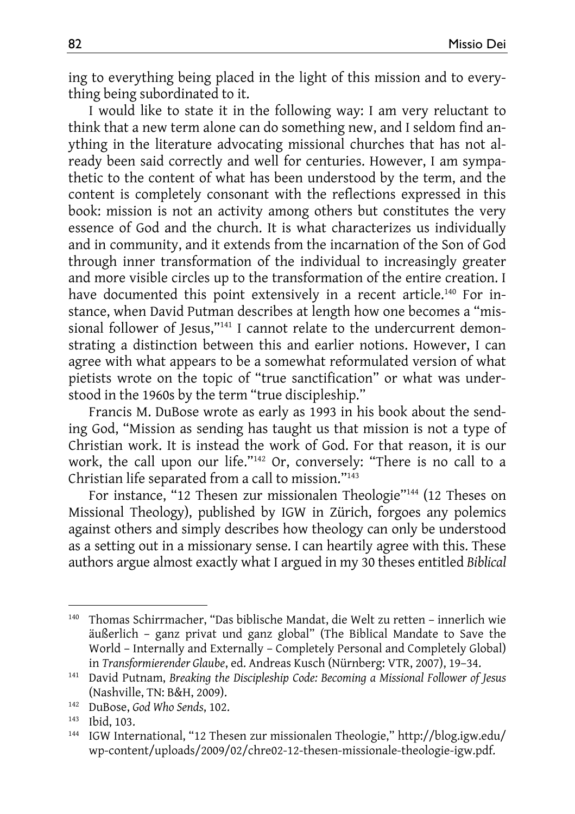ing to everything being placed in the light of this mission and to everything being subordinated to it.

I would like to state it in the following way: I am very reluctant to think that a new term alone can do something new, and I seldom find anything in the literature advocating missional churches that has not already been said correctly and well for centuries. However, I am sympathetic to the content of what has been understood by the term, and the content is completely consonant with the reflections expressed in this book: mission is not an activity among others but constitutes the very essence of God and the church. It is what characterizes us individually and in community, and it extends from the incarnation of the Son of God through inner transformation of the individual to increasingly greater and more visible circles up to the transformation of the entire creation. I have documented this point extensively in a recent article.<sup>140</sup> For instance, when David Putman describes at length how one becomes a "missional follower of Jesus,"<sup>141</sup> I cannot relate to the undercurrent demonstrating a distinction between this and earlier notions. However, I can agree with what appears to be a somewhat reformulated version of what pietists wrote on the topic of "true sanctification" or what was understood in the 1960s by the term "true discipleship."

Francis M. DuBose wrote as early as 1993 in his book about the sending God, "Mission as sending has taught us that mission is not a type of Christian work. It is instead the work of God. For that reason, it is our work, the call upon our life."142 Or, conversely: "There is no call to a Christian life separated from a call to mission."143

For instance, "12 Thesen zur missionalen Theologie"144 (12 Theses on Missional Theology), published by IGW in Zürich, forgoes any polemics against others and simply describes how theology can only be understood as a setting out in a missionary sense. I can heartily agree with this. These authors argue almost exactly what I argued in my 30 theses entitled *Biblical* 

 $\overline{\phantom{a}}$ 

<sup>140</sup> Thomas Schirrmacher, "Das biblische Mandat, die Welt zu retten – innerlich wie äußerlich – ganz privat und ganz global" (The Biblical Mandate to Save the World – Internally and Externally – Completely Personal and Completely Global)

in *Transformierender Glaube*, ed. Andreas Kusch (Nürnberg: VTR, 2007), 19–34. 141 David Putnam, *Breaking the Discipleship Code: Becoming a Missional Follower of Jesus* (Nashville, TN: B&H, 2009). 142 DuBose, *God Who Sends*, 102. 143 Ibid, 103. 144 IGW International, "12 Thesen zur missionalen Theologie," http://blog.igw.edu/

wp-content/uploads/2009/02/chre02-12-thesen-missionale-theologie-igw.pdf.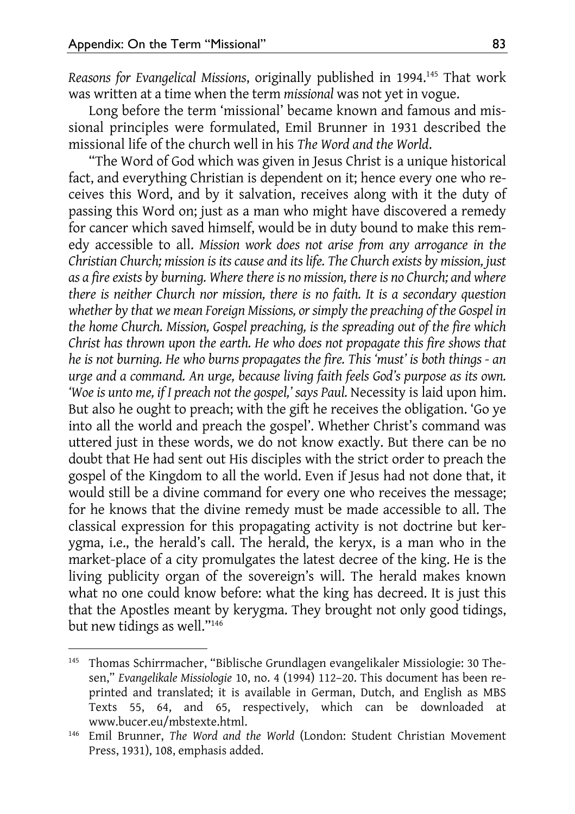$\overline{a}$ 

*Reasons for Evangelical Missions*, originally published in 1994.145 That work was written at a time when the term *missional* was not yet in vogue.

Long before the term 'missional' became known and famous and missional principles were formulated, Emil Brunner in 1931 described the missional life of the church well in his *The Word and the World*.

"The Word of God which was given in Jesus Christ is a unique historical fact, and everything Christian is dependent on it; hence every one who receives this Word, and by it salvation, receives along with it the duty of passing this Word on; just as a man who might have discovered a remedy for cancer which saved himself, would be in duty bound to make this remedy accessible to all. *Mission work does not arise from any arrogance in the Christian Church; mission is its cause and its life. The Church exists by mission, just as a fire exists by burning. Where there is no mission, there is no Church; and where there is neither Church nor mission, there is no faith. It is a secondary question whether by that we mean Foreign Missions, or simply the preaching of the Gospel in the home Church. Mission, Gospel preaching, is the spreading out of the fire which Christ has thrown upon the earth. He who does not propagate this fire shows that he is not burning. He who burns propagates the fire. This 'must' is both things - an urge and a command. An urge, because living faith feels God's purpose as its own.*  'Woe is unto me, if I preach not the gospel,' says Paul. Necessity is laid upon him. But also he ought to preach; with the gift he receives the obligation. 'Go ye into all the world and preach the gospel'. Whether Christ's command was uttered just in these words, we do not know exactly. But there can be no doubt that He had sent out His disciples with the strict order to preach the gospel of the Kingdom to all the world. Even if Jesus had not done that, it would still be a divine command for every one who receives the message; for he knows that the divine remedy must be made accessible to all. The classical expression for this propagating activity is not doctrine but kerygma, i.e., the herald's call. The herald, the keryx, is a man who in the market-place of a city promulgates the latest decree of the king. He is the living publicity organ of the sovereign's will. The herald makes known what no one could know before: what the king has decreed. It is just this that the Apostles meant by kerygma. They brought not only good tidings, but new tidings as well."146

<sup>145</sup> Thomas Schirrmacher, "Biblische Grundlagen evangelikaler Missiologie: 30 Thesen," *Evangelikale Missiologie* 10, no. 4 (1994) 112–20. This document has been reprinted and translated; it is available in German, Dutch, and English as MBS Texts 55, 64, and 65, respectively, which can be downloaded at www.bucer.eu/mbstexte.html. 146 Emil Brunner, *The Word and the World* (London: Student Christian Movement

Press, 1931), 108, emphasis added.